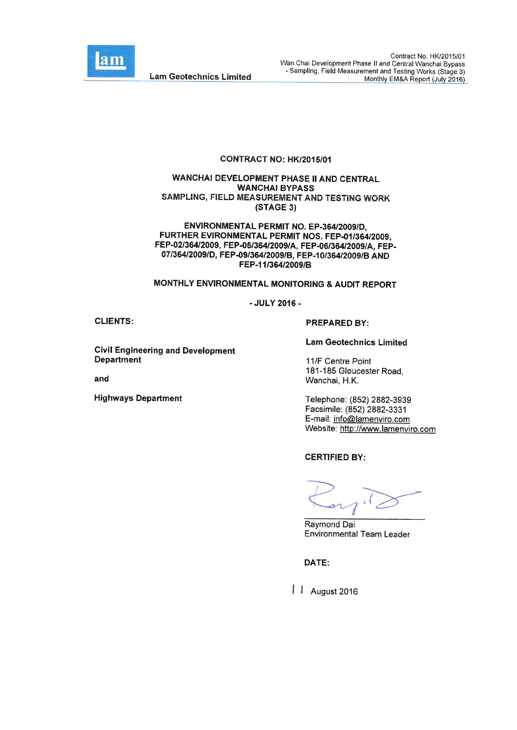

#### CONTRACT NO: HK/2015/01

#### WANCHAI DEVELOPMENT PHASE II AND CENTRAL **WANCHAI BYPASS** SAMPLING, FIELD MEASUREMENT AND TESTING WORK (STAGE 3)

ENVIRONMENTAL PERMIT NO. EP-364/2009/D. FURTHER EVIRONMENTAL PERMIT NOS. FEP-01/364/2009. FEP-02/364/2009, FEP-05/364/2009/A, FEP-06/364/2009/A, FEP-07/364/2009/D, FEP-09/364/2009/B, FEP-10/364/2009/B AND FEP-11/364/2009/B

#### MONTHLY ENVIRONMENTAL MONITORING & AUDIT REPORT

- JULY 2016 -

**CLIENTS:** 

**Civil Engineering and Development Department** 

and

**Highways Department** 

#### **PREPARED BY:**

**Lam Geotechnics Limited** 

11/F Centre Point 181-185 Gloucester Road, Wanchai, H.K.

Telephone: (852) 2882-3939 Facsimile: (852) 2882-3331 E-mail: info@lamenviro.com Website: http://www.lamenviro.com

**CERTIFIED BY:** 

Raymond Dai **Environmental Team Leader** 

DATE:

| | August 2016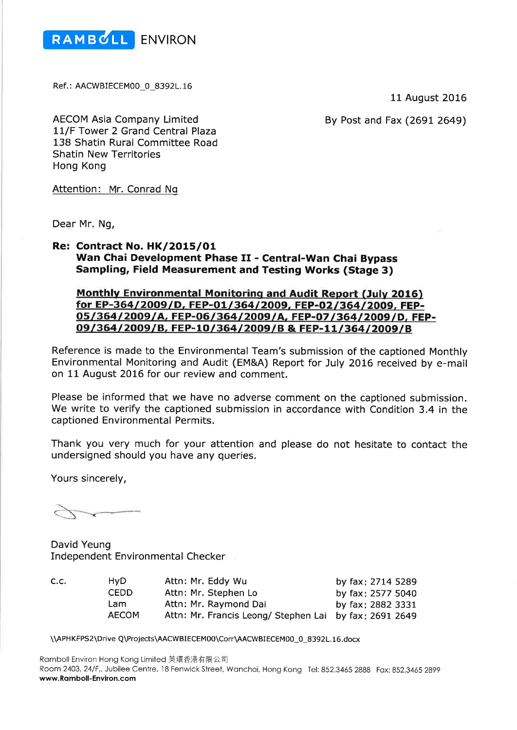

Ref.: AACWBIECEM00\_0\_8392L.16

11 August 2016

By Post and Fax (2691 2649)

**AECOM Asia Company Limited** 11/F Tower 2 Grand Central Plaza 138 Shatin Rural Committee Road **Shatin New Territories** Hong Kong

Attention: Mr. Conrad Ng

Dear Mr. Ng,

#### **Re: Contract No. HK/2015/01** Wan Chai Development Phase II - Central-Wan Chai Bypass **Sampling, Field Measurement and Testing Works (Stage 3)**

### **Monthly Environmental Monitoring and Audit Report (July 2016)** for EP-364/2009/D, FEP-01/364/2009, FEP-02/364/2009, FEP-05/364/2009/A, FEP-06/364/2009/A, FEP-07/364/2009/D, FEP-09/364/2009/B, FEP-10/364/2009/B & FEP-11/364/2009/B

Reference is made to the Environmental Team's submission of the captioned Monthly Environmental Monitoring and Audit (EM&A) Report for July 2016 received by e-mail on 11 August 2016 for our review and comment.

Please be informed that we have no adverse comment on the captioned submission. We write to verify the captioned submission in accordance with Condition 3.4 in the captioned Environmental Permits.

Thank you very much for your attention and please do not hesitate to contact the undersigned should you have any queries.

Yours sincerely,

David Yeung **Independent Environmental Checker** 

 $C.C$ 

| ٠. | HvD.         | Attn: Mr. Eddy Wu                                      | by fax: 2714 5289 |
|----|--------------|--------------------------------------------------------|-------------------|
|    | <b>CEDD</b>  | Attn: Mr. Stephen Lo                                   | by fax: 2577 5040 |
|    | Lam.         | Attn: Mr. Raymond Dai                                  | by fax: 2882 3331 |
|    | <b>AECOM</b> | Attn: Mr. Francis Leong/ Stephen Lai by fax: 2691 2649 |                   |

\\APHKFPS2\Drive Q\Projects\AACWBIECEM00\Corr\AACWBIECEM00\_0\_8392L.16.docx

Ramboll Environ Hong Kong Limited 英環香港有限公司 Room 2403, 24/F., Jubilee Centre, 18 Fenwick Street, Wanchai, Hong Kong Tel: 852.3465 2888 Fax: 852.3465 2899 www.Ramboll-Environ.com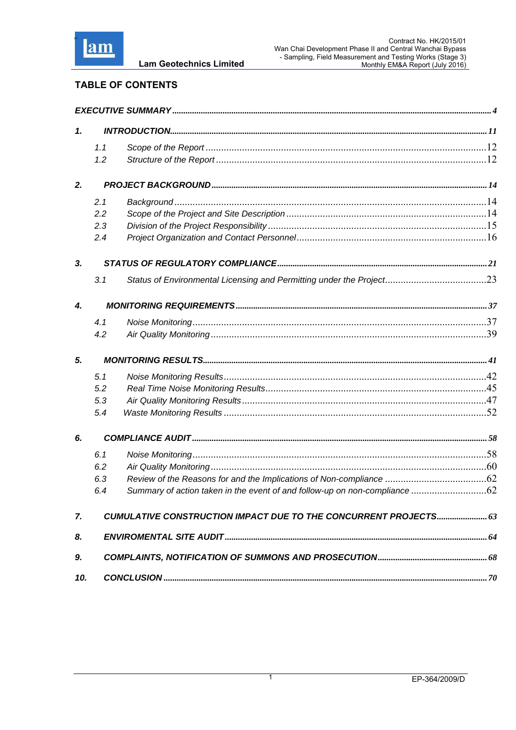

| <b>TABLE OF CONTENTS</b> |  |
|--------------------------|--|
|--------------------------|--|

| 1.  |     |                                                                            |  |
|-----|-----|----------------------------------------------------------------------------|--|
|     | 1.1 |                                                                            |  |
|     | 1.2 |                                                                            |  |
| 2.  |     |                                                                            |  |
|     | 2.1 |                                                                            |  |
|     | 2.2 |                                                                            |  |
|     | 2.3 |                                                                            |  |
|     | 2.4 |                                                                            |  |
| 3.  |     |                                                                            |  |
|     | 3.1 |                                                                            |  |
| 4.  |     |                                                                            |  |
|     | 4.1 |                                                                            |  |
|     | 4.2 |                                                                            |  |
| 5.  |     |                                                                            |  |
|     | 5.1 |                                                                            |  |
|     | 5.2 |                                                                            |  |
|     | 5.3 |                                                                            |  |
|     | 5.4 |                                                                            |  |
| 6.  |     |                                                                            |  |
|     | 6.1 |                                                                            |  |
|     | 6.2 |                                                                            |  |
|     | 6.3 |                                                                            |  |
|     | 6.4 | Summary of action taken in the event of and follow-up on non-compliance 62 |  |
| 7.  |     | CUMULATIVE CONSTRUCTION IMPACT DUE TO THE CONCURRENT PROJECTS 63           |  |
| 8.  |     |                                                                            |  |
| 9.  |     |                                                                            |  |
| 10. |     |                                                                            |  |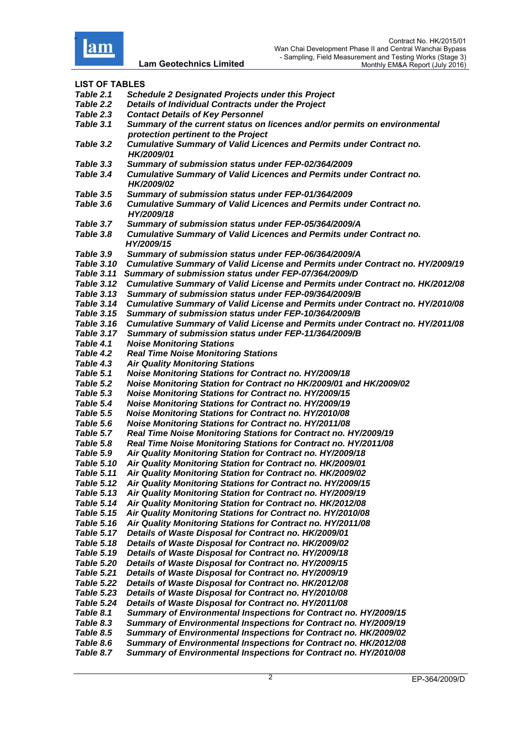

| <b>LIST OF TABLES</b> |                                                                                                                  |
|-----------------------|------------------------------------------------------------------------------------------------------------------|
| Table 2.1             | <b>Schedule 2 Designated Projects under this Project</b>                                                         |
| Table 2.2             | Details of Individual Contracts under the Project                                                                |
| Table 2.3             | <b>Contact Details of Key Personnel</b>                                                                          |
| Table 3.1             | Summary of the current status on licences and/or permits on environmental<br>protection pertinent to the Project |
| <b>Table 3.2</b>      | <b>Cumulative Summary of Valid Licences and Permits under Contract no.</b><br>HK/2009/01                         |
| Table 3.3             | Summary of submission status under FEP-02/364/2009                                                               |
| Table 3.4             | <b>Cumulative Summary of Valid Licences and Permits under Contract no.</b><br>HK/2009/02                         |
| Table 3.5             | Summary of submission status under FEP-01/364/2009                                                               |
| Table 3.6             | <b>Cumulative Summary of Valid Licences and Permits under Contract no.</b><br>HY/2009/18                         |
| Table 3.7             | Summary of submission status under FEP-05/364/2009/A                                                             |
| Table 3.8             | <b>Cumulative Summary of Valid Licences and Permits under Contract no.</b><br>HY/2009/15                         |
| Table 3.9             | Summary of submission status under FEP-06/364/2009/A                                                             |
| Table 3.10            | Cumulative Summary of Valid License and Permits under Contract no. HY/2009/19                                    |
| Table 3.11            | Summary of submission status under FEP-07/364/2009/D                                                             |
| <b>Table 3.12</b>     | Cumulative Summary of Valid License and Permits under Contract no. HK/2012/08                                    |
| Table 3.13            | Summary of submission status under FEP-09/364/2009/B                                                             |
| Table 3.14            | Cumulative Summary of Valid License and Permits under Contract no. HY/2010/08                                    |
| <b>Table 3.15</b>     | Summary of submission status under FEP-10/364/2009/B                                                             |
| Table 3.16            | Cumulative Summary of Valid License and Permits under Contract no. HY/2011/08                                    |
| Table 3.17            | Summary of submission status under FEP-11/364/2009/B                                                             |
| Table 4.1             | <b>Noise Monitoring Stations</b>                                                                                 |
| Table 4.2             | <b>Real Time Noise Monitoring Stations</b>                                                                       |
| <b>Table 4.3</b>      | <b>Air Quality Monitoring Stations</b>                                                                           |
| Table 5.1             | <b>Noise Monitoring Stations for Contract no. HY/2009/18</b>                                                     |
| Table 5.2             | Noise Monitoring Station for Contract no HK/2009/01 and HK/2009/02                                               |
| Table 5.3             | <b>Noise Monitoring Stations for Contract no. HY/2009/15</b>                                                     |
| Table 5.4             | <b>Noise Monitoring Stations for Contract no. HY/2009/19</b>                                                     |
| Table 5.5             | <b>Noise Monitoring Stations for Contract no. HY/2010/08</b>                                                     |
| Table 5.6             | <b>Noise Monitoring Stations for Contract no. HY/2011/08</b>                                                     |
| Table 5.7             | Real Time Noise Monitoring Stations for Contract no. HY/2009/19                                                  |
| Table 5.8             | Real Time Noise Monitoring Stations for Contract no. HY/2011/08                                                  |
| Table 5.9             | Air Quality Monitoring Station for Contract no. HY/2009/18                                                       |
| <b>Table 5.10</b>     | Air Quality Monitoring Station for Contract no. HK/2009/01                                                       |
| <b>Table 5.11</b>     | Air Quality Monitoring Station for Contract no. HK/2009/02                                                       |
| <b>Table 5.12</b>     | Air Quality Monitoring Stations for Contract no. HY/2009/15                                                      |
| <b>Table 5.13</b>     | Air Quality Monitoring Station for Contract no. HY/2009/19                                                       |
| <b>Table 5.14</b>     | Air Quality Monitoring Station for Contract no. HK/2012/08                                                       |
| Table 5.15            | Air Quality Monitoring Stations for Contract no. HY/2010/08                                                      |
| Table 5.16            | Air Quality Monitoring Stations for Contract no. HY/2011/08                                                      |
| <b>Table 5.17</b>     | Details of Waste Disposal for Contract no. HK/2009/01                                                            |
| Table 5.18            | Details of Waste Disposal for Contract no. HK/2009/02                                                            |
| Table 5.19            | Details of Waste Disposal for Contract no. HY/2009/18                                                            |
| <b>Table 5.20</b>     | Details of Waste Disposal for Contract no. HY/2009/15                                                            |
| Table 5.21            | Details of Waste Disposal for Contract no. HY/2009/19                                                            |
| Table 5.22            | Details of Waste Disposal for Contract no. HK/2012/08                                                            |
| <b>Table 5.23</b>     | Details of Waste Disposal for Contract no. HY/2010/08                                                            |
| Table 5.24            | Details of Waste Disposal for Contract no. HY/2011/08                                                            |
| Table 8.1             | Summary of Environmental Inspections for Contract no. HY/2009/15                                                 |
| Table 8.3             | Summary of Environmental Inspections for Contract no. HY/2009/19                                                 |
| Table 8.5             | Summary of Environmental Inspections for Contract no. HK/2009/02                                                 |
| Table 8.6             | Summary of Environmental Inspections for Contract no. HK/2012/08                                                 |
| Table 8.7             | Summary of Environmental Inspections for Contract no. HY/2010/08                                                 |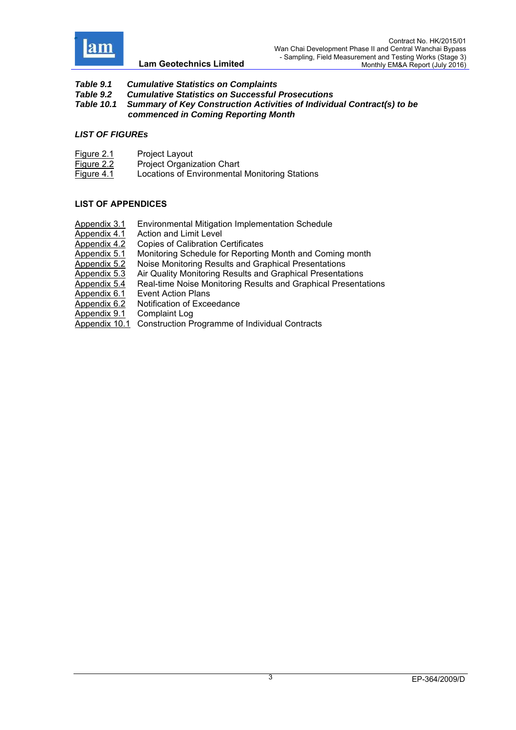

- *Table 9.1 Cumulative Statistics on Complaints*
- *Table 9.2 Cumulative Statistics on Successful Prosecutions*
- *Table 10.1 Summary of Key Construction Activities of Individual Contract(s) to be*
- *commenced in Coming Reporting Month*

#### *LIST OF FIGUREs*

- Figure 2.1 Project Layout
- Figure 2.2 Project Organization Chart
- Figure 4.1 Locations of Environmental Monitoring Stations

## **LIST OF APPENDICES**

Appendix 3.1 Environmental Mitigation Implementation Schedule Appendix 4.1 Action and Limit Level<br>Appendix 4.2 Copies of Calibration C Copies of Calibration Certificates Appendix 5.1 Monitoring Schedule for Reporting Month and Coming month Appendix 5.2 Noise Monitoring Results and Graphical Presentations Appendix 5.3 Air Quality Monitoring Results and Graphical Presentations Appendix 5.4 Real-time Noise Monitoring Results and Graphical Presentations Appendix 6.1 Event Action Plans Appendix 6.2 Notification of Exceedance Appendix 9.1 Complaint Log Appendix 10.1 Construction Programme of Individual Contracts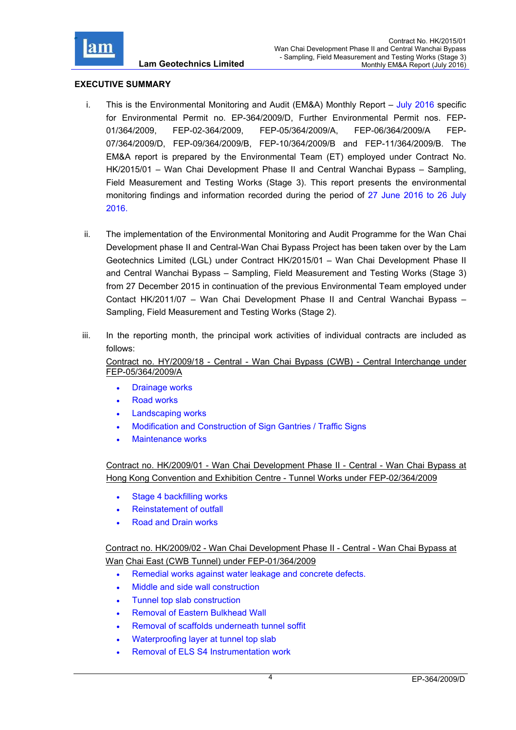

#### **EXECUTIVE SUMMARY**

- i. This is the Environmental Monitoring and Audit (EM&A) Monthly Report  $-$  July 2016 specific for Environmental Permit no. EP-364/2009/D, Further Environmental Permit nos. FEP-01/364/2009, FEP-02-364/2009, FEP-05/364/2009/A, FEP-06/364/2009/A FEP-07/364/2009/D, FEP-09/364/2009/B, FEP-10/364/2009/B and FEP-11/364/2009/B. The EM&A report is prepared by the Environmental Team (ET) employed under Contract No. HK/2015/01 – Wan Chai Development Phase II and Central Wanchai Bypass – Sampling, Field Measurement and Testing Works (Stage 3). This report presents the environmental monitoring findings and information recorded during the period of 27 June 2016 to 26 July 2016.
- ii. The implementation of the Environmental Monitoring and Audit Programme for the Wan Chai Development phase II and Central-Wan Chai Bypass Project has been taken over by the Lam Geotechnics Limited (LGL) under Contract HK/2015/01 – Wan Chai Development Phase II and Central Wanchai Bypass – Sampling, Field Measurement and Testing Works (Stage 3) from 27 December 2015 in continuation of the previous Environmental Team employed under Contact HK/2011/07 – Wan Chai Development Phase II and Central Wanchai Bypass – Sampling, Field Measurement and Testing Works (Stage 2).
- iii. In the reporting month, the principal work activities of individual contracts are included as follows:

Contract no. HY/2009/18 - Central - Wan Chai Bypass (CWB) - Central Interchange under FEP-05/364/2009/A

- Drainage works
- Road works
- Landscaping works
- Modification and Construction of Sign Gantries / Traffic Signs
- Maintenance works

Contract no. HK/2009/01 - Wan Chai Development Phase II - Central - Wan Chai Bypass at Hong Kong Convention and Exhibition Centre - Tunnel Works under FEP-02/364/2009

- Stage 4 backfilling works
- Reinstatement of outfall
- Road and Drain works

Contract no. HK/2009/02 - Wan Chai Development Phase II - Central - Wan Chai Bypass at Wan Chai East (CWB Tunnel) under FEP-01/364/2009

- Remedial works against water leakage and concrete defects.
- Middle and side wall construction
- Tunnel top slab construction
- Removal of Eastern Bulkhead Wall
- Removal of scaffolds underneath tunnel soffit
- Waterproofing layer at tunnel top slab
- Removal of ELS S4 Instrumentation work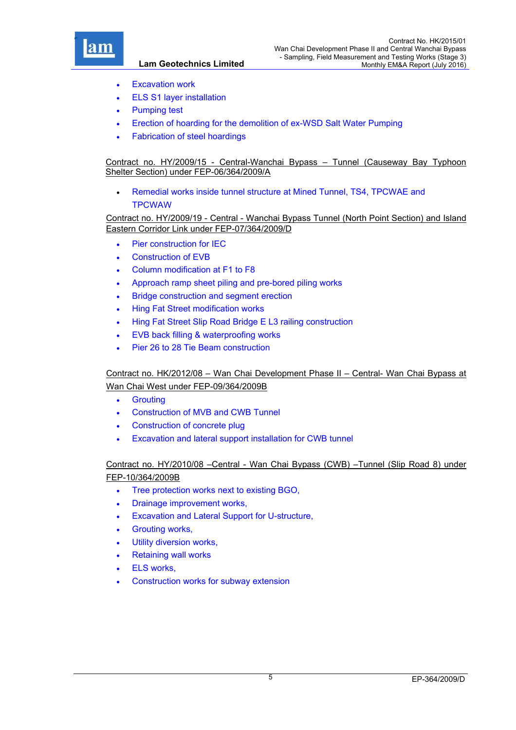

- Excavation work
- ELS S1 layer installation
- Pumping test
- Erection of hoarding for the demolition of ex-WSD Salt Water Pumping
- Fabrication of steel hoardings

#### Contract no. HY/2009/15 - Central-Wanchai Bypass – Tunnel (Causeway Bay Typhoon Shelter Section) under FEP-06/364/2009/A

 Remedial works inside tunnel structure at Mined Tunnel, TS4, TPCWAE and **TPCWAW** 

#### Contract no. HY/2009/19 - Central - Wanchai Bypass Tunnel (North Point Section) and Island Eastern Corridor Link under FEP-07/364/2009/D

- Pier construction for IEC
- Construction of EVB
- Column modification at F1 to F8
- Approach ramp sheet piling and pre-bored piling works
- Bridge construction and segment erection
- Hing Fat Street modification works
- Hing Fat Street Slip Road Bridge E L3 railing construction
- EVB back filling & waterproofing works
- Pier 26 to 28 Tie Beam construction

# Contract no. HK/2012/08 – Wan Chai Development Phase II – Central- Wan Chai Bypass at Wan Chai West under FEP-09/364/2009B

- **•** Grouting
- Construction of MVB and CWB Tunnel
- Construction of concrete plug
- Excavation and lateral support installation for CWB tunnel

# Contract no. HY/2010/08 –Central - Wan Chai Bypass (CWB) –Tunnel (Slip Road 8) under FEP-10/364/2009B

- Tree protection works next to existing BGO,
- Drainage improvement works,
- Excavation and Lateral Support for U-structure,
- Grouting works,
- Utility diversion works,
- Retaining wall works
- ELS works,
- Construction works for subway extension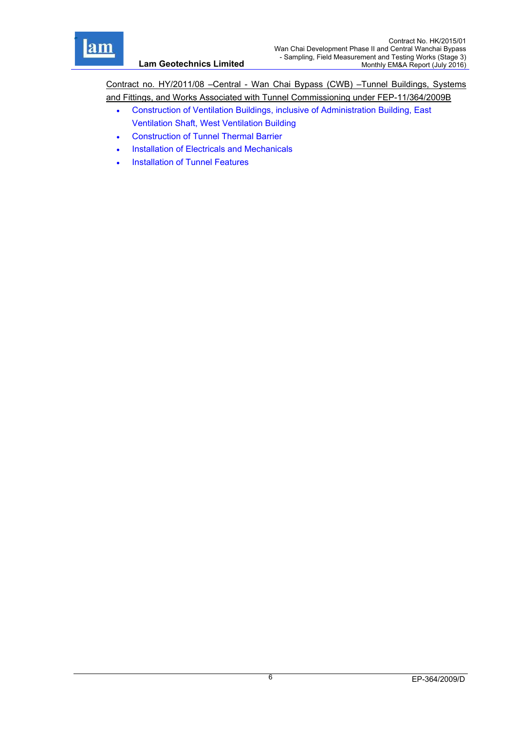

Contract no. HY/2011/08 –Central - Wan Chai Bypass (CWB) –Tunnel Buildings, Systems and Fittings, and Works Associated with Tunnel Commissioning under FEP-11/364/2009B

- Construction of Ventilation Buildings, inclusive of Administration Building, East Ventilation Shaft, West Ventilation Building
- Construction of Tunnel Thermal Barrier
- Installation of Electricals and Mechanicals
- Installation of Tunnel Features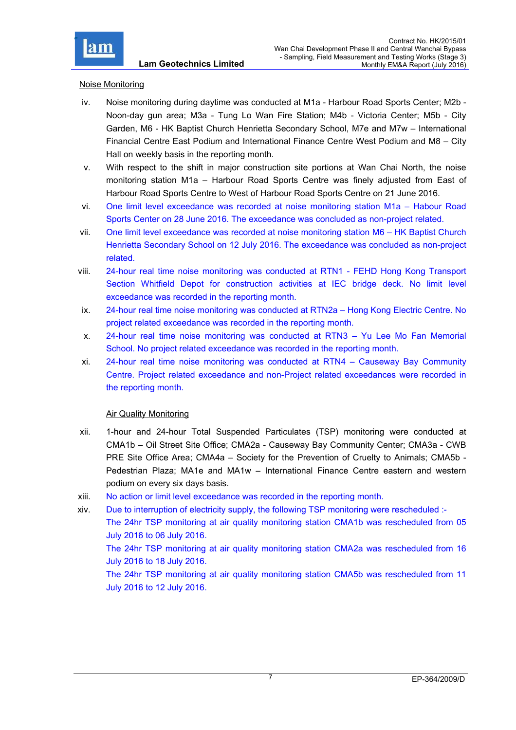

#### Noise Monitoring

- iv. Noise monitoring during daytime was conducted at M1a Harbour Road Sports Center; M2b Noon-day gun area; M3a - Tung Lo Wan Fire Station; M4b - Victoria Center; M5b - City Garden, M6 - HK Baptist Church Henrietta Secondary School, M7e and M7w – International Financial Centre East Podium and International Finance Centre West Podium and M8 – City Hall on weekly basis in the reporting month.
- v. With respect to the shift in major construction site portions at Wan Chai North, the noise monitoring station M1a – Harbour Road Sports Centre was finely adjusted from East of Harbour Road Sports Centre to West of Harbour Road Sports Centre on 21 June 2016.
- vi. One limit level exceedance was recorded at noise monitoring station M1a Habour Road Sports Center on 28 June 2016. The exceedance was concluded as non-project related.
- vii. One limit level exceedance was recorded at noise monitoring station M6 HK Baptist Church Henrietta Secondary School on 12 July 2016. The exceedance was concluded as non-project related.
- viii. 24-hour real time noise monitoring was conducted at RTN1 FEHD Hong Kong Transport Section Whitfield Depot for construction activities at IEC bridge deck. No limit level exceedance was recorded in the reporting month.
- ix. 24-hour real time noise monitoring was conducted at RTN2a Hong Kong Electric Centre. No project related exceedance was recorded in the reporting month.
- x. 24-hour real time noise monitoring was conducted at RTN3 Yu Lee Mo Fan Memorial School. No project related exceedance was recorded in the reporting month.
- xi. 24-hour real time noise monitoring was conducted at RTN4 Causeway Bay Community Centre. Project related exceedance and non-Project related exceedances were recorded in the reporting month.

#### Air Quality Monitoring

- xii. 1-hour and 24-hour Total Suspended Particulates (TSP) monitoring were conducted at CMA1b – Oil Street Site Office; CMA2a - Causeway Bay Community Center; CMA3a - CWB PRE Site Office Area; CMA4a – Society for the Prevention of Cruelty to Animals; CMA5b - Pedestrian Plaza; MA1e and MA1w – International Finance Centre eastern and western podium on every six days basis.
- xiii. No action or limit level exceedance was recorded in the reporting month.
- xiv. Due to interruption of electricity supply, the following TSP monitoring were rescheduled :- The 24hr TSP monitoring at air quality monitoring station CMA1b was rescheduled from 05 July 2016 to 06 July 2016. The 24hr TSP monitoring at air quality monitoring station CMA2a was rescheduled from 16 July 2016 to 18 July 2016. The 24hr TSP monitoring at air quality monitoring station CMA5b was rescheduled from 11 July 2016 to 12 July 2016.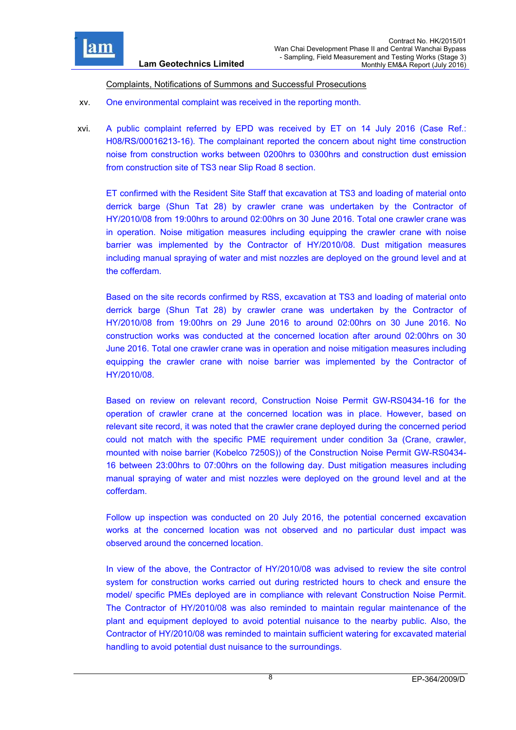

#### Complaints, Notifications of Summons and Successful Prosecutions

- xv. One environmental complaint was received in the reporting month.
- xvi. A public complaint referred by EPD was received by ET on 14 July 2016 (Case Ref.: H08/RS/00016213-16). The complainant reported the concern about night time construction noise from construction works between 0200hrs to 0300hrs and construction dust emission from construction site of TS3 near Slip Road 8 section.

ET confirmed with the Resident Site Staff that excavation at TS3 and loading of material onto derrick barge (Shun Tat 28) by crawler crane was undertaken by the Contractor of HY/2010/08 from 19:00hrs to around 02:00hrs on 30 June 2016. Total one crawler crane was in operation. Noise mitigation measures including equipping the crawler crane with noise barrier was implemented by the Contractor of HY/2010/08. Dust mitigation measures including manual spraying of water and mist nozzles are deployed on the ground level and at the cofferdam.

Based on the site records confirmed by RSS, excavation at TS3 and loading of material onto derrick barge (Shun Tat 28) by crawler crane was undertaken by the Contractor of HY/2010/08 from 19:00hrs on 29 June 2016 to around 02:00hrs on 30 June 2016. No construction works was conducted at the concerned location after around 02:00hrs on 30 June 2016. Total one crawler crane was in operation and noise mitigation measures including equipping the crawler crane with noise barrier was implemented by the Contractor of HY/2010/08.

Based on review on relevant record, Construction Noise Permit GW-RS0434-16 for the operation of crawler crane at the concerned location was in place. However, based on relevant site record, it was noted that the crawler crane deployed during the concerned period could not match with the specific PME requirement under condition 3a (Crane, crawler, mounted with noise barrier (Kobelco 7250S)) of the Construction Noise Permit GW-RS0434- 16 between 23:00hrs to 07:00hrs on the following day. Dust mitigation measures including manual spraying of water and mist nozzles were deployed on the ground level and at the cofferdam.

Follow up inspection was conducted on 20 July 2016, the potential concerned excavation works at the concerned location was not observed and no particular dust impact was observed around the concerned location.

In view of the above, the Contractor of HY/2010/08 was advised to review the site control system for construction works carried out during restricted hours to check and ensure the model/ specific PMEs deployed are in compliance with relevant Construction Noise Permit. The Contractor of HY/2010/08 was also reminded to maintain regular maintenance of the plant and equipment deployed to avoid potential nuisance to the nearby public. Also, the Contractor of HY/2010/08 was reminded to maintain sufficient watering for excavated material handling to avoid potential dust nuisance to the surroundings.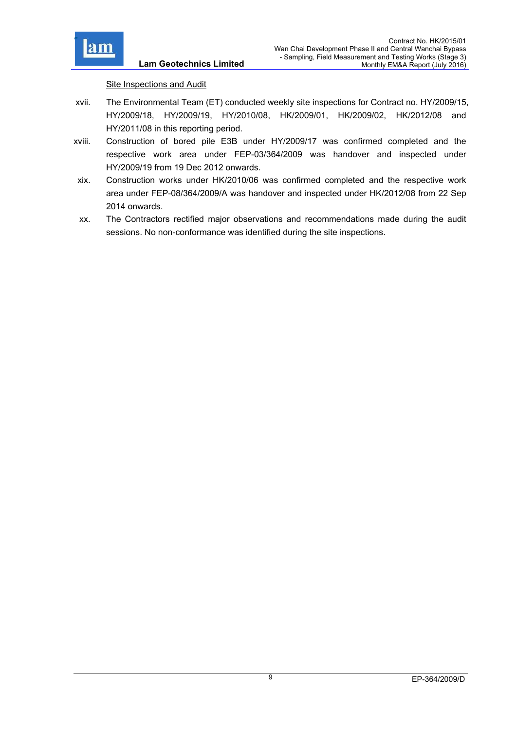

Site Inspections and Audit

- xvii. The Environmental Team (ET) conducted weekly site inspections for Contract no. HY/2009/15, HY/2009/18, HY/2009/19, HY/2010/08, HK/2009/01, HK/2009/02, HK/2012/08 and HY/2011/08 in this reporting period.
- xviii. Construction of bored pile E3B under HY/2009/17 was confirmed completed and the respective work area under FEP-03/364/2009 was handover and inspected under HY/2009/19 from 19 Dec 2012 onwards.
- xix. Construction works under HK/2010/06 was confirmed completed and the respective work area under FEP-08/364/2009/A was handover and inspected under HK/2012/08 from 22 Sep 2014 onwards.
- xx. The Contractors rectified major observations and recommendations made during the audit sessions. No non-conformance was identified during the site inspections.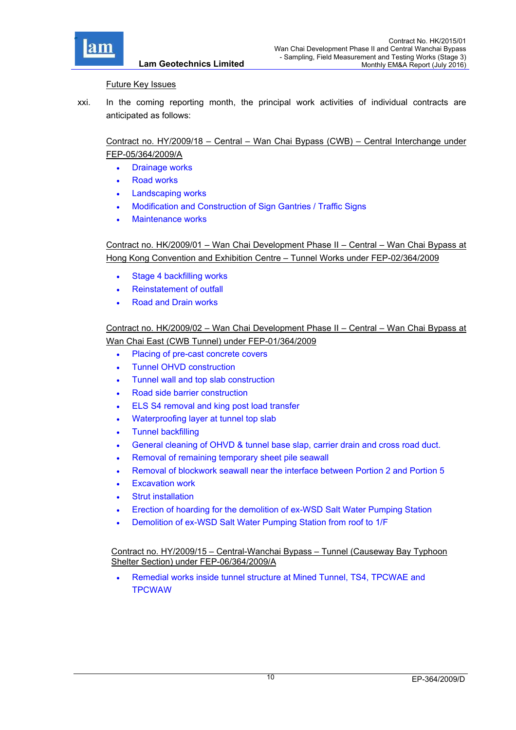

#### Future Key Issues

**Lam Geotechnics Limited**

xxi. In the coming reporting month, the principal work activities of individual contracts are anticipated as follows:

# Contract no. HY/2009/18 – Central – Wan Chai Bypass (CWB) – Central Interchange under FEP-05/364/2009/A

- Drainage works
- Road works
- Landscaping works
- Modification and Construction of Sign Gantries / Traffic Signs
- Maintenance works

Contract no. HK/2009/01 – Wan Chai Development Phase II – Central – Wan Chai Bypass at Hong Kong Convention and Exhibition Centre – Tunnel Works under FEP-02/364/2009

- Stage 4 backfilling works
- Reinstatement of outfall
- Road and Drain works

# Contract no. HK/2009/02 – Wan Chai Development Phase II – Central – Wan Chai Bypass at Wan Chai East (CWB Tunnel) under FEP-01/364/2009

- Placing of pre-cast concrete covers
- Tunnel OHVD construction
- Tunnel wall and top slab construction
- Road side barrier construction
- **ELS S4 removal and king post load transfer**
- Waterproofing layer at tunnel top slab
- Tunnel backfilling
- General cleaning of OHVD & tunnel base slap, carrier drain and cross road duct.
- Removal of remaining temporary sheet pile seawall
- Removal of blockwork seawall near the interface between Portion 2 and Portion 5
- Excavation work
- Strut installation
- Erection of hoarding for the demolition of ex-WSD Salt Water Pumping Station
- Demolition of ex-WSD Salt Water Pumping Station from roof to 1/F

Contract no. HY/2009/15 – Central-Wanchai Bypass – Tunnel (Causeway Bay Typhoon Shelter Section) under FEP-06/364/2009/A

 Remedial works inside tunnel structure at Mined Tunnel, TS4, TPCWAE and **TPCWAW**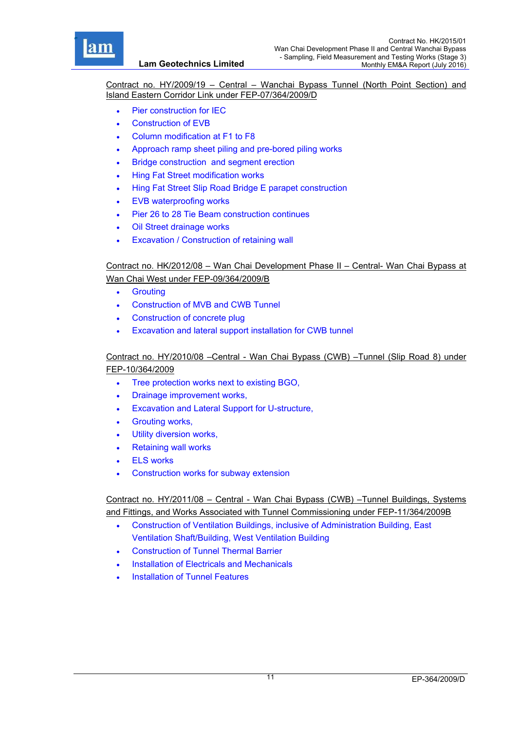

Contract no. HY/2009/19 – Central – Wanchai Bypass Tunnel (North Point Section) and Island Eastern Corridor Link under FEP-07/364/2009/D

- Pier construction for IEC
- Construction of EVB
- Column modification at F1 to F8
- Approach ramp sheet piling and pre-bored piling works
- Bridge construction and segment erection
- Hing Fat Street modification works
- Hing Fat Street Slip Road Bridge E parapet construction
- EVB waterproofing works
- Pier 26 to 28 Tie Beam construction continues
- Oil Street drainage works
- Excavation / Construction of retaining wall

# Contract no. HK/2012/08 – Wan Chai Development Phase II – Central- Wan Chai Bypass at Wan Chai West under FEP-09/364/2009/B

- **•** Grouting
- Construction of MVB and CWB Tunnel
- Construction of concrete plug
- Excavation and lateral support installation for CWB tunnel

### Contract no. HY/2010/08 –Central - Wan Chai Bypass (CWB) –Tunnel (Slip Road 8) under FEP-10/364/2009

- Tree protection works next to existing BGO,
- Drainage improvement works,
- Excavation and Lateral Support for U-structure,
- Grouting works,
- Utility diversion works,
- Retaining wall works
- ELS works
- Construction works for subway extension

Contract no. HY/2011/08 – Central - Wan Chai Bypass (CWB) –Tunnel Buildings, Systems and Fittings, and Works Associated with Tunnel Commissioning under FEP-11/364/2009B

- Construction of Ventilation Buildings, inclusive of Administration Building, East Ventilation Shaft/Building, West Ventilation Building
- Construction of Tunnel Thermal Barrier
- Installation of Electricals and Mechanicals
- Installation of Tunnel Features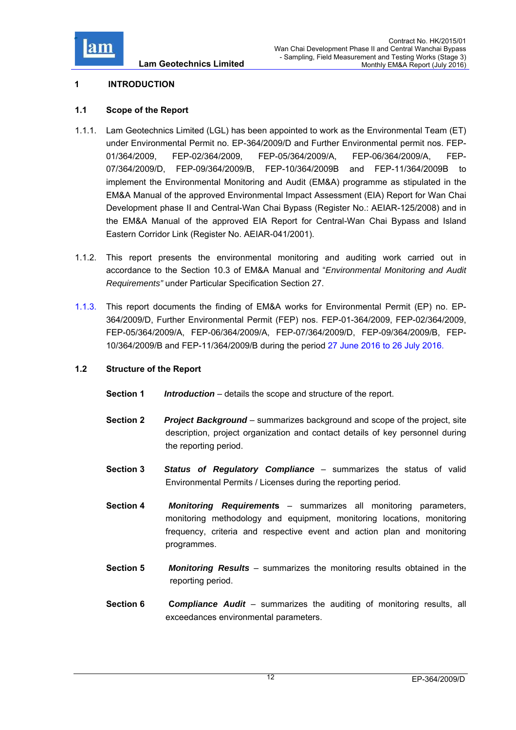

## **1 INTRODUCTION**

## **1.1 Scope of the Report**

- 1.1.1. Lam Geotechnics Limited (LGL) has been appointed to work as the Environmental Team (ET) under Environmental Permit no. EP-364/2009/D and Further Environmental permit nos. FEP-01/364/2009, FEP-02/364/2009, FEP-05/364/2009/A, FEP-06/364/2009/A, FEP-07/364/2009/D, FEP-09/364/2009/B, FEP-10/364/2009B and FEP-11/364/2009B to implement the Environmental Monitoring and Audit (EM&A) programme as stipulated in the EM&A Manual of the approved Environmental Impact Assessment (EIA) Report for Wan Chai Development phase II and Central-Wan Chai Bypass (Register No.: AEIAR-125/2008) and in the EM&A Manual of the approved EIA Report for Central-Wan Chai Bypass and Island Eastern Corridor Link (Register No. AEIAR-041/2001).
- 1.1.2. This report presents the environmental monitoring and auditing work carried out in accordance to the Section 10.3 of EM&A Manual and "*Environmental Monitoring and Audit Requirements"* under Particular Specification Section 27.
- 1.1.3. This report documents the finding of EM&A works for Environmental Permit (EP) no. EP-364/2009/D, Further Environmental Permit (FEP) nos. FEP-01-364/2009, FEP-02/364/2009, FEP-05/364/2009/A, FEP-06/364/2009/A, FEP-07/364/2009/D, FEP-09/364/2009/B, FEP-10/364/2009/B and FEP-11/364/2009/B during the period 27 June 2016 to 26 July 2016.

#### **1.2 Structure of the Report**

- **Section 1** *Introduction* details the scope and structure of the report.
- **Section 2** *Project Background* summarizes background and scope of the project, site description, project organization and contact details of key personnel during the reporting period.
- **Section 3** *Status of Regulatory Compliance* summarizes the status of valid Environmental Permits / Licenses during the reporting period.
- **Section 4** *Monitoring Requirement***s** summarizes all monitoring parameters, monitoring methodology and equipment, monitoring locations, monitoring frequency, criteria and respective event and action plan and monitoring programmes.
- **Section 5** *Monitoring Results* summarizes the monitoring results obtained in the reporting period.
- **Section 6 C***ompliance Audit* summarizes the auditing of monitoring results, all exceedances environmental parameters.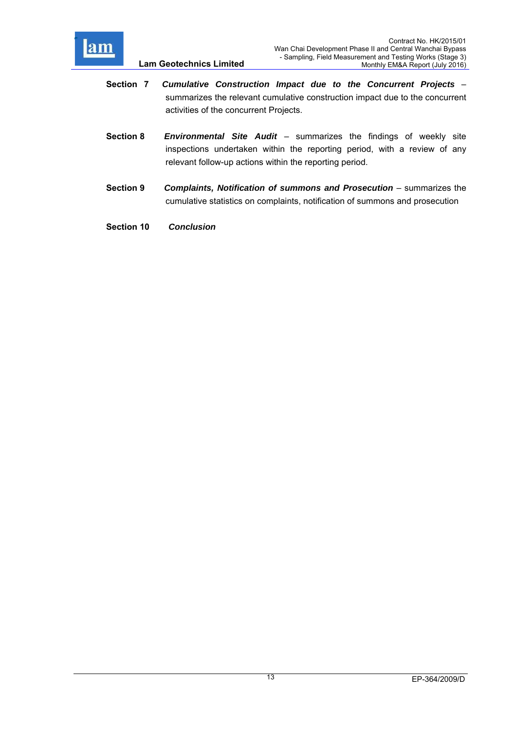

- **Section 7** *Cumulative Construction Impact due to the Concurrent Projects*  summarizes the relevant cumulative construction impact due to the concurrent activities of the concurrent Projects.
- **Section 8** *Environmental Site Audit*  summarizes the findings of weekly site inspections undertaken within the reporting period, with a review of any relevant follow-up actions within the reporting period.
- **Section 9** *Complaints, Notification of summons and Prosecution –* summarizes the cumulative statistics on complaints, notification of summons and prosecution
- **Section 10** *Conclusion*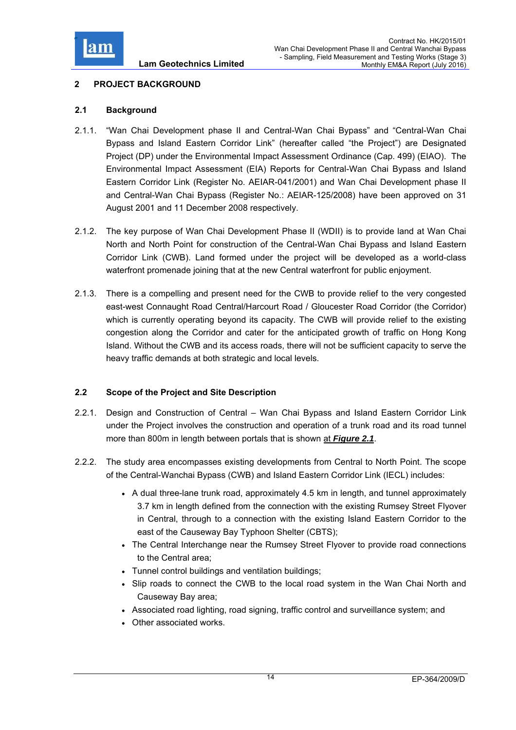

# **2 PROJECT BACKGROUND**

## **2.1 Background**

- 2.1.1. "Wan Chai Development phase II and Central-Wan Chai Bypass" and "Central-Wan Chai Bypass and Island Eastern Corridor Link" (hereafter called "the Project") are Designated Project (DP) under the Environmental Impact Assessment Ordinance (Cap. 499) (EIAO). The Environmental Impact Assessment (EIA) Reports for Central-Wan Chai Bypass and Island Eastern Corridor Link (Register No. AEIAR-041/2001) and Wan Chai Development phase II and Central-Wan Chai Bypass (Register No.: AEIAR-125/2008) have been approved on 31 August 2001 and 11 December 2008 respectively.
- 2.1.2. The key purpose of Wan Chai Development Phase II (WDII) is to provide land at Wan Chai North and North Point for construction of the Central-Wan Chai Bypass and Island Eastern Corridor Link (CWB). Land formed under the project will be developed as a world-class waterfront promenade joining that at the new Central waterfront for public enjoyment.
- 2.1.3. There is a compelling and present need for the CWB to provide relief to the very congested east-west Connaught Road Central/Harcourt Road / Gloucester Road Corridor (the Corridor) which is currently operating beyond its capacity. The CWB will provide relief to the existing congestion along the Corridor and cater for the anticipated growth of traffic on Hong Kong Island. Without the CWB and its access roads, there will not be sufficient capacity to serve the heavy traffic demands at both strategic and local levels.

## **2.2 Scope of the Project and Site Description**

- 2.2.1. Design and Construction of Central Wan Chai Bypass and Island Eastern Corridor Link under the Project involves the construction and operation of a trunk road and its road tunnel more than 800m in length between portals that is shown at *Figure 2.1*.
- 2.2.2. The study area encompasses existing developments from Central to North Point. The scope of the Central-Wanchai Bypass (CWB) and Island Eastern Corridor Link (IECL) includes:
	- A dual three-lane trunk road, approximately 4.5 km in length, and tunnel approximately 3.7 km in length defined from the connection with the existing Rumsey Street Flyover in Central, through to a connection with the existing Island Eastern Corridor to the east of the Causeway Bay Typhoon Shelter (CBTS);
	- The Central Interchange near the Rumsey Street Flyover to provide road connections to the Central area;
	- Tunnel control buildings and ventilation buildings;
	- Slip roads to connect the CWB to the local road system in the Wan Chai North and Causeway Bay area;
	- Associated road lighting, road signing, traffic control and surveillance system; and
	- Other associated works.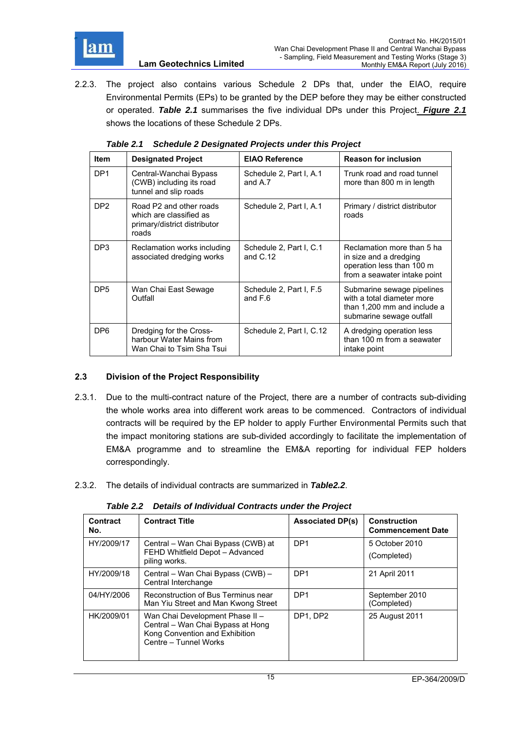

2.2.3. The project also contains various Schedule 2 DPs that, under the EIAO, require Environmental Permits (EPs) to be granted by the DEP before they may be either constructed or operated. *Table 2.1* summarises the five individual DPs under this Project. *Figure 2.1* shows the locations of these Schedule 2 DPs.

| <b>Item</b>     | <b>Designated Project</b>                                                                   | <b>EIAO Reference</b>                 | <b>Reason for inclusion</b>                                                                                         |
|-----------------|---------------------------------------------------------------------------------------------|---------------------------------------|---------------------------------------------------------------------------------------------------------------------|
| DP <sub>1</sub> | Central-Wanchai Bypass<br>(CWB) including its road<br>tunnel and slip roads                 | Schedule 2, Part I, A.1<br>and A.7    | Trunk road and road tunnel<br>more than 800 m in length                                                             |
| DP <sub>2</sub> | Road P2 and other roads<br>which are classified as<br>primary/district distributor<br>roads | Schedule 2, Part I, A.1               | Primary / district distributor<br>roads                                                                             |
| DP3             | Reclamation works including<br>associated dredging works                                    | Schedule 2, Part I, C.1<br>and $C.12$ | Reclamation more than 5 ha<br>in size and a dredging<br>operation less than 100 m<br>from a seawater intake point   |
| DP <sub>5</sub> | Wan Chai East Sewage<br>Outfall                                                             | Schedule 2, Part I, F.5<br>and $F.6$  | Submarine sewage pipelines<br>with a total diameter more<br>than 1,200 mm and include a<br>submarine sewage outfall |
| DP <sub>6</sub> | Dredging for the Cross-<br>harbour Water Mains from<br>Wan Chai to Tsim Sha Tsui            | Schedule 2, Part I, C.12              | A dredging operation less<br>than 100 m from a seawater<br>intake point                                             |

| Table 2.1 Schedule 2 Designated Projects under this Project |  |  |
|-------------------------------------------------------------|--|--|

## **2.3 Division of the Project Responsibility**

- 2.3.1. Due to the multi-contract nature of the Project, there are a number of contracts sub-dividing the whole works area into different work areas to be commenced. Contractors of individual contracts will be required by the EP holder to apply Further Environmental Permits such that the impact monitoring stations are sub-divided accordingly to facilitate the implementation of EM&A programme and to streamline the EM&A reporting for individual FEP holders correspondingly.
- 2.3.2. The details of individual contracts are summarized in *Table2.2*.

*Table 2.2 Details of Individual Contracts under the Project* 

| Contract<br>No. | <b>Contract Title</b>                                                                                                           | <b>Associated DP(s)</b> | <b>Construction</b><br><b>Commencement Date</b> |
|-----------------|---------------------------------------------------------------------------------------------------------------------------------|-------------------------|-------------------------------------------------|
| HY/2009/17      | Central – Wan Chai Bypass (CWB) at<br>FEHD Whitfield Depot - Advanced<br>piling works.                                          | DP <sub>1</sub>         | 5 October 2010<br>(Completed)                   |
| HY/2009/18      | Central – Wan Chai Bypass (CWB) –<br>Central Interchange                                                                        | DP <sub>1</sub>         | 21 April 2011                                   |
| 04/HY/2006      | Reconstruction of Bus Terminus near<br>Man Yiu Street and Man Kwong Street                                                      | DP <sub>1</sub>         | September 2010<br>(Completed)                   |
| HK/2009/01      | Wan Chai Development Phase II -<br>Central - Wan Chai Bypass at Hong<br>Kong Convention and Exhibition<br>Centre - Tunnel Works | DP1, DP2                | 25 August 2011                                  |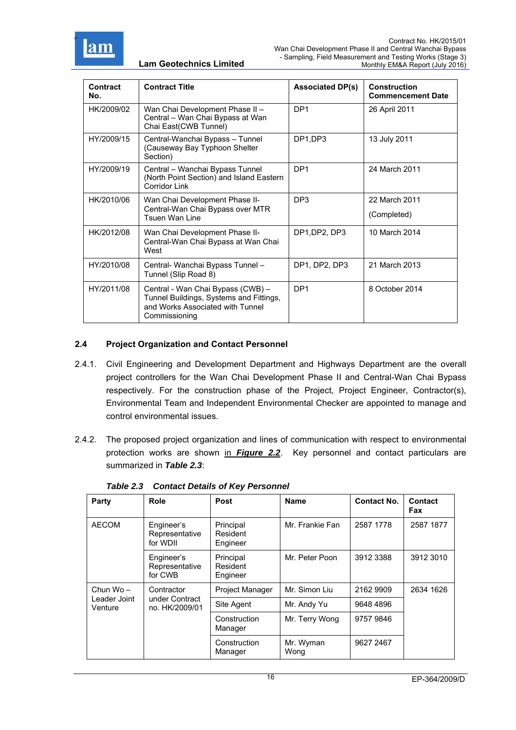

| <b>Contract</b><br>No. | <b>Contract Title</b>                                                                                                             | <b>Associated DP(s)</b> | <b>Construction</b><br><b>Commencement Date</b> |
|------------------------|-----------------------------------------------------------------------------------------------------------------------------------|-------------------------|-------------------------------------------------|
| HK/2009/02             | Wan Chai Development Phase II -<br>Central - Wan Chai Bypass at Wan<br>Chai East(CWB Tunnel)                                      | DP <sub>1</sub>         | 26 April 2011                                   |
| HY/2009/15             | Central-Wanchai Bypass - Tunnel<br>(Causeway Bay Typhoon Shelter<br>Section)                                                      | DP1,DP3                 | 13 July 2011                                    |
| HY/2009/19             | Central - Wanchai Bypass Tunnel<br>(North Point Section) and Island Eastern<br><b>Corridor Link</b>                               | DP <sub>1</sub>         | 24 March 2011                                   |
| HK/2010/06             | Wan Chai Development Phase II-<br>Central-Wan Chai Bypass over MTR<br>Tsuen Wan Line                                              | DP <sub>3</sub>         | 22 March 2011<br>(Completed)                    |
| HK/2012/08             | Wan Chai Development Phase II-<br>Central-Wan Chai Bypass at Wan Chai<br>West                                                     | DP1, DP2, DP3           | 10 March 2014                                   |
| HY/2010/08             | Central- Wanchai Bypass Tunnel -<br>Tunnel (Slip Road 8)                                                                          | DP1, DP2, DP3           | 21 March 2013                                   |
| HY/2011/08             | Central - Wan Chai Bypass (CWB) -<br>Tunnel Buildings, Systems and Fittings,<br>and Works Associated with Tunnel<br>Commissioning | DP <sub>1</sub>         | 8 October 2014                                  |

#### **2.4 Project Organization and Contact Personnel**

- 2.4.1. Civil Engineering and Development Department and Highways Department are the overall project controllers for the Wan Chai Development Phase II and Central-Wan Chai Bypass respectively. For the construction phase of the Project, Project Engineer, Contractor(s), Environmental Team and Independent Environmental Checker are appointed to manage and control environmental issues.
- 2.4.2. The proposed project organization and lines of communication with respect to environmental protection works are shown in *Figure 2.2*. Key personnel and contact particulars are summarized in *Table 2.3*:

| Party                   | Role                                           | <b>Post</b>                       | <b>Name</b>       | <b>Contact No.</b> | Contact<br>Fax |
|-------------------------|------------------------------------------------|-----------------------------------|-------------------|--------------------|----------------|
| <b>AECOM</b>            | Engineer's<br>Representative<br>for WDII       | Principal<br>Resident<br>Engineer | Mr. Frankie Fan   | 2587 1778          | 2587 1877      |
|                         | Engineer's<br>Representative<br>for CWB        | Principal<br>Resident<br>Engineer | Mr. Peter Poon    | 3912 3388          | 3912 3010      |
| Chun Wo-                | Contractor<br>under Contract<br>no. HK/2009/01 | <b>Project Manager</b>            | Mr. Simon Liu     | 2162 9909          | 2634 1626      |
| Leader Joint<br>Venture |                                                | Site Agent                        | Mr. Andy Yu       | 9648 4896          |                |
|                         |                                                | Construction<br>Manager           | Mr. Terry Wong    | 9757 9846          |                |
|                         |                                                | Construction<br>Manager           | Mr. Wyman<br>Wong | 9627 2467          |                |

|  |  | <b>Table 2.3 Contact Details of Key Personnel</b> |
|--|--|---------------------------------------------------|
|  |  |                                                   |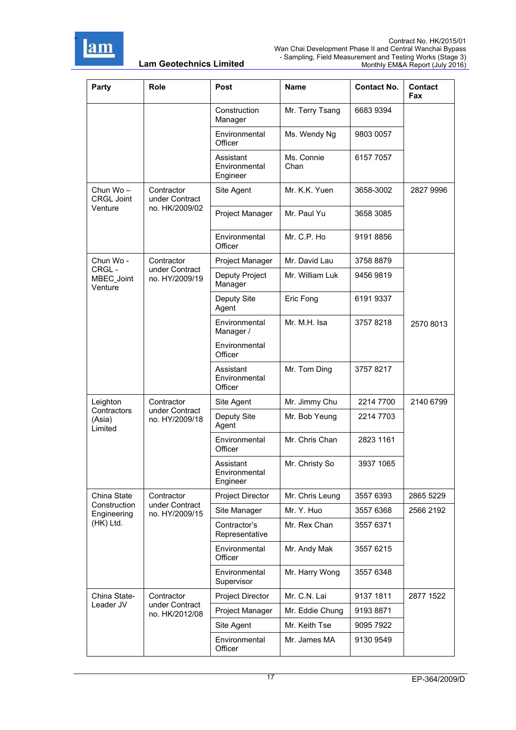

| Party                                 | Role                             | Post                                   | Name               | <b>Contact No.</b> | <b>Contact</b><br>Fax |
|---------------------------------------|----------------------------------|----------------------------------------|--------------------|--------------------|-----------------------|
|                                       |                                  | Construction<br>Manager                | Mr. Terry Tsang    | 6683 9394          |                       |
|                                       |                                  | Environmental<br>Officer               | Ms. Wendy Ng       | 9803 0057          |                       |
|                                       |                                  | Assistant<br>Environmental<br>Engineer | Ms. Connie<br>Chan | 6157 7057          |                       |
| Chun Wo-<br><b>CRGL Joint</b>         | Contractor<br>under Contract     | Site Agent                             | Mr. K.K. Yuen      | 3658-3002          | 2827 9996             |
| Venture                               | no. HK/2009/02                   | Project Manager                        | Mr. Paul Yu        | 3658 3085          |                       |
|                                       |                                  | Environmental<br>Officer               | Mr. C.P. Ho        | 9191 8856          |                       |
| Chun Wo -                             | Contractor                       | Project Manager                        | Mr. David Lau      | 3758 8879          |                       |
| CRGL-<br><b>MBEC Joint</b><br>Venture | under Contract<br>no. HY/2009/19 | Deputy Project<br>Manager              | Mr. William Luk    | 9456 9819          |                       |
|                                       |                                  | Deputy Site<br>Agent                   | Eric Fong          | 6191 9337          |                       |
|                                       |                                  | Environmental<br>Manager /             | Mr. M.H. Isa       | 37578218           | 2570 8013             |
|                                       |                                  | Environmental<br>Officer               |                    |                    |                       |
|                                       |                                  | Assistant<br>Environmental<br>Officer  | Mr. Tom Ding       | 3757 8217          |                       |
| Leighton                              | Contractor                       | Site Agent                             | Mr. Jimmy Chu      | 2214 7700          | 2140 6799             |
| Contractors<br>(Asia)<br>Limited      | under Contract<br>no. HY/2009/18 | Deputy Site<br>Agent                   | Mr. Bob Yeung      | 2214 7703          |                       |
|                                       |                                  | Environmental<br>Officer               | Mr. Chris Chan     | 2823 1161          |                       |
|                                       |                                  | Assistant<br>Environmental<br>Engineer | Mr. Christy So     | 3937 1065          |                       |
| China State                           | Contractor                       | <b>Project Director</b>                | Mr. Chris Leung    | 3557 6393          | 2865 5229             |
| Construction<br>Engineering           | under Contract<br>no. HY/2009/15 | Site Manager                           | Mr. Y. Huo         | 3557 6368          | 2566 2192             |
| (HK) Ltd.                             |                                  | Contractor's<br>Representative         | Mr. Rex Chan       | 3557 6371          |                       |
|                                       |                                  | Environmental<br>Officer               | Mr. Andy Mak       | 3557 6215          |                       |
|                                       |                                  | Environmental<br>Supervisor            | Mr. Harry Wong     | 3557 6348          |                       |
| China State-                          | Contractor                       | Project Director                       | Mr. C.N. Lai       | 9137 1811          | 2877 1522             |
| Leader JV                             | under Contract<br>no. HK/2012/08 | Project Manager                        | Mr. Eddie Chung    | 9193 8871          |                       |
|                                       |                                  | Site Agent                             | Mr. Keith Tse      | 9095 7922          |                       |
|                                       |                                  | Environmental<br>Officer               | Mr. James MA       | 9130 9549          |                       |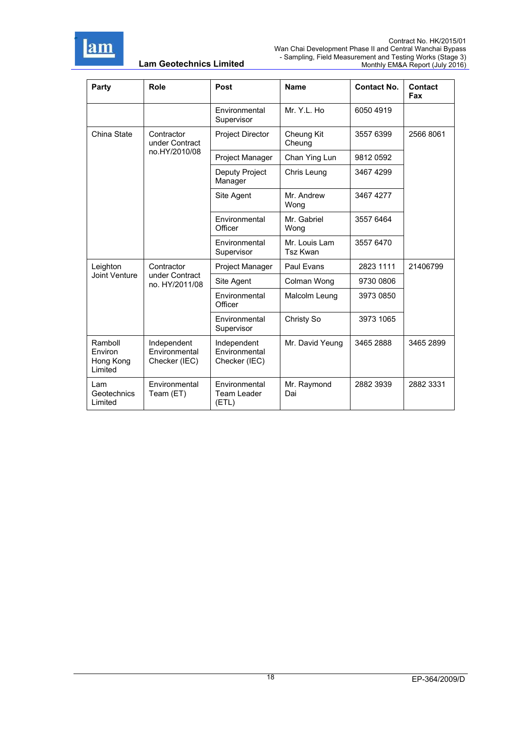

| Party                                      | Role                                           | Post                                          | <b>Name</b>               | <b>Contact No.</b> | Contact<br>Fax |
|--------------------------------------------|------------------------------------------------|-----------------------------------------------|---------------------------|--------------------|----------------|
|                                            |                                                | Environmental<br>Supervisor                   | Mr. Y.L. Ho               | 6050 4919          |                |
| China State                                | Contractor<br>under Contract                   | Project Director                              | Cheung Kit<br>Cheung      | 3557 6399          | 2566 8061      |
|                                            | no.HY/2010/08                                  | Project Manager                               | Chan Ying Lun             | 9812 0592          |                |
|                                            |                                                | Deputy Project<br>Manager                     | Chris Leung               | 34674299           |                |
|                                            |                                                | Site Agent                                    | Mr. Andrew<br>Wong        | 3467 4277          |                |
|                                            |                                                | Environmental<br>Officer                      | Mr. Gabriel<br>Wong       | 3557 6464          |                |
|                                            |                                                | Environmental<br>Supervisor                   | Mr. Louis Lam<br>Tsz Kwan | 3557 6470          |                |
| Leighton                                   | Contractor<br>under Contract<br>no. HY/2011/08 | Project Manager                               | Paul Evans                | 2823 1111          | 21406799       |
| Joint Venture                              |                                                | Site Agent                                    | Colman Wong               | 9730 0806          |                |
|                                            |                                                | Environmental<br>Officer                      | Malcolm Leung             | 3973 0850          |                |
|                                            |                                                | Environmental<br>Supervisor                   | Christy So                | 3973 1065          |                |
| Ramboll<br>Environ<br>Hong Kong<br>Limited | Independent<br>Environmental<br>Checker (IEC)  | Independent<br>Environmental<br>Checker (IEC) | Mr. David Yeung           | 3465 2888          | 3465 2899      |
| Lam<br>Geotechnics<br>Limited              | Environmental<br>Team (ET)                     | Environmental<br>Team Leader<br>(ETL)         | Mr. Raymond<br>Dai        | 2882 3939          | 2882 3331      |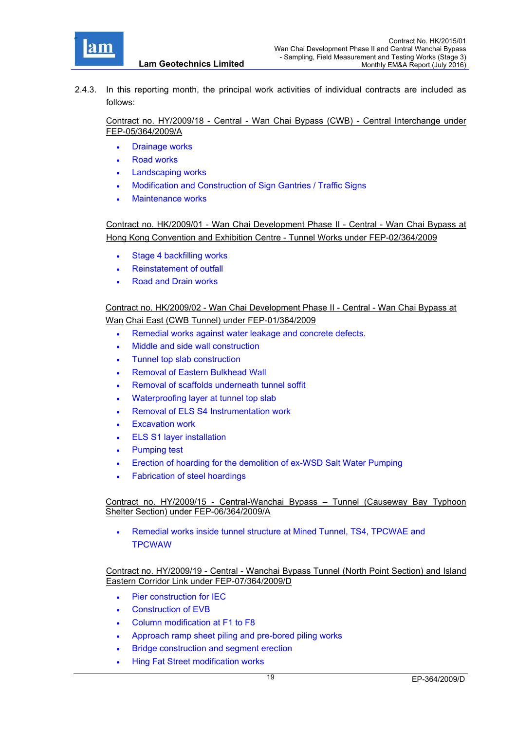

2.4.3. In this reporting month, the principal work activities of individual contracts are included as follows:

Contract no. HY/2009/18 - Central - Wan Chai Bypass (CWB) - Central Interchange under FEP-05/364/2009/A

- Drainage works
- Road works
- Landscaping works
- Modification and Construction of Sign Gantries / Traffic Signs
- Maintenance works

Contract no. HK/2009/01 - Wan Chai Development Phase II - Central - Wan Chai Bypass at Hong Kong Convention and Exhibition Centre - Tunnel Works under FEP-02/364/2009

- Stage 4 backfilling works
- Reinstatement of outfall
- Road and Drain works

Contract no. HK/2009/02 - Wan Chai Development Phase II - Central - Wan Chai Bypass at Wan Chai East (CWB Tunnel) under FEP-01/364/2009

- Remedial works against water leakage and concrete defects.
- Middle and side wall construction
- Tunnel top slab construction
- Removal of Eastern Bulkhead Wall
- Removal of scaffolds underneath tunnel soffit
- Waterproofing layer at tunnel top slab
- Removal of ELS S4 Instrumentation work
- Excavation work
- ELS S1 layer installation
- Pumping test
- Erection of hoarding for the demolition of ex-WSD Salt Water Pumping
- Fabrication of steel hoardings

Contract no. HY/2009/15 - Central-Wanchai Bypass – Tunnel (Causeway Bay Typhoon Shelter Section) under FEP-06/364/2009/A

 Remedial works inside tunnel structure at Mined Tunnel, TS4, TPCWAE and **TPCWAW** 

Contract no. HY/2009/19 - Central - Wanchai Bypass Tunnel (North Point Section) and Island Eastern Corridor Link under FEP-07/364/2009/D

- Pier construction for IEC
- Construction of EVB
- Column modification at F1 to F8
- Approach ramp sheet piling and pre-bored piling works
- **•** Bridge construction and segment erection
- Hing Fat Street modification works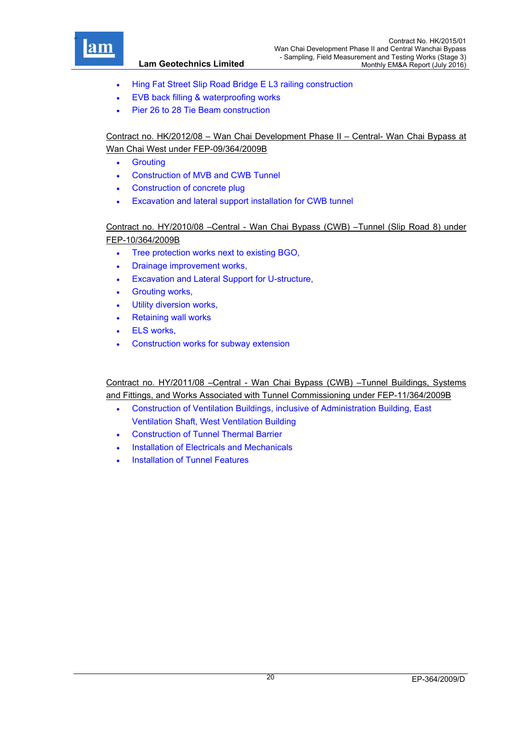

- Hing Fat Street Slip Road Bridge E L3 railing construction
- EVB back filling & waterproofing works
- Pier 26 to 28 Tie Beam construction

Contract no. HK/2012/08 – Wan Chai Development Phase II – Central- Wan Chai Bypass at Wan Chai West under FEP-09/364/2009B

- **•** Grouting
- Construction of MVB and CWB Tunnel
- Construction of concrete plug
- Excavation and lateral support installation for CWB tunnel

Contract no. HY/2010/08 –Central - Wan Chai Bypass (CWB) –Tunnel (Slip Road 8) under FEP-10/364/2009B

- Tree protection works next to existing BGO,
- Drainage improvement works,
- Excavation and Lateral Support for U-structure,
- **•** Grouting works.
- Utility diversion works,
- Retaining wall works
- ELS works.
- Construction works for subway extension

Contract no. HY/2011/08 –Central - Wan Chai Bypass (CWB) –Tunnel Buildings, Systems and Fittings, and Works Associated with Tunnel Commissioning under FEP-11/364/2009B

- Construction of Ventilation Buildings, inclusive of Administration Building, East Ventilation Shaft, West Ventilation Building
- Construction of Tunnel Thermal Barrier
- Installation of Electricals and Mechanicals
- Installation of Tunnel Features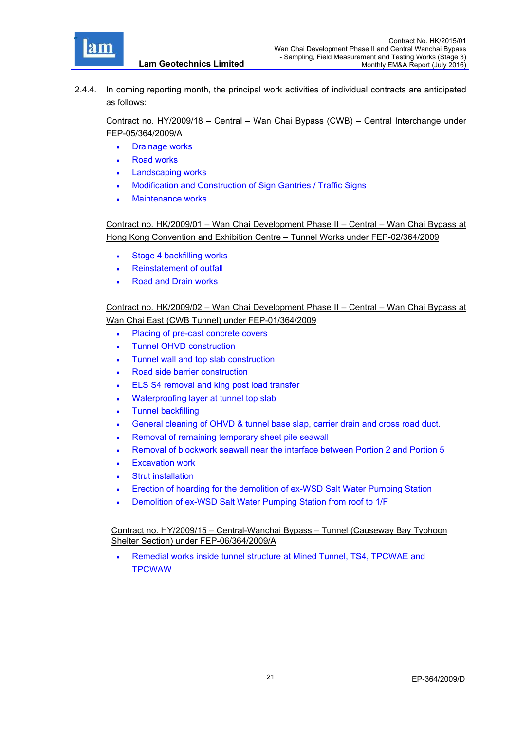

2.4.4. In coming reporting month, the principal work activities of individual contracts are anticipated as follows:

Contract no. HY/2009/18 – Central – Wan Chai Bypass (CWB) – Central Interchange under FEP-05/364/2009/A

- Drainage works
- Road works
- Landscaping works
- Modification and Construction of Sign Gantries / Traffic Signs
- Maintenance works

Contract no. HK/2009/01 – Wan Chai Development Phase II – Central – Wan Chai Bypass at Hong Kong Convention and Exhibition Centre – Tunnel Works under FEP-02/364/2009

- Stage 4 backfilling works
- Reinstatement of outfall
- Road and Drain works

Contract no. HK/2009/02 – Wan Chai Development Phase II – Central – Wan Chai Bypass at Wan Chai East (CWB Tunnel) under FEP-01/364/2009

- Placing of pre-cast concrete covers
- Tunnel OHVD construction
- Tunnel wall and top slab construction
- Road side barrier construction
- ELS S4 removal and king post load transfer
- Waterproofing layer at tunnel top slab
- Tunnel backfilling
- General cleaning of OHVD & tunnel base slap, carrier drain and cross road duct.
- Removal of remaining temporary sheet pile seawall
- Removal of blockwork seawall near the interface between Portion 2 and Portion 5
- Excavation work
- Strut installation
- Erection of hoarding for the demolition of ex-WSD Salt Water Pumping Station
- Demolition of ex-WSD Salt Water Pumping Station from roof to 1/F

Contract no. HY/2009/15 – Central-Wanchai Bypass – Tunnel (Causeway Bay Typhoon Shelter Section) under FEP-06/364/2009/A

 Remedial works inside tunnel structure at Mined Tunnel, TS4, TPCWAE and **TPCWAW**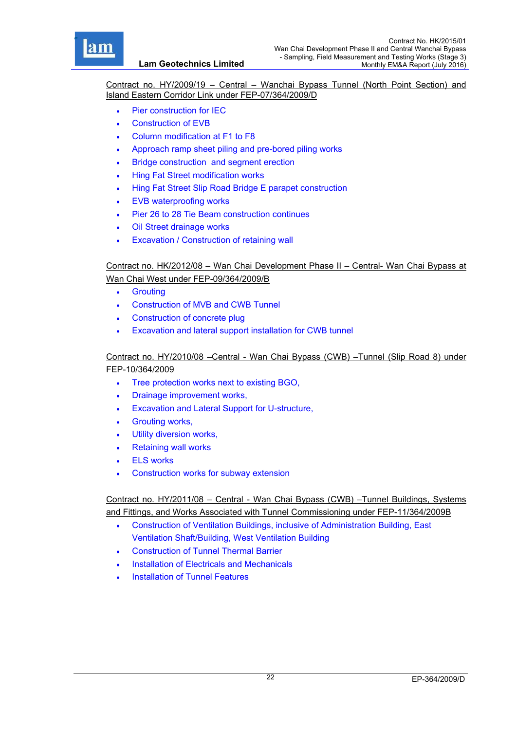

Contract no. HY/2009/19 – Central – Wanchai Bypass Tunnel (North Point Section) and Island Eastern Corridor Link under FEP-07/364/2009/D

- Pier construction for IEC
- Construction of EVB
- Column modification at F1 to F8
- Approach ramp sheet piling and pre-bored piling works
- Bridge construction and segment erection
- Hing Fat Street modification works
- Hing Fat Street Slip Road Bridge E parapet construction
- EVB waterproofing works
- Pier 26 to 28 Tie Beam construction continues
- Oil Street drainage works
- Excavation / Construction of retaining wall

# Contract no. HK/2012/08 – Wan Chai Development Phase II – Central- Wan Chai Bypass at Wan Chai West under FEP-09/364/2009/B

- **•** Grouting
- Construction of MVB and CWB Tunnel
- Construction of concrete plug
- Excavation and lateral support installation for CWB tunnel

### Contract no. HY/2010/08 –Central - Wan Chai Bypass (CWB) –Tunnel (Slip Road 8) under FEP-10/364/2009

- Tree protection works next to existing BGO,
- Drainage improvement works,
- Excavation and Lateral Support for U-structure,
- Grouting works,
- Utility diversion works,
- Retaining wall works
- ELS works
- Construction works for subway extension

Contract no. HY/2011/08 – Central - Wan Chai Bypass (CWB) –Tunnel Buildings, Systems and Fittings, and Works Associated with Tunnel Commissioning under FEP-11/364/2009B

- Construction of Ventilation Buildings, inclusive of Administration Building, East Ventilation Shaft/Building, West Ventilation Building
- Construction of Tunnel Thermal Barrier
- Installation of Electricals and Mechanicals
- Installation of Tunnel Features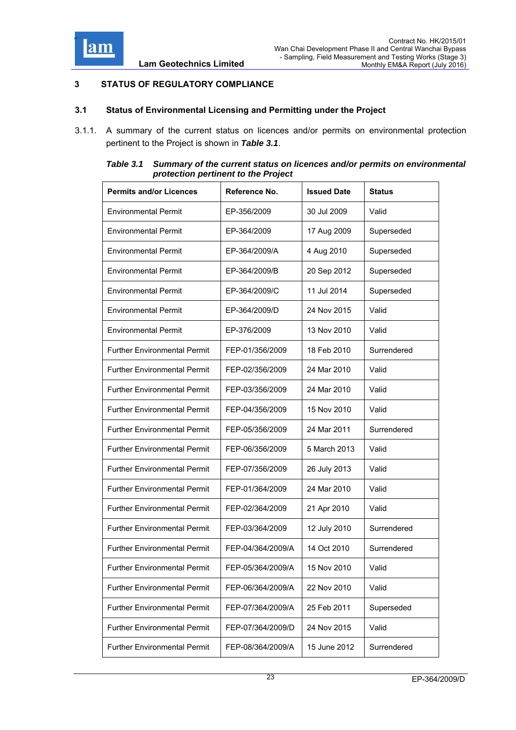

## **3 STATUS OF REGULATORY COMPLIANCE**

#### **3.1 Status of Environmental Licensing and Permitting under the Project**

3.1.1. A summary of the current status on licences and/or permits on environmental protection pertinent to the Project is shown in *Table 3.1*.

| Table 3.1 | Summary of the current status on licences and/or permits on environmental |
|-----------|---------------------------------------------------------------------------|
|           | protection pertinent to the Project                                       |

| <b>Permits and/or Licences</b>      | Reference No.     | <b>Issued Date</b> | <b>Status</b> |
|-------------------------------------|-------------------|--------------------|---------------|
| <b>Environmental Permit</b>         | EP-356/2009       | 30 Jul 2009        | Valid         |
| <b>Environmental Permit</b>         | EP-364/2009       | 17 Aug 2009        | Superseded    |
| <b>Environmental Permit</b>         | EP-364/2009/A     | 4 Aug 2010         | Superseded    |
| <b>Environmental Permit</b>         | EP-364/2009/B     | 20 Sep 2012        | Superseded    |
| <b>Environmental Permit</b>         | EP-364/2009/C     | 11 Jul 2014        | Superseded    |
| <b>Environmental Permit</b>         | EP-364/2009/D     | 24 Nov 2015        | Valid         |
| <b>Environmental Permit</b>         | EP-376/2009       | 13 Nov 2010        | Valid         |
| <b>Further Environmental Permit</b> | FEP-01/356/2009   | 18 Feb 2010        | Surrendered   |
| <b>Further Environmental Permit</b> | FEP-02/356/2009   | 24 Mar 2010        | Valid         |
| <b>Further Environmental Permit</b> | FEP-03/356/2009   | 24 Mar 2010        | Valid         |
| <b>Further Environmental Permit</b> | FEP-04/356/2009   | 15 Nov 2010        | Valid         |
| <b>Further Environmental Permit</b> | FEP-05/356/2009   | 24 Mar 2011        | Surrendered   |
| <b>Further Environmental Permit</b> | FEP-06/356/2009   | 5 March 2013       | Valid         |
| <b>Further Environmental Permit</b> | FEP-07/356/2009   | 26 July 2013       | Valid         |
| <b>Further Environmental Permit</b> | FEP-01/364/2009   | 24 Mar 2010        | Valid         |
| <b>Further Environmental Permit</b> | FEP-02/364/2009   | 21 Apr 2010        | Valid         |
| <b>Further Environmental Permit</b> | FEP-03/364/2009   | 12 July 2010       | Surrendered   |
| <b>Further Environmental Permit</b> | FEP-04/364/2009/A | 14 Oct 2010        | Surrendered   |
| <b>Further Environmental Permit</b> | FEP-05/364/2009/A | 15 Nov 2010        | Valid         |
| <b>Further Environmental Permit</b> | FEP-06/364/2009/A | 22 Nov 2010        | Valid         |
| <b>Further Environmental Permit</b> | FEP-07/364/2009/A | 25 Feb 2011        | Superseded    |
| <b>Further Environmental Permit</b> | FEP-07/364/2009/D | 24 Nov 2015        | Valid         |
| <b>Further Environmental Permit</b> | FEP-08/364/2009/A | 15 June 2012       | Surrendered   |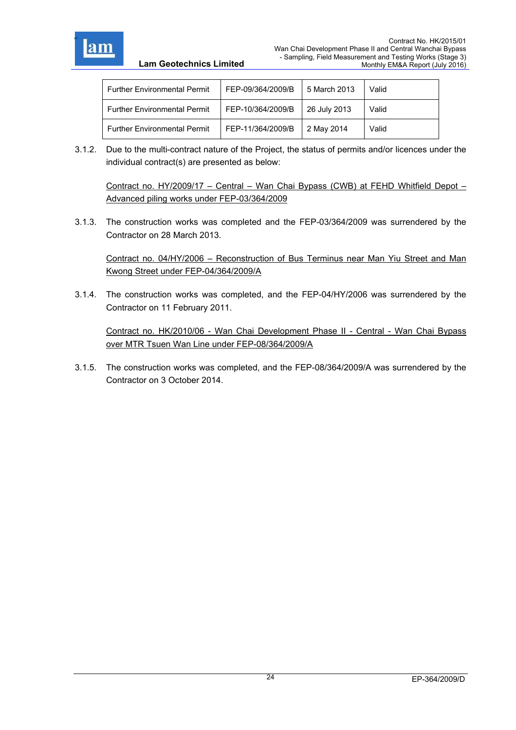

| Lam Geotechnics Limited |  |  |  |  |
|-------------------------|--|--|--|--|
|-------------------------|--|--|--|--|

| Further Environmental Permit   | FEP-09/364/2009/B | 5 March 2013 | Valid |
|--------------------------------|-------------------|--------------|-------|
| l Further Environmental Permit | FEP-10/364/2009/B | 26 July 2013 | Valid |
| l Further Environmental Permit | FEP-11/364/2009/B | 2 May 2014   | Valid |

3.1.2. Due to the multi-contract nature of the Project, the status of permits and/or licences under the individual contract(s) are presented as below:

Contract no. HY/2009/17 – Central – Wan Chai Bypass (CWB) at FEHD Whitfield Depot – Advanced piling works under FEP-03/364/2009

3.1.3. The construction works was completed and the FEP-03/364/2009 was surrendered by the Contractor on 28 March 2013.

Contract no. 04/HY/2006 – Reconstruction of Bus Terminus near Man Yiu Street and Man Kwong Street under FEP-04/364/2009/A

3.1.4. The construction works was completed, and the FEP-04/HY/2006 was surrendered by the Contractor on 11 February 2011.

Contract no. HK/2010/06 - Wan Chai Development Phase II - Central - Wan Chai Bypass over MTR Tsuen Wan Line under FEP-08/364/2009/A

3.1.5. The construction works was completed, and the FEP-08/364/2009/A was surrendered by the Contractor on 3 October 2014.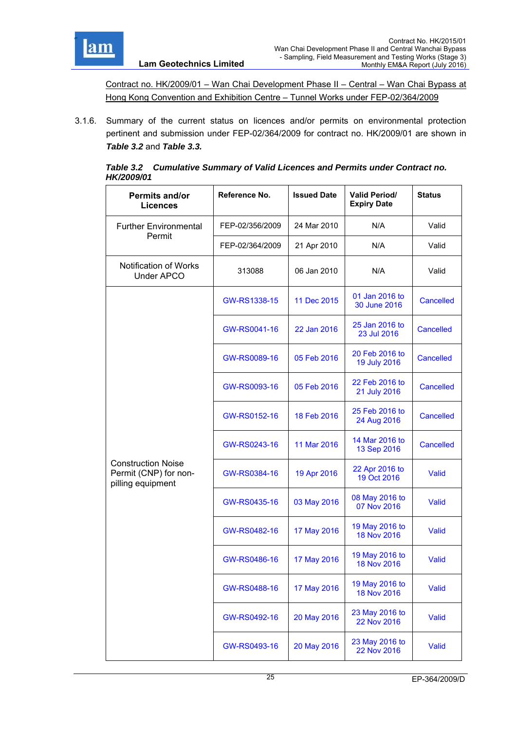

Contract no. HK/2009/01 – Wan Chai Development Phase II – Central – Wan Chai Bypass at Hong Kong Convention and Exhibition Centre – Tunnel Works under FEP-02/364/2009

3.1.6. Summary of the current status on licences and/or permits on environmental protection pertinent and submission under FEP-02/364/2009 for contract no. HK/2009/01 are shown in *Table 3.2* and *Table 3.3.*

|                   | Table 3.2 Cumulative Summary of Valid Licences and Permits under Contract no. |
|-------------------|-------------------------------------------------------------------------------|
| <b>HK/2009/01</b> |                                                                               |

| <b>Permits and/or</b><br><b>Licences</b>                                | Reference No.   | <b>Issued Date</b> | <b>Valid Period/</b><br><b>Expiry Date</b> | <b>Status</b>    |
|-------------------------------------------------------------------------|-----------------|--------------------|--------------------------------------------|------------------|
| <b>Further Environmental</b>                                            | FEP-02/356/2009 | 24 Mar 2010        | N/A                                        | Valid            |
| Permit                                                                  | FEP-02/364/2009 | 21 Apr 2010        | N/A                                        | Valid            |
| Notification of Works<br><b>Under APCO</b>                              | 313088          | 06 Jan 2010        | N/A                                        | Valid            |
|                                                                         | GW-RS1338-15    | 11 Dec 2015        | 01 Jan 2016 to<br>30 June 2016             | <b>Cancelled</b> |
|                                                                         | GW-RS0041-16    | 22 Jan 2016        | 25 Jan 2016 to<br>23 Jul 2016              | <b>Cancelled</b> |
|                                                                         | GW-RS0089-16    | 05 Feb 2016        | 20 Feb 2016 to<br>19 July 2016             | Cancelled        |
|                                                                         | GW-RS0093-16    | 05 Feb 2016        | 22 Feb 2016 to<br>21 July 2016             | <b>Cancelled</b> |
|                                                                         | GW-RS0152-16    | 18 Feb 2016        | 25 Feb 2016 to<br>24 Aug 2016              | <b>Cancelled</b> |
|                                                                         | GW-RS0243-16    | 11 Mar 2016        | 14 Mar 2016 to<br>13 Sep 2016              | <b>Cancelled</b> |
| <b>Construction Noise</b><br>Permit (CNP) for non-<br>pilling equipment | GW-RS0384-16    | 19 Apr 2016        | 22 Apr 2016 to<br>19 Oct 2016              | <b>Valid</b>     |
|                                                                         | GW-RS0435-16    | 03 May 2016        | 08 May 2016 to<br>07 Nov 2016              | Valid            |
|                                                                         | GW-RS0482-16    | 17 May 2016        | 19 May 2016 to<br>18 Nov 2016              | Valid            |
|                                                                         | GW-RS0486-16    | 17 May 2016        | 19 May 2016 to<br>18 Nov 2016              | Valid            |
|                                                                         | GW-RS0488-16    | 17 May 2016        | 19 May 2016 to<br>18 Nov 2016              | Valid            |
|                                                                         | GW-RS0492-16    | 20 May 2016        | 23 May 2016 to<br>22 Nov 2016              | <b>Valid</b>     |
|                                                                         | GW-RS0493-16    | 20 May 2016        | 23 May 2016 to<br>22 Nov 2016              | Valid            |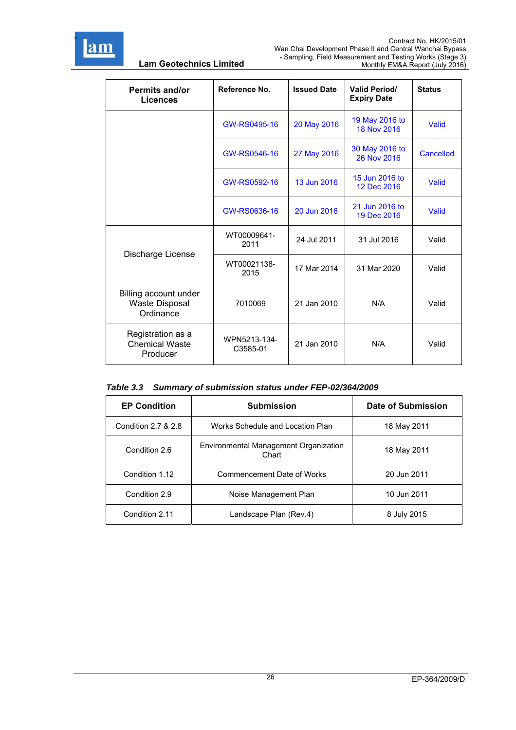

| Permits and/or<br><b>Licences</b>                           | Reference No.            | <b>Issued Date</b> | <b>Valid Period/</b><br><b>Expiry Date</b> | <b>Status</b> |
|-------------------------------------------------------------|--------------------------|--------------------|--------------------------------------------|---------------|
|                                                             | GW-RS0495-16             | 20 May 2016        | 19 May 2016 to<br>18 Nov 2016              | Valid         |
|                                                             | GW-RS0546-16             | 27 May 2016        | 30 May 2016 to<br>26 Nov 2016              | Cancelled     |
|                                                             | GW-RS0592-16             | 13 Jun 2016        | 15 Jun 2016 to<br>12 Dec 2016              | Valid         |
|                                                             | GW-RS0636-16             | 20 Jun 2016        | 21 Jun 2016 to<br>19 Dec 2016              | Valid         |
|                                                             | WT00009641-<br>2011      | 24 Jul 2011        | 31 Jul 2016                                | Valid         |
| Discharge License                                           | WT00021138-<br>2015      | 17 Mar 2014        | 31 Mar 2020                                | Valid         |
| Billing account under<br><b>Waste Disposal</b><br>Ordinance | 7010069                  | 21 Jan 2010        | N/A                                        | Valid         |
| Registration as a<br><b>Chemical Waste</b><br>Producer      | WPN5213-134-<br>C3585-01 | 21 Jan 2010        | N/A                                        | Valid         |

*Table 3.3 Summary of submission status under FEP-02/364/2009* 

| <b>EP Condition</b><br><b>Submission</b> |                                                | Date of Submission |
|------------------------------------------|------------------------------------------------|--------------------|
| Condition 2.7 & 2.8                      | Works Schedule and Location Plan               | 18 May 2011        |
| Condition 2.6                            | Environmental Management Organization<br>Chart | 18 May 2011        |
| Condition 1.12                           | Commencement Date of Works                     | 20 Jun 2011        |
| Condition 2.9                            | Noise Management Plan                          | 10 Jun 2011        |
| Condition 2.11                           | Landscape Plan (Rev.4)                         | 8 July 2015        |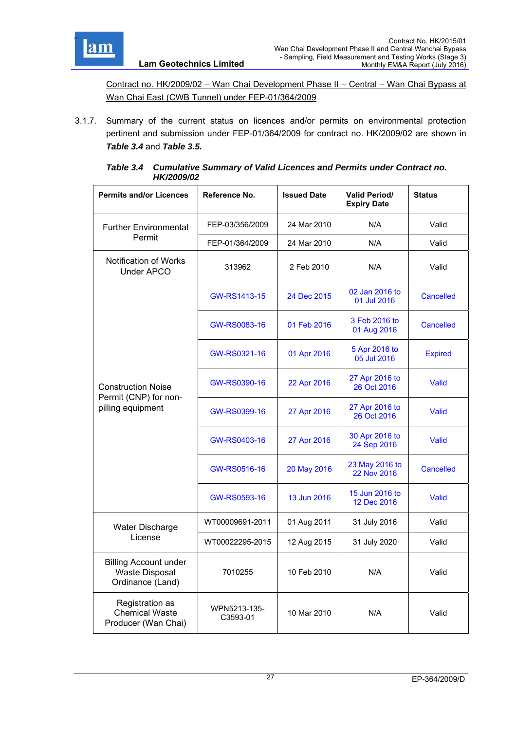

Contract no. HK/2009/02 – Wan Chai Development Phase II – Central – Wan Chai Bypass at Wan Chai East (CWB Tunnel) under FEP-01/364/2009

3.1.7. Summary of the current status on licences and/or permits on environmental protection pertinent and submission under FEP-01/364/2009 for contract no. HK/2009/02 are shown in *Table 3.4* and *Table 3.5.*

| Table 3.4 Cumulative Summary of Valid Licences and Permits under Contract no. |
|-------------------------------------------------------------------------------|
| <b>HK/2009/02</b>                                                             |

| <b>Permits and/or Licences</b>                                            | Reference No.            | <b>Issued Date</b> | <b>Valid Period/</b><br><b>Expiry Date</b> | <b>Status</b>    |
|---------------------------------------------------------------------------|--------------------------|--------------------|--------------------------------------------|------------------|
| <b>Further Environmental</b>                                              | FEP-03/356/2009          | 24 Mar 2010        | N/A                                        | Valid            |
| Permit                                                                    | FEP-01/364/2009          | 24 Mar 2010        | N/A                                        | Valid            |
| Notification of Works<br><b>Under APCO</b>                                | 313962                   | 2 Feb 2010         | N/A                                        | Valid            |
|                                                                           | GW-RS1413-15             | 24 Dec 2015        | 02 Jan 2016 to<br>01 Jul 2016              | <b>Cancelled</b> |
|                                                                           | GW-RS0083-16             | 01 Feb 2016        | 3 Feb 2016 to<br>01 Aug 2016               | <b>Cancelled</b> |
|                                                                           | GW-RS0321-16             | 01 Apr 2016        | 5 Apr 2016 to<br>05 Jul 2016               | <b>Expired</b>   |
| <b>Construction Noise</b>                                                 | GW-RS0390-16             | 22 Apr 2016        | 27 Apr 2016 to<br>26 Oct 2016              | Valid            |
| Permit (CNP) for non-<br>pilling equipment                                | GW-RS0399-16             | 27 Apr 2016        | 27 Apr 2016 to<br>26 Oct 2016              | Valid            |
|                                                                           | GW-RS0403-16             | 27 Apr 2016        | 30 Apr 2016 to<br>24 Sep 2016              | Valid            |
|                                                                           | GW-RS0516-16             | 20 May 2016        | 23 May 2016 to<br>22 Nov 2016              | Cancelled        |
|                                                                           | GW-RS0593-16             | 13 Jun 2016        | 15 Jun 2016 to<br>12 Dec 2016              | Valid            |
| Water Discharge                                                           | WT00009691-2011          | 01 Aug 2011        | 31 July 2016                               | Valid            |
| License                                                                   | WT00022295-2015          | 12 Aug 2015        | 31 July 2020                               | Valid            |
| <b>Billing Account under</b><br><b>Waste Disposal</b><br>Ordinance (Land) | 7010255                  | 10 Feb 2010        | N/A                                        | Valid            |
| Registration as<br><b>Chemical Waste</b><br>Producer (Wan Chai)           | WPN5213-135-<br>C3593-01 | 10 Mar 2010        | N/A                                        | Valid            |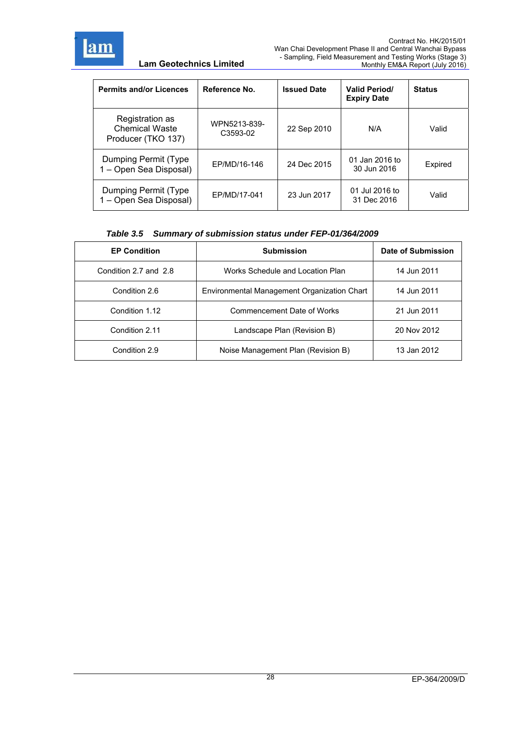

| <b>Permits and/or Licences</b>                                 | Reference No.            | <b>Issued Date</b> | <b>Valid Period/</b><br><b>Expiry Date</b> | <b>Status</b> |
|----------------------------------------------------------------|--------------------------|--------------------|--------------------------------------------|---------------|
| Registration as<br><b>Chemical Waste</b><br>Producer (TKO 137) | WPN5213-839-<br>C3593-02 | 22 Sep 2010        | N/A                                        | Valid         |
| Dumping Permit (Type<br>1 - Open Sea Disposal)                 | EP/MD/16-146             | 24 Dec 2015        | 01 Jan 2016 to<br>30 Jun 2016              | Expired       |
| Dumping Permit (Type<br>1 - Open Sea Disposal)                 | EP/MD/17-041             | 23 Jun 2017        | 01 Jul 2016 to<br>31 Dec 2016              | Valid         |

# *Table 3.5 Summary of submission status under FEP-01/364/2009*

| <b>EP Condition</b>   | <b>Submission</b>                           | Date of Submission |
|-----------------------|---------------------------------------------|--------------------|
| Condition 2.7 and 2.8 | Works Schedule and Location Plan            | 14 Jun 2011        |
| Condition 2.6         | Environmental Management Organization Chart | 14 Jun 2011        |
| Condition 1.12        | Commencement Date of Works                  | 21 Jun 2011        |
| Condition 2.11        | Landscape Plan (Revision B)                 | 20 Nov 2012        |
| Condition 2.9         | Noise Management Plan (Revision B)          | 13 Jan 2012        |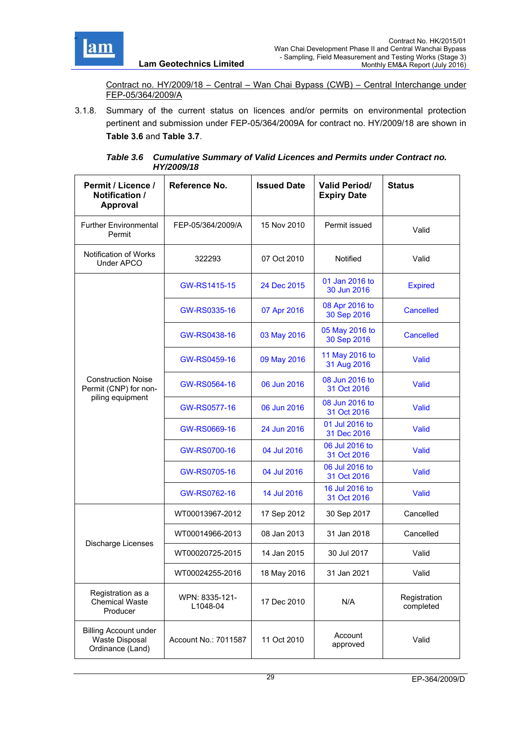

Contract no. HY/2009/18 – Central – Wan Chai Bypass (CWB) – Central Interchange under FEP-05/364/2009/A

3.1.8. Summary of the current status on licences and/or permits on environmental protection pertinent and submission under FEP-05/364/2009A for contract no. HY/2009/18 are shown in **Table 3.6** and **Table 3.7**.

| Permit / Licence /<br>Notification /<br><b>Approval</b>                   | Reference No.              | <b>Issued Date</b> | <b>Valid Period/</b><br><b>Expiry Date</b> | <b>Status</b>             |
|---------------------------------------------------------------------------|----------------------------|--------------------|--------------------------------------------|---------------------------|
| <b>Further Environmental</b><br>Permit                                    | FEP-05/364/2009/A          | 15 Nov 2010        | Permit issued                              | Valid                     |
| <b>Notification of Works</b><br>Under APCO                                | 322293                     | 07 Oct 2010        | Notified                                   | Valid                     |
|                                                                           | GW-RS1415-15               | 24 Dec 2015        | 01 Jan 2016 to<br>30 Jun 2016              | <b>Expired</b>            |
|                                                                           | GW-RS0335-16               | 07 Apr 2016        | 08 Apr 2016 to<br>30 Sep 2016              | <b>Cancelled</b>          |
|                                                                           | GW-RS0438-16               | 03 May 2016        | 05 May 2016 to<br>30 Sep 2016              | <b>Cancelled</b>          |
|                                                                           | GW-RS0459-16               | 09 May 2016        | 11 May 2016 to<br>31 Aug 2016              | Valid                     |
| <b>Construction Noise</b><br>Permit (CNP) for non-                        | GW-RS0564-16               | 06 Jun 2016        | 08 Jun 2016 to<br>31 Oct 2016              | Valid                     |
| piling equipment                                                          | GW-RS0577-16               | 06 Jun 2016        | 08 Jun 2016 to<br>31 Oct 2016              | Valid                     |
|                                                                           | GW-RS0669-16               | 24 Jun 2016        | 01 Jul 2016 to<br>31 Dec 2016              | Valid                     |
|                                                                           | GW-RS0700-16               | 04 Jul 2016        | 06 Jul 2016 to<br>31 Oct 2016              | Valid                     |
|                                                                           | GW-RS0705-16               | 04 Jul 2016        | 06 Jul 2016 to<br>31 Oct 2016              | Valid                     |
|                                                                           | GW-RS0762-16               | 14 Jul 2016        | 16 Jul 2016 to<br>31 Oct 2016              | Valid                     |
|                                                                           | WT00013967-2012            | 17 Sep 2012        | 30 Sep 2017                                | Cancelled                 |
| Discharge Licenses                                                        | WT00014966-2013            | 08 Jan 2013        | 31 Jan 2018                                | Cancelled                 |
|                                                                           | WT00020725-2015            | 14 Jan 2015        | 30 Jul 2017                                | Valid                     |
|                                                                           | WT00024255-2016            | 18 May 2016        | 31 Jan 2021                                | Valid                     |
| Registration as a<br><b>Chemical Waste</b><br>Producer                    | WPN: 8335-121-<br>L1048-04 | 17 Dec 2010        | N/A                                        | Registration<br>completed |
| <b>Billing Account under</b><br><b>Waste Disposal</b><br>Ordinance (Land) | Account No.: 7011587       | 11 Oct 2010        | Account<br>approved                        | Valid                     |

*Table 3.6 Cumulative Summary of Valid Licences and Permits under Contract no. HY/2009/18*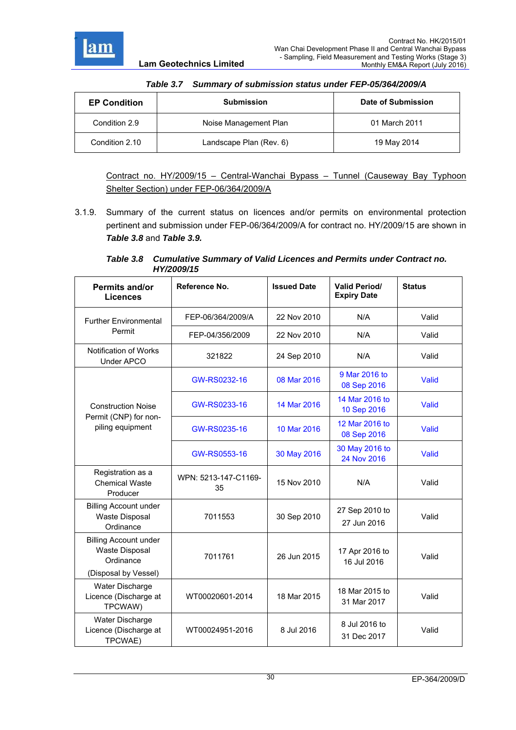

| <b>Utilitially Of Subtilission Status and The FOUSO-REUGLA</b> |                         |                    |  |
|----------------------------------------------------------------|-------------------------|--------------------|--|
| <b>EP Condition</b>                                            | <b>Submission</b>       | Date of Submission |  |
| Condition 2.9                                                  | Noise Management Plan   | 01 March 2011      |  |
| Condition 2.10                                                 | Landscape Plan (Rev. 6) | 19 May 2014        |  |

## *Table 3.7 Summary of submission status under FEP-05/364/2009/A*

Contract no. HY/2009/15 – Central-Wanchai Bypass – Tunnel (Causeway Bay Typhoon Shelter Section) under FEP-06/364/2009/A

3.1.9. Summary of the current status on licences and/or permits on environmental protection pertinent and submission under FEP-06/364/2009/A for contract no. HY/2009/15 are shown in *Table 3.8* and *Table 3.9.*

*Table 3.8 Cumulative Summary of Valid Licences and Permits under Contract no. HY/2009/15*

| Permits and/or<br><b>Licences</b>                                                          | Reference No.              | <b>Issued Date</b> | <b>Valid Period/</b><br><b>Expiry Date</b> | <b>Status</b> |
|--------------------------------------------------------------------------------------------|----------------------------|--------------------|--------------------------------------------|---------------|
| <b>Further Environmental</b>                                                               | FEP-06/364/2009/A          | 22 Nov 2010        | N/A                                        | Valid         |
| Permit                                                                                     | FEP-04/356/2009            | 22 Nov 2010        | N/A                                        | Valid         |
| Notification of Works<br><b>Under APCO</b>                                                 | 321822                     | 24 Sep 2010        | N/A                                        | Valid         |
|                                                                                            | GW-RS0232-16               | 08 Mar 2016        | 9 Mar 2016 to<br>08 Sep 2016               | Valid         |
| <b>Construction Noise</b>                                                                  | GW-RS0233-16               | 14 Mar 2016        | 14 Mar 2016 to<br>10 Sep 2016              | Valid         |
| Permit (CNP) for non-<br>piling equipment                                                  | GW-RS0235-16               | 10 Mar 2016        | 12 Mar 2016 to<br>08 Sep 2016              | Valid         |
|                                                                                            | GW-RS0553-16               | 30 May 2016        | 30 May 2016 to<br>24 Nov 2016              | Valid         |
| Registration as a<br><b>Chemical Waste</b><br>Producer                                     | WPN: 5213-147-C1169-<br>35 | 15 Nov 2010        | N/A                                        | Valid         |
| <b>Billing Account under</b><br><b>Waste Disposal</b><br>Ordinance                         | 7011553                    | 30 Sep 2010        | 27 Sep 2010 to<br>27 Jun 2016              | Valid         |
| <b>Billing Account under</b><br><b>Waste Disposal</b><br>Ordinance<br>(Disposal by Vessel) | 7011761                    | 26 Jun 2015        | 17 Apr 2016 to<br>16 Jul 2016              | Valid         |
| Water Discharge<br>Licence (Discharge at<br>TPCWAW)                                        | WT00020601-2014            | 18 Mar 2015        | 18 Mar 2015 to<br>31 Mar 2017              | Valid         |
| Water Discharge<br>Licence (Discharge at<br>TPCWAE)                                        | WT00024951-2016            | 8 Jul 2016         | 8 Jul 2016 to<br>31 Dec 2017               | Valid         |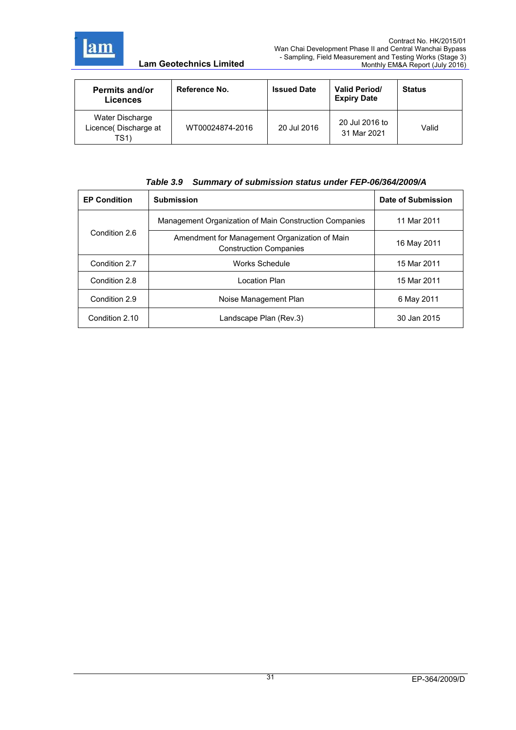

| <b>Permits and/or</b><br><b>Licences</b>        | Reference No.   | <b>Issued Date</b> | <b>Valid Period/</b><br><b>Expiry Date</b> | <b>Status</b> |
|-------------------------------------------------|-----------------|--------------------|--------------------------------------------|---------------|
| Water Discharge<br>Licence(Discharge at<br>TS1) | WT00024874-2016 | 20 Jul 2016        | 20 Jul 2016 to<br>31 Mar 2021              | Valid         |

### *Table 3.9 Summary of submission status under FEP-06/364/2009/A*

| <b>EP Condition</b> | <b>Submission</b>                                                              | Date of Submission |
|---------------------|--------------------------------------------------------------------------------|--------------------|
|                     | Management Organization of Main Construction Companies                         | 11 Mar 2011        |
| Condition 2.6       | Amendment for Management Organization of Main<br><b>Construction Companies</b> | 16 May 2011        |
| Condition 2.7       | Works Schedule                                                                 | 15 Mar 2011        |
| Condition 2.8       | Location Plan                                                                  | 15 Mar 2011        |
| Condition 2.9       | Noise Management Plan                                                          | 6 May 2011         |
| Condition 2.10      | Landscape Plan (Rev.3)                                                         | 30 Jan 2015        |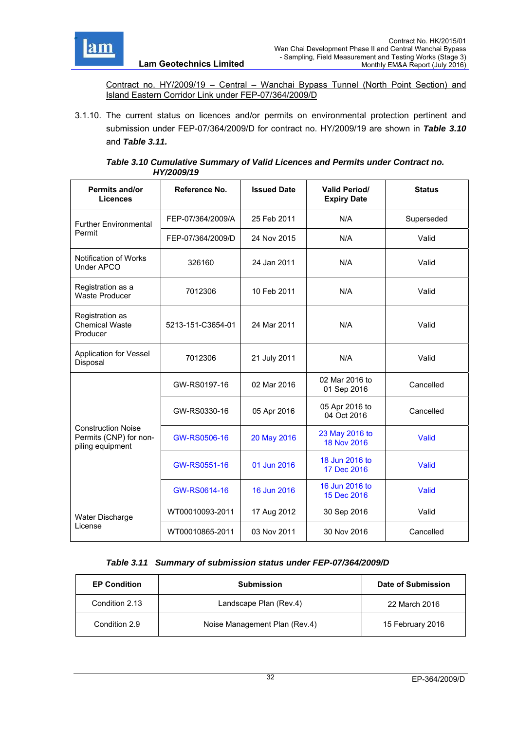

Contract no. HY/2009/19 – Central – Wanchai Bypass Tunnel (North Point Section) and Island Eastern Corridor Link under FEP-07/364/2009/D

3.1.10. The current status on licences and/or permits on environmental protection pertinent and submission under FEP-07/364/2009/D for contract no. HY/2009/19 are shown in *Table 3.10*  and *Table 3.11.*

#### *Table 3.10 Cumulative Summary of Valid Licences and Permits under Contract no. HY/2009/19*

| Permits and/or<br><b>Licences</b>                                       | Reference No.     | <b>Issued Date</b> | <b>Valid Period/</b><br><b>Expiry Date</b> | <b>Status</b> |
|-------------------------------------------------------------------------|-------------------|--------------------|--------------------------------------------|---------------|
| <b>Further Environmental</b>                                            | FEP-07/364/2009/A | 25 Feb 2011        | N/A                                        | Superseded    |
| Permit                                                                  | FEP-07/364/2009/D | 24 Nov 2015        | N/A                                        | Valid         |
| Notification of Works<br>Under APCO                                     | 326160            | 24 Jan 2011        | N/A                                        | Valid         |
| Registration as a<br>Waste Producer                                     | 7012306           | 10 Feb 2011        | N/A                                        | Valid         |
| Registration as<br><b>Chemical Waste</b><br>Producer                    | 5213-151-C3654-01 | 24 Mar 2011        | N/A                                        | Valid         |
| <b>Application for Vessel</b><br>Disposal                               | 7012306           | 21 July 2011       | N/A                                        | Valid         |
|                                                                         | GW-RS0197-16      | 02 Mar 2016        | 02 Mar 2016 to<br>01 Sep 2016              | Cancelled     |
|                                                                         | GW-RS0330-16      | 05 Apr 2016        | 05 Apr 2016 to<br>04 Oct 2016              | Cancelled     |
| <b>Construction Noise</b><br>Permits (CNP) for non-<br>piling equipment | GW-RS0506-16      | 20 May 2016        | 23 May 2016 to<br>18 Nov 2016              | Valid         |
|                                                                         | GW-RS0551-16      | 01 Jun 2016        | 18 Jun 2016 to<br>17 Dec 2016              | Valid         |
|                                                                         | GW-RS0614-16      | 16 Jun 2016        | 16 Jun 2016 to<br>15 Dec 2016              | Valid         |
| Water Discharge                                                         | WT00010093-2011   | 17 Aug 2012        | 30 Sep 2016                                | Valid         |
| License                                                                 | WT00010865-2011   | 03 Nov 2011        | 30 Nov 2016                                | Cancelled     |

## *Table 3.11 Summary of submission status under FEP-07/364/2009/D*

| <b>EP Condition</b> | <b>Submission</b>             | Date of Submission |
|---------------------|-------------------------------|--------------------|
| Condition 2.13      | Landscape Plan (Rev.4)        | 22 March 2016      |
| Condition 2.9       | Noise Management Plan (Rev.4) | 15 February 2016   |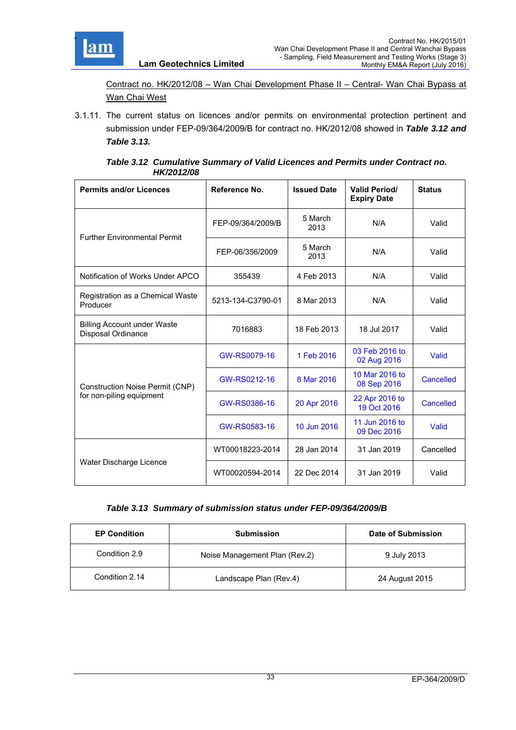

Contract no. HK/2012/08 – Wan Chai Development Phase II – Central- Wan Chai Bypass at Wan Chai West

**Lam Geotechnics Limited**

3.1.11. The current status on licences and/or permits on environmental protection pertinent and submission under FEP-09/364/2009/B for contract no. HK/2012/08 showed in *Table 3.12 and Table 3.13.*

| Table 3.12 Cumulative Summary of Valid Licences and Permits under Contract no. |
|--------------------------------------------------------------------------------|
| <b>HK/2012/08</b>                                                              |

| <b>Permits and/or Licences</b>                           | Reference No.     | <b>Issued Date</b> | <b>Valid Period/</b><br><b>Expiry Date</b> | <b>Status</b>    |
|----------------------------------------------------------|-------------------|--------------------|--------------------------------------------|------------------|
| <b>Further Environmental Permit</b>                      | FEP-09/364/2009/B | 5 March<br>2013    | N/A                                        | Valid            |
|                                                          | FEP-06/356/2009   | 5 March<br>2013    | N/A                                        | Valid            |
| Notification of Works Under APCO                         | 355439            | 4 Feb 2013         | N/A                                        | Valid            |
| Registration as a Chemical Waste<br>Producer             | 5213-134-C3790-01 | 8 Mar 2013         | N/A                                        | Valid            |
| <b>Billing Account under Waste</b><br>Disposal Ordinance | 7016883           | 18 Feb 2013        | 18 Jul 2017                                | Valid            |
|                                                          | GW-RS0079-16      | 1 Feb 2016         | 03 Feb 2016 to<br>02 Aug 2016              | Valid            |
| Construction Noise Permit (CNP)                          | GW-RS0212-16      | 8 Mar 2016         | 10 Mar 2016 to<br>08 Sep 2016              | <b>Cancelled</b> |
| for non-piling equipment                                 | GW-RS0386-16      | 20 Apr 2016        | 22 Apr 2016 to<br>19 Oct 2016              | <b>Cancelled</b> |
|                                                          | GW-RS0583-16      | 10 Jun 2016        | 11 Jun 2016 to<br>09 Dec 2016              | Valid            |
|                                                          | WT00018223-2014   | 28 Jan 2014        | 31 Jan 2019                                | Cancelled        |
| Water Discharge Licence                                  | WT00020594-2014   | 22 Dec 2014        | 31 Jan 2019                                | Valid            |

## *Table 3.13 Summary of submission status under FEP-09/364/2009/B*

| <b>EP Condition</b> | <b>Submission</b>             | Date of Submission |
|---------------------|-------------------------------|--------------------|
| Condition 2.9       | Noise Management Plan (Rev.2) | 9 July 2013        |
| Condition 2.14      | Landscape Plan (Rev.4)        | 24 August 2015     |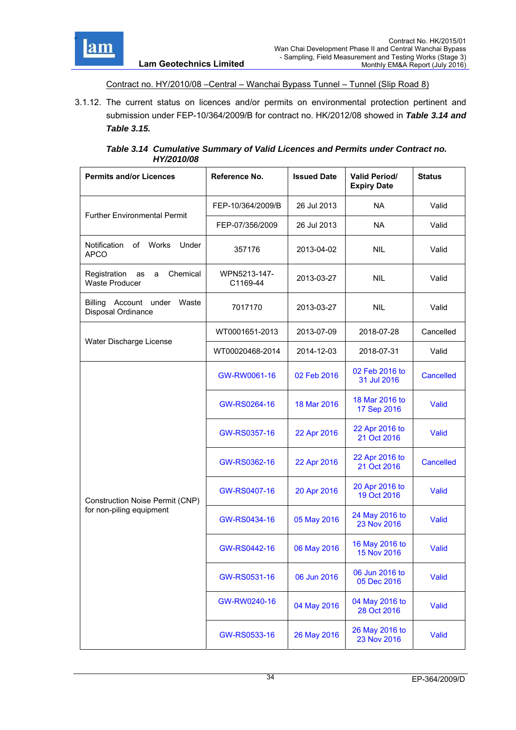

#### Contract no. HY/2010/08 –Central – Wanchai Bypass Tunnel – Tunnel (Slip Road 8)

3.1.12. The current status on licences and/or permits on environmental protection pertinent and submission under FEP-10/364/2009/B for contract no. HK/2012/08 showed in *Table 3.14 and Table 3.15.*

| Table 3.14 Cumulative Summary of Valid Licences and Permits under Contract no. |
|--------------------------------------------------------------------------------|
| HY/2010/08                                                                     |

| <b>Permits and/or Licences</b>                                 | Reference No.            | <b>Issued Date</b> | <b>Valid Period/</b><br><b>Expiry Date</b> | <b>Status</b>    |
|----------------------------------------------------------------|--------------------------|--------------------|--------------------------------------------|------------------|
|                                                                | FEP-10/364/2009/B        | 26 Jul 2013        | <b>NA</b>                                  | Valid            |
| <b>Further Environmental Permit</b>                            | FEP-07/356/2009          | 26 Jul 2013        | <b>NA</b>                                  | Valid            |
| Notification<br>of Works<br>Under<br><b>APCO</b>               | 357176                   | 2013-04-02         | <b>NIL</b>                                 | Valid            |
| Chemical<br>Registration<br>as<br>a<br>Waste Producer          | WPN5213-147-<br>C1169-44 | 2013-03-27         | <b>NIL</b>                                 | Valid            |
| <b>Billing</b><br>Account under<br>Waste<br>Disposal Ordinance | 7017170                  | 2013-03-27         | <b>NIL</b>                                 | Valid            |
| Water Discharge License                                        | WT0001651-2013           | 2013-07-09         | 2018-07-28                                 | Cancelled        |
|                                                                | WT00020468-2014          | 2014-12-03         | 2018-07-31                                 | Valid            |
|                                                                | GW-RW0061-16             | 02 Feb 2016        | 02 Feb 2016 to<br>31 Jul 2016              | Cancelled        |
|                                                                | GW-RS0264-16             | 18 Mar 2016        | 18 Mar 2016 to<br>17 Sep 2016              | Valid            |
|                                                                | GW-RS0357-16             | 22 Apr 2016        | 22 Apr 2016 to<br>21 Oct 2016              | Valid            |
|                                                                | GW-RS0362-16             | 22 Apr 2016        | 22 Apr 2016 to<br>21 Oct 2016              | <b>Cancelled</b> |
| <b>Construction Noise Permit (CNP)</b>                         | GW-RS0407-16             | 20 Apr 2016        | 20 Apr 2016 to<br>19 Oct 2016              | Valid            |
| for non-piling equipment                                       | GW-RS0434-16             | 05 May 2016        | 24 May 2016 to<br>23 Nov 2016              | <b>Valid</b>     |
|                                                                | GW-RS0442-16             | 06 May 2016        | 16 May 2016 to<br>15 Nov 2016              | Valid            |
|                                                                | GW-RS0531-16             | 06 Jun 2016        | 06 Jun 2016 to<br>05 Dec 2016              | <b>Valid</b>     |
|                                                                | GW-RW0240-16             | 04 May 2016        | 04 May 2016 to<br>28 Oct 2016              | <b>Valid</b>     |
|                                                                | GW-RS0533-16             | 26 May 2016        | 26 May 2016 to<br>23 Nov 2016              | Valid            |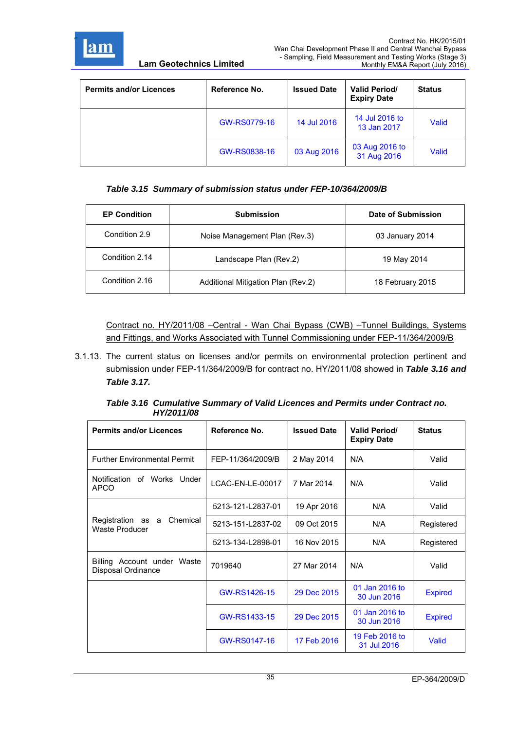

| <b>Permits and/or Licences</b> | Reference No. | <b>Issued Date</b> | <b>Valid Period/</b><br><b>Expiry Date</b> | <b>Status</b> |
|--------------------------------|---------------|--------------------|--------------------------------------------|---------------|
|                                | GW-RS0779-16  | 14 Jul 2016        | 14 Jul 2016 to<br>13 Jan 2017              | <b>Valid</b>  |
|                                | GW-RS0838-16  | 03 Aug 2016        | 03 Aug 2016 to<br>31 Aug 2016              | Valid         |

# *Table 3.15 Summary of submission status under FEP-10/364/2009/B*

| <b>EP Condition</b> | <b>Submission</b>                  | Date of Submission |
|---------------------|------------------------------------|--------------------|
| Condition 2.9       | Noise Management Plan (Rev.3)      | 03 January 2014    |
| Condition 2.14      | Landscape Plan (Rev.2)             | 19 May 2014        |
| Condition 2.16      | Additional Mitigation Plan (Rev.2) | 18 February 2015   |

Contract no. HY/2011/08 –Central - Wan Chai Bypass (CWB) –Tunnel Buildings, Systems and Fittings, and Works Associated with Tunnel Commissioning under FEP-11/364/2009/B

3.1.13. The current status on licenses and/or permits on environmental protection pertinent and submission under FEP-11/364/2009/B for contract no. HY/2011/08 showed in *Table 3.16 and Table 3.17.*

| Table 3.16 Cumulative Summary of Valid Licences and Permits under Contract no. |  |
|--------------------------------------------------------------------------------|--|
| HY/2011/08                                                                     |  |

| <b>Permits and/or Licences</b>                    | Reference No.     | <b>Issued Date</b> | <b>Valid Period/</b><br><b>Expiry Date</b> | <b>Status</b>  |
|---------------------------------------------------|-------------------|--------------------|--------------------------------------------|----------------|
| <b>Further Environmental Permit</b>               | FEP-11/364/2009/B | 2 May 2014         | N/A                                        | Valid          |
| Notification of Works Under<br><b>APCO</b>        | LCAC-EN-LE-00017  | 7 Mar 2014         | N/A                                        | Valid          |
|                                                   | 5213-121-L2837-01 | 19 Apr 2016        | N/A                                        | Valid          |
| Registration as a Chemical<br>Waste Producer      | 5213-151-L2837-02 | 09 Oct 2015        | N/A                                        | Registered     |
|                                                   | 5213-134-L2898-01 | 16 Nov 2015        | N/A                                        | Registered     |
| Billing Account under Waste<br>Disposal Ordinance | 7019640           | 27 Mar 2014        | N/A                                        | Valid          |
|                                                   | GW-RS1426-15      | 29 Dec 2015        | 01 Jan 2016 to<br>30 Jun 2016              | <b>Expired</b> |
|                                                   | GW-RS1433-15      | 29 Dec 2015        | 01 Jan 2016 to<br>30 Jun 2016              | <b>Expired</b> |
|                                                   | GW-RS0147-16      | 17 Feb 2016        | 19 Feb 2016 to<br>31 Jul 2016              | Valid          |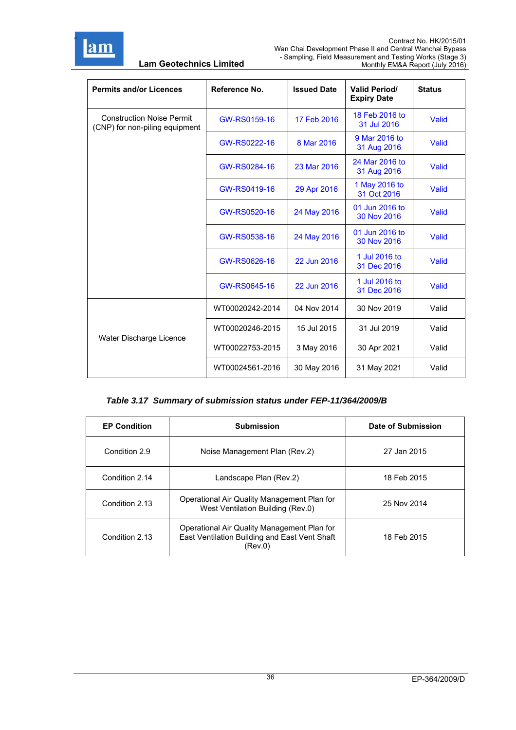

r

**Lam Geotechnics Limited**

| <b>Permits and/or Licences</b>                                     | Reference No.   | <b>Issued Date</b> | <b>Valid Period/</b><br><b>Expiry Date</b> | <b>Status</b> |
|--------------------------------------------------------------------|-----------------|--------------------|--------------------------------------------|---------------|
| <b>Construction Noise Permit</b><br>(CNP) for non-piling equipment | GW-RS0159-16    | 17 Feb 2016        | 18 Feb 2016 to<br>31 Jul 2016              | Valid         |
|                                                                    | GW-RS0222-16    | 8 Mar 2016         | 9 Mar 2016 to<br>31 Aug 2016               | Valid         |
|                                                                    | GW-RS0284-16    | 23 Mar 2016        | 24 Mar 2016 to<br>31 Aug 2016              | Valid         |
|                                                                    | GW-RS0419-16    | 29 Apr 2016        | 1 May 2016 to<br>31 Oct 2016               | Valid         |
|                                                                    | GW-RS0520-16    | 24 May 2016        | 01 Jun 2016 to<br>30 Nov 2016              | Valid         |
|                                                                    | GW-RS0538-16    | 24 May 2016        | 01 Jun 2016 to<br>30 Nov 2016              | Valid         |
|                                                                    | GW-RS0626-16    | 22 Jun 2016        | 1 Jul 2016 to<br>31 Dec 2016               | Valid         |
|                                                                    | GW-RS0645-16    | 22 Jun 2016        | 1 Jul 2016 to<br>31 Dec 2016               | Valid         |
|                                                                    | WT00020242-2014 | 04 Nov 2014        | 30 Nov 2019                                | Valid         |
|                                                                    | WT00020246-2015 | 15 Jul 2015        | 31 Jul 2019                                | Valid         |
| Water Discharge Licence                                            | WT00022753-2015 | 3 May 2016         | 30 Apr 2021                                | Valid         |
|                                                                    | WT00024561-2016 | 30 May 2016        | 31 May 2021                                | Valid         |

# *Table 3.17 Summary of submission status under FEP-11/364/2009/B*

| <b>EP Condition</b> | <b>Submission</b>                                                                                       | Date of Submission |
|---------------------|---------------------------------------------------------------------------------------------------------|--------------------|
| Condition 2.9       | Noise Management Plan (Rev.2)                                                                           | 27 Jan 2015        |
| Condition 2.14      | Landscape Plan (Rev.2)                                                                                  | 18 Feb 2015        |
| Condition 2.13      | Operational Air Quality Management Plan for<br>West Ventilation Building (Rev.0)                        | 25 Nov 2014        |
| Condition 2.13      | Operational Air Quality Management Plan for<br>East Ventilation Building and East Vent Shaft<br>(Rev.0) | 18 Feb 2015        |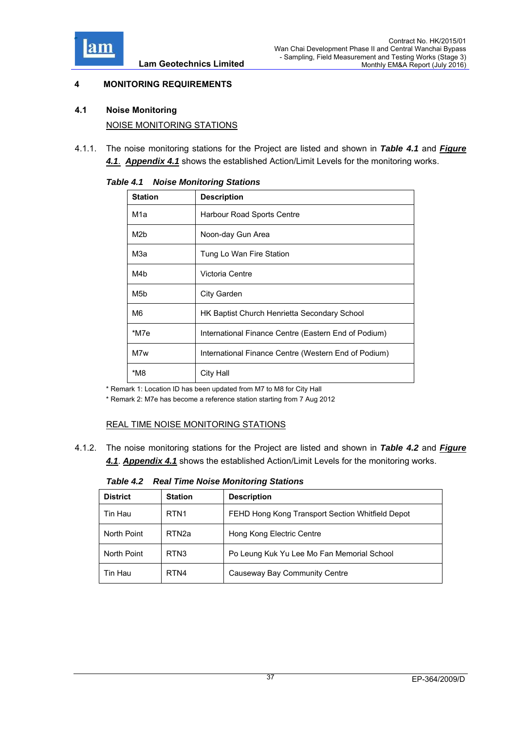

# **4 MONITORING REQUIREMENTS**

- **4.1 Noise Monitoring**  NOISE MONITORING STATIONS
- 4.1.1. The noise monitoring stations for the Project are listed and shown in *Table 4.1* and *Figure*

| <b>Station</b> | <b>Description</b>                                   |
|----------------|------------------------------------------------------|
| M1a            | Harbour Road Sports Centre                           |
| M2b            | Noon-day Gun Area                                    |
| МЗа            | Tung Lo Wan Fire Station                             |
| M4b            | Victoria Centre                                      |
| M5b            | City Garden                                          |
| M6             | HK Baptist Church Henrietta Secondary School         |
| *M7e           | International Finance Centre (Eastern End of Podium) |
| M7w            | International Finance Centre (Western End of Podium) |
| $*M8$          | <b>City Hall</b>                                     |

*4.1*. *Appendix 4.1* shows the established Action/Limit Levels for the monitoring works.

#### *Table 4.1 Noise Monitoring Stations*

\* Remark 1: Location ID has been updated from M7 to M8 for City Hall

\* Remark 2: M7e has become a reference station starting from 7 Aug 2012

# REAL TIME NOISE MONITORING STATIONS

4.1.2. The noise monitoring stations for the Project are listed and shown in *Table 4.2* and *Figure 4.1*. *Appendix 4.1* shows the established Action/Limit Levels for the monitoring works.

*Table 4.2 Real Time Noise Monitoring Stations* 

| <b>District</b> | <b>Station</b>    | <b>Description</b>                               |
|-----------------|-------------------|--------------------------------------------------|
| Tin Hau         | RTN <sub>1</sub>  | FEHD Hong Kong Transport Section Whitfield Depot |
| North Point     | RTN <sub>2a</sub> | Hong Kong Electric Centre                        |
| North Point     | RTN <sub>3</sub>  | Po Leung Kuk Yu Lee Mo Fan Memorial School       |
| Tin Hau         | RTN4              | Causeway Bay Community Centre                    |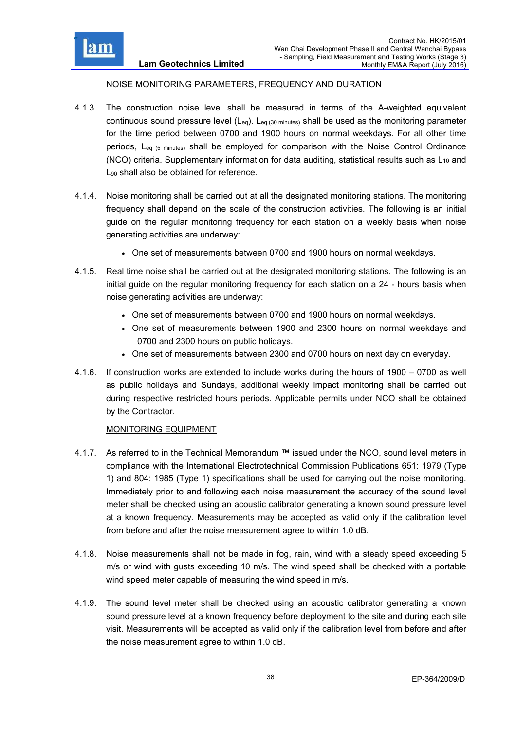

### NOISE MONITORING PARAMETERS, FREQUENCY AND DURATION

- 4.1.3. The construction noise level shall be measured in terms of the A-weighted equivalent continuous sound pressure level  $(L_{eq})$ .  $L_{eq}$  (30 minutes) shall be used as the monitoring parameter for the time period between 0700 and 1900 hours on normal weekdays. For all other time periods, Leq (5 minutes) shall be employed for comparison with the Noise Control Ordinance (NCO) criteria. Supplementary information for data auditing, statistical results such as  $L_{10}$  and L<sub>90</sub> shall also be obtained for reference.
- 4.1.4. Noise monitoring shall be carried out at all the designated monitoring stations. The monitoring frequency shall depend on the scale of the construction activities. The following is an initial guide on the regular monitoring frequency for each station on a weekly basis when noise generating activities are underway:
	- One set of measurements between 0700 and 1900 hours on normal weekdays.
- 4.1.5. Real time noise shall be carried out at the designated monitoring stations. The following is an initial guide on the regular monitoring frequency for each station on a 24 - hours basis when noise generating activities are underway:
	- One set of measurements between 0700 and 1900 hours on normal weekdays.
	- One set of measurements between 1900 and 2300 hours on normal weekdays and 0700 and 2300 hours on public holidays.
	- One set of measurements between 2300 and 0700 hours on next day on everyday.
- 4.1.6. If construction works are extended to include works during the hours of 1900 0700 as well as public holidays and Sundays, additional weekly impact monitoring shall be carried out during respective restricted hours periods. Applicable permits under NCO shall be obtained by the Contractor.

# MONITORING EQUIPMENT

- 4.1.7. As referred to in the Technical Memorandum ™ issued under the NCO, sound level meters in compliance with the International Electrotechnical Commission Publications 651: 1979 (Type 1) and 804: 1985 (Type 1) specifications shall be used for carrying out the noise monitoring. Immediately prior to and following each noise measurement the accuracy of the sound level meter shall be checked using an acoustic calibrator generating a known sound pressure level at a known frequency. Measurements may be accepted as valid only if the calibration level from before and after the noise measurement agree to within 1.0 dB.
- 4.1.8. Noise measurements shall not be made in fog, rain, wind with a steady speed exceeding 5 m/s or wind with gusts exceeding 10 m/s. The wind speed shall be checked with a portable wind speed meter capable of measuring the wind speed in m/s.
- 4.1.9. The sound level meter shall be checked using an acoustic calibrator generating a known sound pressure level at a known frequency before deployment to the site and during each site visit. Measurements will be accepted as valid only if the calibration level from before and after the noise measurement agree to within 1.0 dB.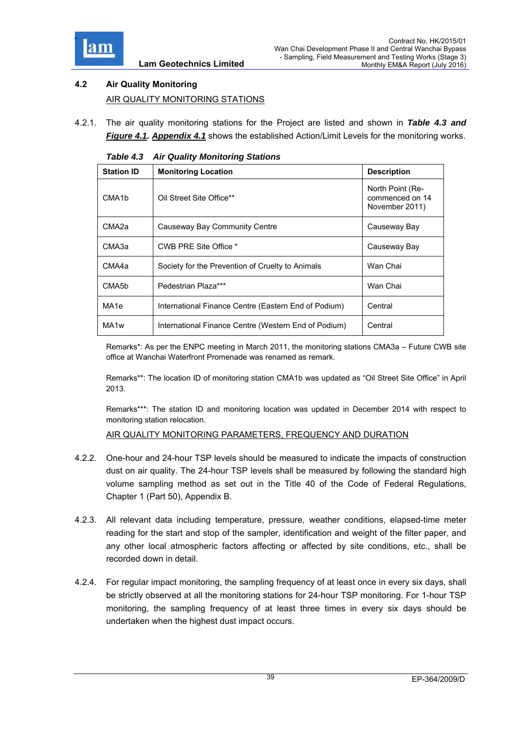

# **4.2 Air Quality Monitoring**  AIR QUALITY MONITORING STATIONS

4.2.1. The air quality monitoring stations for the Project are listed and shown in *Table 4.3 and Figure 4.1. Appendix 4.1* shows the established Action/Limit Levels for the monitoring works.

| $\ldots$ $\sim$ , , , , , |                                                      |                                                       |  |  |
|---------------------------|------------------------------------------------------|-------------------------------------------------------|--|--|
| <b>Station ID</b>         | <b>Monitoring Location</b>                           | <b>Description</b>                                    |  |  |
| CMA <sub>1</sub> b        | Oil Street Site Office**                             | North Point (Re-<br>commenced on 14<br>November 2011) |  |  |
| CMA <sub>2a</sub>         | Causeway Bay Community Centre                        | Causeway Bay                                          |  |  |
| CMA3a                     | CWB PRE Site Office *                                | Causeway Bay                                          |  |  |
| CMA4a                     | Society for the Prevention of Cruelty to Animals     | Wan Chai                                              |  |  |
| CMA5b                     | Pedestrian Plaza***                                  | Wan Chai                                              |  |  |
| MA <sub>1e</sub>          | International Finance Centre (Eastern End of Podium) | Central                                               |  |  |
| MA <sub>1w</sub>          | International Finance Centre (Western End of Podium) | Central                                               |  |  |

*Table 4.3 Air Quality Monitoring Stations* 

Remarks\*: As per the ENPC meeting in March 2011, the monitoring stations CMA3a – Future CWB site office at Wanchai Waterfront Promenade was renamed as remark.

Remarks\*\*: The location ID of monitoring station CMA1b was updated as "Oil Street Site Office" in April 2013.

Remarks\*\*\*: The station ID and monitoring location was updated in December 2014 with respect to monitoring station relocation.

AIR QUALITY MONITORING PARAMETERS, FREQUENCY AND DURATION

- 4.2.2. One-hour and 24-hour TSP levels should be measured to indicate the impacts of construction dust on air quality. The 24-hour TSP levels shall be measured by following the standard high volume sampling method as set out in the Title 40 of the Code of Federal Regulations, Chapter 1 (Part 50), Appendix B.
- 4.2.3. All relevant data including temperature, pressure, weather conditions, elapsed-time meter reading for the start and stop of the sampler, identification and weight of the filter paper, and any other local atmospheric factors affecting or affected by site conditions, etc., shall be recorded down in detail.
- 4.2.4. For regular impact monitoring, the sampling frequency of at least once in every six days, shall be strictly observed at all the monitoring stations for 24-hour TSP monitoring. For 1-hour TSP monitoring, the sampling frequency of at least three times in every six days should be undertaken when the highest dust impact occurs.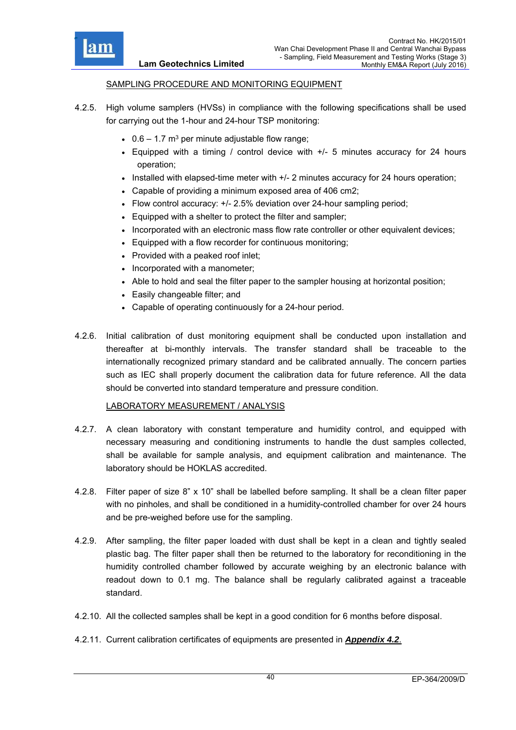

### SAMPLING PROCEDURE AND MONITORING EQUIPMENT

**Lam Geotechnics Limited**

- 4.2.5. High volume samplers (HVSs) in compliance with the following specifications shall be used for carrying out the 1-hour and 24-hour TSP monitoring:
	- $\cdot$  0.6 1.7 m<sup>3</sup> per minute adjustable flow range;
	- Equipped with a timing / control device with +/- 5 minutes accuracy for 24 hours operation;
	- $\bullet$  Installed with elapsed-time meter with  $+/$  2 minutes accuracy for 24 hours operation;
	- Capable of providing a minimum exposed area of 406 cm2;
	- Flow control accuracy: +/- 2.5% deviation over 24-hour sampling period;
	- Equipped with a shelter to protect the filter and sampler;
	- Incorporated with an electronic mass flow rate controller or other equivalent devices;
	- Equipped with a flow recorder for continuous monitoring;
	- Provided with a peaked roof inlet;
	- Incorporated with a manometer;
	- Able to hold and seal the filter paper to the sampler housing at horizontal position;
	- Easily changeable filter; and
	- Capable of operating continuously for a 24-hour period.
- 4.2.6. Initial calibration of dust monitoring equipment shall be conducted upon installation and thereafter at bi-monthly intervals. The transfer standard shall be traceable to the internationally recognized primary standard and be calibrated annually. The concern parties such as IEC shall properly document the calibration data for future reference. All the data should be converted into standard temperature and pressure condition.

#### LABORATORY MEASUREMENT / ANALYSIS

- 4.2.7. A clean laboratory with constant temperature and humidity control, and equipped with necessary measuring and conditioning instruments to handle the dust samples collected, shall be available for sample analysis, and equipment calibration and maintenance. The laboratory should be HOKLAS accredited.
- 4.2.8. Filter paper of size 8" x 10" shall be labelled before sampling. It shall be a clean filter paper with no pinholes, and shall be conditioned in a humidity-controlled chamber for over 24 hours and be pre-weighed before use for the sampling.
- 4.2.9. After sampling, the filter paper loaded with dust shall be kept in a clean and tightly sealed plastic bag. The filter paper shall then be returned to the laboratory for reconditioning in the humidity controlled chamber followed by accurate weighing by an electronic balance with readout down to 0.1 mg. The balance shall be regularly calibrated against a traceable standard.
- 4.2.10. All the collected samples shall be kept in a good condition for 6 months before disposal.
- 4.2.11. Current calibration certificates of equipments are presented in *Appendix 4.2*.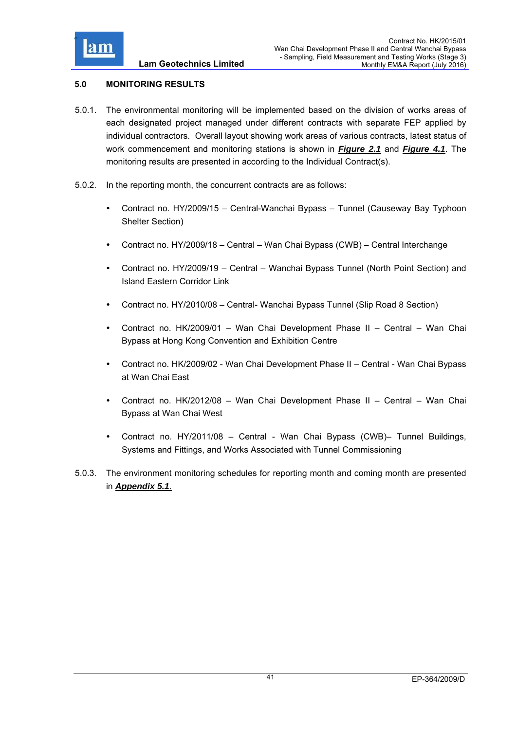

# **5.0 MONITORING RESULTS**

- 5.0.1. The environmental monitoring will be implemented based on the division of works areas of each designated project managed under different contracts with separate FEP applied by individual contractors. Overall layout showing work areas of various contracts, latest status of work commencement and monitoring stations is shown in *Figure 2.1* and *Figure 4.1*. The monitoring results are presented in according to the Individual Contract(s).
- 5.0.2. In the reporting month, the concurrent contracts are as follows:
	- Contract no. HY/2009/15 Central-Wanchai Bypass Tunnel (Causeway Bay Typhoon Shelter Section)
	- Contract no. HY/2009/18 Central Wan Chai Bypass (CWB) Central Interchange
	- Contract no. HY/2009/19 Central Wanchai Bypass Tunnel (North Point Section) and Island Eastern Corridor Link
	- Contract no. HY/2010/08 Central- Wanchai Bypass Tunnel (Slip Road 8 Section)
	- Contract no. HK/2009/01 Wan Chai Development Phase II Central Wan Chai Bypass at Hong Kong Convention and Exhibition Centre
	- Contract no. HK/2009/02 Wan Chai Development Phase II Central Wan Chai Bypass at Wan Chai East
	- Contract no. HK/2012/08 Wan Chai Development Phase II Central Wan Chai Bypass at Wan Chai West
	- Contract no. HY/2011/08 Central Wan Chai Bypass (CWB)– Tunnel Buildings, Systems and Fittings, and Works Associated with Tunnel Commissioning
- 5.0.3. The environment monitoring schedules for reporting month and coming month are presented in *Appendix 5.1*.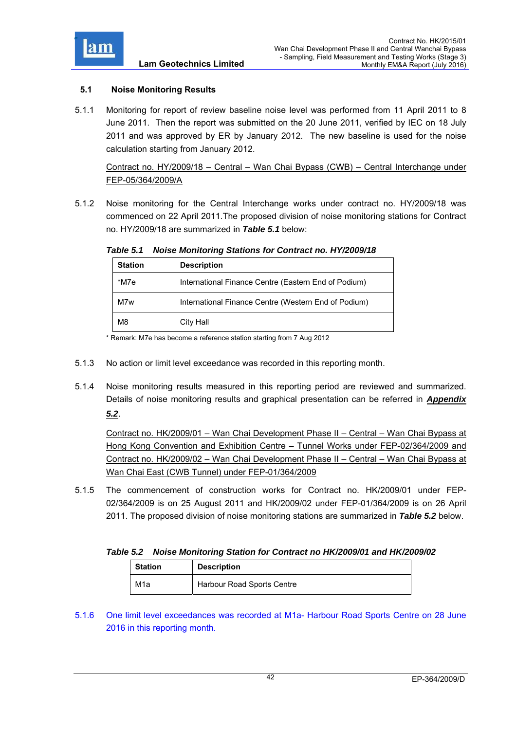

# **5.1 Noise Monitoring Results**

5.1.1 Monitoring for report of review baseline noise level was performed from 11 April 2011 to 8 June 2011. Then the report was submitted on the 20 June 2011, verified by IEC on 18 July 2011 and was approved by ER by January 2012. The new baseline is used for the noise calculation starting from January 2012.

Contract no. HY/2009/18 – Central – Wan Chai Bypass (CWB) – Central Interchange under FEP-05/364/2009/A

5.1.2 Noise monitoring for the Central Interchange works under contract no. HY/2009/18 was commenced on 22 April 2011.The proposed division of noise monitoring stations for Contract no. HY/2009/18 are summarized in *Table 5.1* below:

| <b>Station</b> | <b>Description</b>                                   |
|----------------|------------------------------------------------------|
| *M7e           | International Finance Centre (Eastern End of Podium) |
| M7w            | International Finance Centre (Western End of Podium) |
| M8             | City Hall                                            |

*Table 5.1 Noise Monitoring Stations for Contract no. HY/2009/18* 

\* Remark: M7e has become a reference station starting from 7 Aug 2012

- 5.1.3 No action or limit level exceedance was recorded in this reporting month.
- 5.1.4 Noise monitoring results measured in this reporting period are reviewed and summarized. Details of noise monitoring results and graphical presentation can be referred in *Appendix*

*5.2*.

Contract no. HK/2009/01 – Wan Chai Development Phase II – Central – Wan Chai Bypass at Hong Kong Convention and Exhibition Centre – Tunnel Works under FEP-02/364/2009 and Contract no. HK/2009/02 – Wan Chai Development Phase II – Central – Wan Chai Bypass at Wan Chai East (CWB Tunnel) under FEP-01/364/2009

5.1.5 The commencement of construction works for Contract no. HK/2009/01 under FEP-02/364/2009 is on 25 August 2011 and HK/2009/02 under FEP-01/364/2009 is on 26 April 2011. The proposed division of noise monitoring stations are summarized in *Table 5.2* below.

# *Table 5.2 Noise Monitoring Station for Contract no HK/2009/01 and HK/2009/02*

| <b>Station</b>   | <b>Description</b>         |
|------------------|----------------------------|
| M <sub>1</sub> a | Harbour Road Sports Centre |

5.1.6 One limit level exceedances was recorded at M1a- Harbour Road Sports Centre on 28 June 2016 in this reporting month.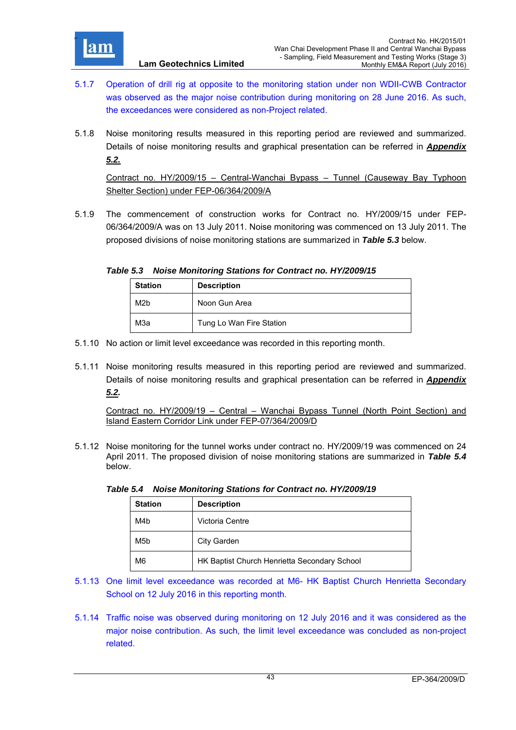

- **Lam Geotechnics Limited**
- 5.1.7 Operation of drill rig at opposite to the monitoring station under non WDII-CWB Contractor was observed as the major noise contribution during monitoring on 28 June 2016. As such, the exceedances were considered as non-Project related.
- 5.1.8 Noise monitoring results measured in this reporting period are reviewed and summarized. Details of noise monitoring results and graphical presentation can be referred in *Appendix 5.2.*

Contract no. HY/2009/15 – Central-Wanchai Bypass – Tunnel (Causeway Bay Typhoon Shelter Section) under FEP-06/364/2009/A

5.1.9 The commencement of construction works for Contract no. HY/2009/15 under FEP-06/364/2009/A was on 13 July 2011. Noise monitoring was commenced on 13 July 2011. The proposed divisions of noise monitoring stations are summarized in *Table 5.3* below.

*Table 5.3 Noise Monitoring Stations for Contract no. HY/2009/15* 

| <b>Station</b>   | <b>Description</b>       |
|------------------|--------------------------|
| M <sub>2</sub> b | Noon Gun Area            |
| МЗа              | Tung Lo Wan Fire Station |

- 5.1.10 No action or limit level exceedance was recorded in this reporting month.
- 5.1.11 Noise monitoring results measured in this reporting period are reviewed and summarized. Details of noise monitoring results and graphical presentation can be referred in *Appendix 5.2.*

Contract no. HY/2009/19 – Central – Wanchai Bypass Tunnel (North Point Section) and Island Eastern Corridor Link under FEP-07/364/2009/D

5.1.12 Noise monitoring for the tunnel works under contract no. HY/2009/19 was commenced on 24 April 2011. The proposed division of noise monitoring stations are summarized in *Table 5.4* below.

| <b>Station</b>   | <b>Description</b>                           |
|------------------|----------------------------------------------|
| M4b              | Victoria Centre                              |
| M <sub>5</sub> b | City Garden                                  |
| M <sub>6</sub>   | HK Baptist Church Henrietta Secondary School |

*Table 5.4 Noise Monitoring Stations for Contract no. HY/2009/19* 

- 5.1.13 One limit level exceedance was recorded at M6- HK Baptist Church Henrietta Secondary School on 12 July 2016 in this reporting month.
- 5.1.14 Traffic noise was observed during monitoring on 12 July 2016 and it was considered as the major noise contribution. As such, the limit level exceedance was concluded as non-project related.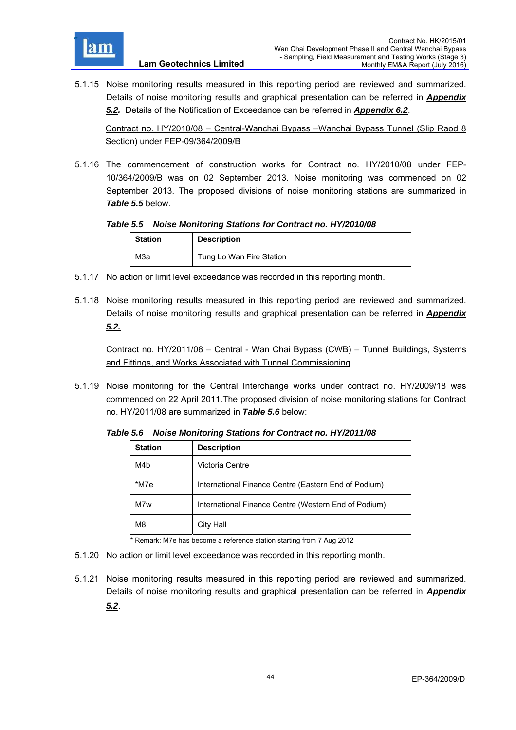

5.1.15 Noise monitoring results measured in this reporting period are reviewed and summarized. Details of noise monitoring results and graphical presentation can be referred in *Appendix 5.2.* Details of the Notification of Exceedance can be referred in *Appendix 6.2*.

Contract no. HY/2010/08 – Central-Wanchai Bypass –Wanchai Bypass Tunnel (Slip Raod 8 Section) under FEP-09/364/2009/B

5.1.16 The commencement of construction works for Contract no. HY/2010/08 under FEP-10/364/2009/B was on 02 September 2013. Noise monitoring was commenced on 02 September 2013. The proposed divisions of noise monitoring stations are summarized in *Table 5.5* below.

*Table 5.5 Noise Monitoring Stations for Contract no. HY/2010/08* 

| <b>Station</b> | <b>Description</b>       |  |
|----------------|--------------------------|--|
| МЗа            | Tung Lo Wan Fire Station |  |

- 5.1.17 No action or limit level exceedance was recorded in this reporting month.
- 5.1.18 Noise monitoring results measured in this reporting period are reviewed and summarized. Details of noise monitoring results and graphical presentation can be referred in *Appendix 5.2.*

Contract no. HY/2011/08 – Central - Wan Chai Bypass (CWB) – Tunnel Buildings, Systems and Fittings, and Works Associated with Tunnel Commissioning

5.1.19 Noise monitoring for the Central Interchange works under contract no. HY/2009/18 was commenced on 22 April 2011.The proposed division of noise monitoring stations for Contract no. HY/2011/08 are summarized in *Table 5.6* below:

**Station Description**  M<sub>4</sub>b Victoria Centre \*M7e | International Finance Centre (Eastern End of Podium)

M7w | International Finance Centre (Western End of Podium)

*Table 5.6 Noise Monitoring Stations for Contract no. HY/2011/08* 

5.1.20 No action or limit level exceedance was recorded in this reporting month.

M8 City Hall

5.1.21 Noise monitoring results measured in this reporting period are reviewed and summarized. Details of noise monitoring results and graphical presentation can be referred in *Appendix 5.2*.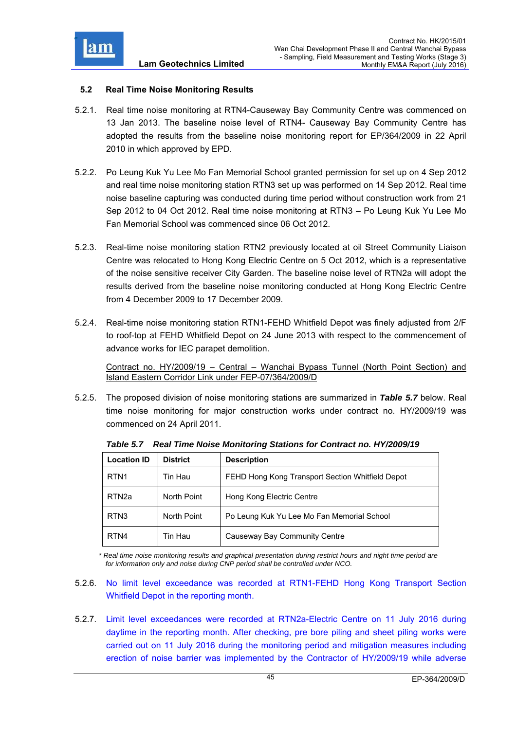

### **5.2 Real Time Noise Monitoring Results**

- 5.2.1. Real time noise monitoring at RTN4-Causeway Bay Community Centre was commenced on 13 Jan 2013. The baseline noise level of RTN4- Causeway Bay Community Centre has adopted the results from the baseline noise monitoring report for EP/364/2009 in 22 April 2010 in which approved by EPD.
- 5.2.2. Po Leung Kuk Yu Lee Mo Fan Memorial School granted permission for set up on 4 Sep 2012 and real time noise monitoring station RTN3 set up was performed on 14 Sep 2012. Real time noise baseline capturing was conducted during time period without construction work from 21 Sep 2012 to 04 Oct 2012. Real time noise monitoring at RTN3 – Po Leung Kuk Yu Lee Mo Fan Memorial School was commenced since 06 Oct 2012.
- 5.2.3. Real-time noise monitoring station RTN2 previously located at oil Street Community Liaison Centre was relocated to Hong Kong Electric Centre on 5 Oct 2012, which is a representative of the noise sensitive receiver City Garden. The baseline noise level of RTN2a will adopt the results derived from the baseline noise monitoring conducted at Hong Kong Electric Centre from 4 December 2009 to 17 December 2009.
- 5.2.4. Real-time noise monitoring station RTN1-FEHD Whitfield Depot was finely adjusted from 2/F to roof-top at FEHD Whitfield Depot on 24 June 2013 with respect to the commencement of advance works for IEC parapet demolition.

Contract no. HY/2009/19 – Central – Wanchai Bypass Tunnel (North Point Section) and Island Eastern Corridor Link under FEP-07/364/2009/D

5.2.5. The proposed division of noise monitoring stations are summarized in *Table 5.7* below. Real time noise monitoring for major construction works under contract no. HY/2009/19 was commenced on 24 April 2011.

| <b>Location ID</b> | <b>District</b> | <b>Description</b>                               |
|--------------------|-----------------|--------------------------------------------------|
| RTN <sub>1</sub>   | Tin Hau         | FEHD Hong Kong Transport Section Whitfield Depot |
| RTN <sub>2a</sub>  | North Point     | Hong Kong Electric Centre                        |
| RTN <sub>3</sub>   | North Point     | Po Leung Kuk Yu Lee Mo Fan Memorial School       |
| RTN4               | Tin Hau         | Causeway Bay Community Centre                    |

*Table 5.7 Real Time Noise Monitoring Stations for Contract no. HY/2009/19* 

*\* Real time noise monitoring results and graphical presentation during restrict hours and night time period are for information only and noise during CNP period shall be controlled under NCO.* 

- 5.2.6. No limit level exceedance was recorded at RTN1-FEHD Hong Kong Transport Section Whitfield Depot in the reporting month.
- 5.2.7. Limit level exceedances were recorded at RTN2a-Electric Centre on 11 July 2016 during daytime in the reporting month. After checking, pre bore piling and sheet piling works were carried out on 11 July 2016 during the monitoring period and mitigation measures including erection of noise barrier was implemented by the Contractor of HY/2009/19 while adverse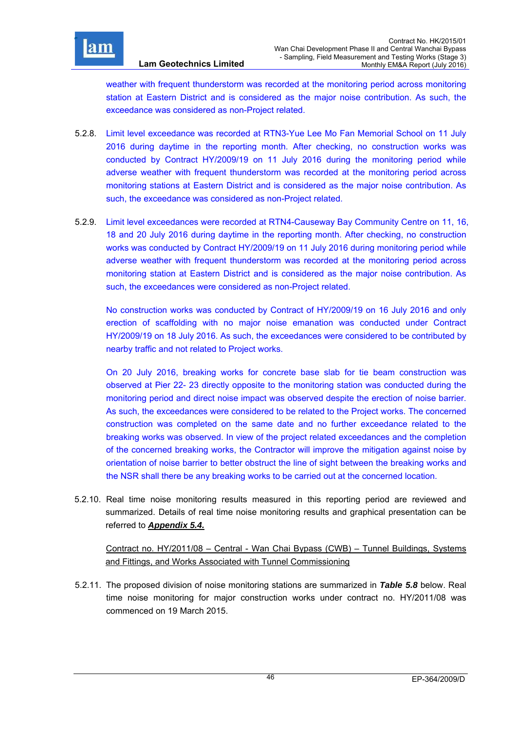

weather with frequent thunderstorm was recorded at the monitoring period across monitoring station at Eastern District and is considered as the major noise contribution. As such, the exceedance was considered as non-Project related.

- 5.2.8. Limit level exceedance was recorded at RTN3-Yue Lee Mo Fan Memorial School on 11 July 2016 during daytime in the reporting month. After checking, no construction works was conducted by Contract HY/2009/19 on 11 July 2016 during the monitoring period while adverse weather with frequent thunderstorm was recorded at the monitoring period across monitoring stations at Eastern District and is considered as the major noise contribution. As such, the exceedance was considered as non-Project related.
- 5.2.9. Limit level exceedances were recorded at RTN4-Causeway Bay Community Centre on 11, 16, 18 and 20 July 2016 during daytime in the reporting month. After checking, no construction works was conducted by Contract HY/2009/19 on 11 July 2016 during monitoring period while adverse weather with frequent thunderstorm was recorded at the monitoring period across monitoring station at Eastern District and is considered as the major noise contribution. As such, the exceedances were considered as non-Project related.

No construction works was conducted by Contract of HY/2009/19 on 16 July 2016 and only erection of scaffolding with no major noise emanation was conducted under Contract HY/2009/19 on 18 July 2016. As such, the exceedances were considered to be contributed by nearby traffic and not related to Project works.

On 20 July 2016, breaking works for concrete base slab for tie beam construction was observed at Pier 22- 23 directly opposite to the monitoring station was conducted during the monitoring period and direct noise impact was observed despite the erection of noise barrier. As such, the exceedances were considered to be related to the Project works. The concerned construction was completed on the same date and no further exceedance related to the breaking works was observed. In view of the project related exceedances and the completion of the concerned breaking works, the Contractor will improve the mitigation against noise by orientation of noise barrier to better obstruct the line of sight between the breaking works and the NSR shall there be any breaking works to be carried out at the concerned location.

5.2.10. Real time noise monitoring results measured in this reporting period are reviewed and summarized. Details of real time noise monitoring results and graphical presentation can be referred to *Appendix 5.4.*

Contract no. HY/2011/08 – Central - Wan Chai Bypass (CWB) – Tunnel Buildings, Systems and Fittings, and Works Associated with Tunnel Commissioning

5.2.11. The proposed division of noise monitoring stations are summarized in *Table 5.8* below. Real time noise monitoring for major construction works under contract no. HY/2011/08 was commenced on 19 March 2015.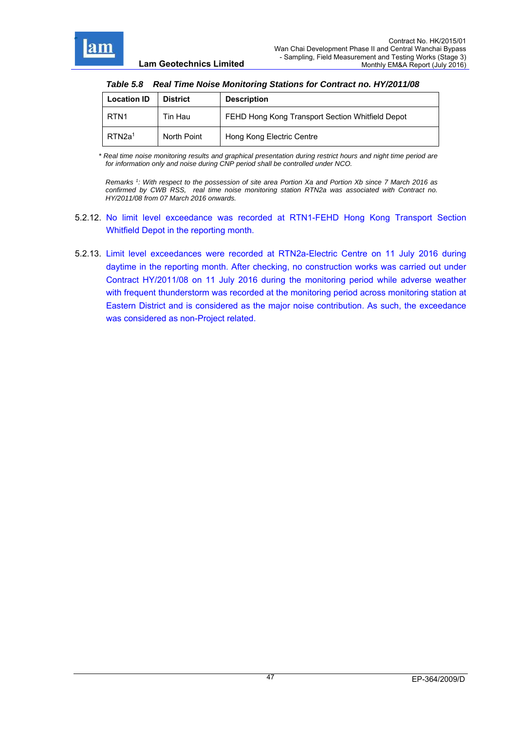r

| <b>Lam Geotechnics Limited</b> |  |
|--------------------------------|--|
|--------------------------------|--|

| Table 5.8 Real Time Noise Monitoring Stations for Contract no. HY/2011/08 |  |
|---------------------------------------------------------------------------|--|
|                                                                           |  |

| <b>Location ID</b> | <b>District</b> | <b>Description</b>                               |
|--------------------|-----------------|--------------------------------------------------|
| RTN <sub>1</sub>   | Tin Hau         | FEHD Hong Kong Transport Section Whitfield Depot |
| RTN2a <sup>1</sup> | North Point     | Hong Kong Electric Centre                        |

*\* Real time noise monitoring results and graphical presentation during restrict hours and night time period are for information only and noise during CNP period shall be controlled under NCO.* 

*Remarks 1 : With respect to the possession of site area Portion Xa and Portion Xb since 7 March 2016 as confirmed by CWB RSS, real time noise monitoring station RTN2a was associated with Contract no. HY/2011/08 from 07 March 2016 onwards.* 

- 5.2.12. No limit level exceedance was recorded at RTN1-FEHD Hong Kong Transport Section Whitfield Depot in the reporting month.
- 5.2.13. Limit level exceedances were recorded at RTN2a-Electric Centre on 11 July 2016 during daytime in the reporting month. After checking, no construction works was carried out under Contract HY/2011/08 on 11 July 2016 during the monitoring period while adverse weather with frequent thunderstorm was recorded at the monitoring period across monitoring station at Eastern District and is considered as the major noise contribution. As such, the exceedance was considered as non-Project related.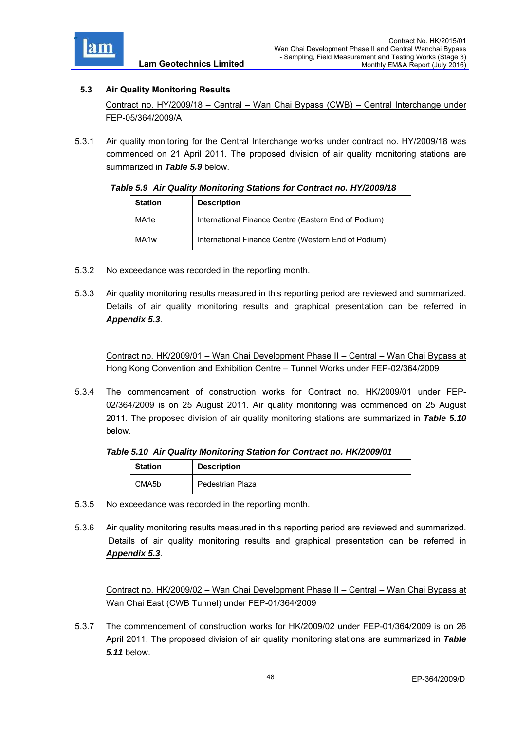

# **5.3 Air Quality Monitoring Results**

Contract no. HY/2009/18 – Central – Wan Chai Bypass (CWB) – Central Interchange under FEP-05/364/2009/A

5.3.1 Air quality monitoring for the Central Interchange works under contract no. HY/2009/18 was commenced on 21 April 2011. The proposed division of air quality monitoring stations are summarized in *Table 5.9* below.

### *Table 5.9 Air Quality Monitoring Stations for Contract no. HY/2009/18*

| <b>Station</b>   | <b>Description</b>                                   |
|------------------|------------------------------------------------------|
| MA1e             | International Finance Centre (Eastern End of Podium) |
| MA <sub>1w</sub> | International Finance Centre (Western End of Podium) |

- 5.3.2 No exceedance was recorded in the reporting month.
- 5.3.3 Air quality monitoring results measured in this reporting period are reviewed and summarized. Details of air quality monitoring results and graphical presentation can be referred in *Appendix 5.3*.

Contract no. HK/2009/01 – Wan Chai Development Phase II – Central – Wan Chai Bypass at Hong Kong Convention and Exhibition Centre – Tunnel Works under FEP-02/364/2009

5.3.4 The commencement of construction works for Contract no. HK/2009/01 under FEP-02/364/2009 is on 25 August 2011. Air quality monitoring was commenced on 25 August 2011. The proposed division of air quality monitoring stations are summarized in *Table 5.10* below.

# *Table 5.10 Air Quality Monitoring Station for Contract no. HK/2009/01*

| <b>Station</b> | <b>Description</b> |
|----------------|--------------------|
| CMA5b          | Pedestrian Plaza   |

- 5.3.5 No exceedance was recorded in the reporting month.
- 5.3.6 Air quality monitoring results measured in this reporting period are reviewed and summarized. Details of air quality monitoring results and graphical presentation can be referred in *Appendix 5.3*.

Contract no. HK/2009/02 – Wan Chai Development Phase II – Central – Wan Chai Bypass at Wan Chai East (CWB Tunnel) under FEP-01/364/2009

5.3.7 The commencement of construction works for HK/2009/02 under FEP-01/364/2009 is on 26 April 2011. The proposed division of air quality monitoring stations are summarized in *Table 5.11* below.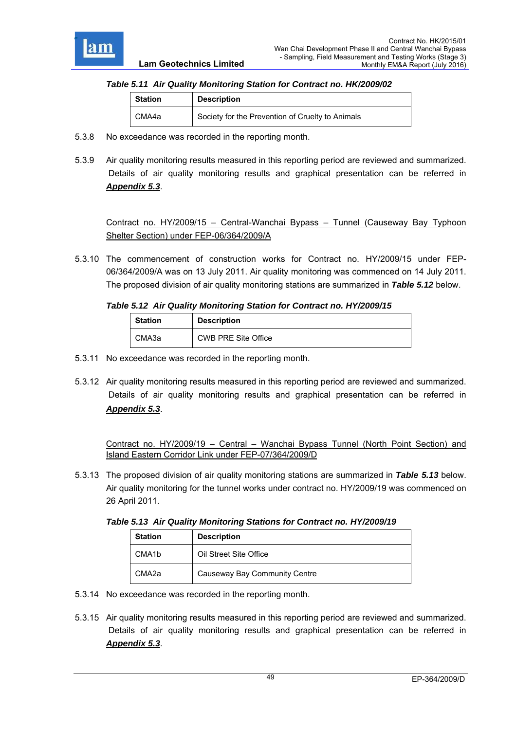

# *Table 5.11 Air Quality Monitoring Station for Contract no. HK/2009/02*

| <b>Station</b> | <b>Description</b>                               |
|----------------|--------------------------------------------------|
| CMA4a          | Society for the Prevention of Cruelty to Animals |

- 5.3.8 No exceedance was recorded in the reporting month.
- 5.3.9 Air quality monitoring results measured in this reporting period are reviewed and summarized. Details of air quality monitoring results and graphical presentation can be referred in *Appendix 5.3*.

Contract no. HY/2009/15 – Central-Wanchai Bypass – Tunnel (Causeway Bay Typhoon Shelter Section) under FEP-06/364/2009/A

5.3.10 The commencement of construction works for Contract no. HY/2009/15 under FEP-06/364/2009/A was on 13 July 2011. Air quality monitoring was commenced on 14 July 2011. The proposed division of air quality monitoring stations are summarized in *Table 5.12* below.

#### *Table 5.12 Air Quality Monitoring Station for Contract no. HY/2009/15*

| <b>Station</b> | <b>Description</b>         |
|----------------|----------------------------|
| СМАЗа          | <b>CWB PRE Site Office</b> |

- 5.3.11 No exceedance was recorded in the reporting month.
- 5.3.12 Air quality monitoring results measured in this reporting period are reviewed and summarized. Details of air quality monitoring results and graphical presentation can be referred in *Appendix 5.3*.

Contract no. HY/2009/19 – Central – Wanchai Bypass Tunnel (North Point Section) and Island Eastern Corridor Link under FEP-07/364/2009/D

5.3.13 The proposed division of air quality monitoring stations are summarized in *Table 5.13* below. Air quality monitoring for the tunnel works under contract no. HY/2009/19 was commenced on 26 April 2011.

*Table 5.13 Air Quality Monitoring Stations for Contract no. HY/2009/19* 

| <b>Station</b>     | <b>Description</b>            |
|--------------------|-------------------------------|
| CMA <sub>1</sub> b | Oil Street Site Office        |
| CMA <sub>2a</sub>  | Causeway Bay Community Centre |

- 5.3.14 No exceedance was recorded in the reporting month.
- 5.3.15 Air quality monitoring results measured in this reporting period are reviewed and summarized. Details of air quality monitoring results and graphical presentation can be referred in *Appendix 5.3*.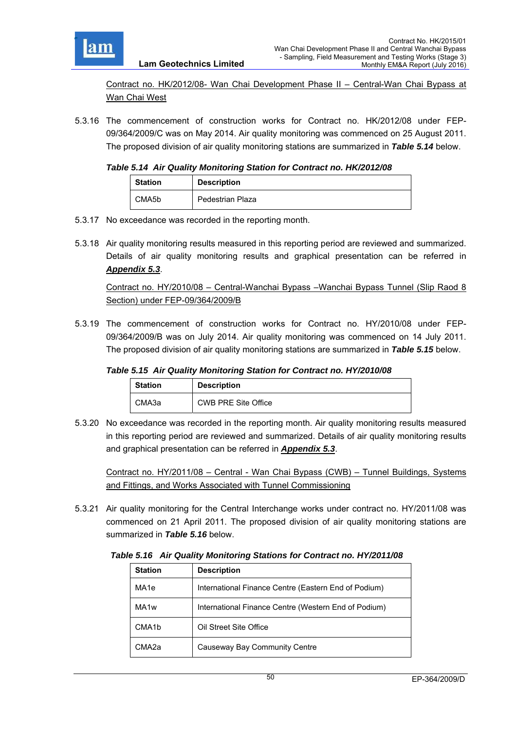

Contract no. HK/2012/08- Wan Chai Development Phase II – Central-Wan Chai Bypass at Wan Chai West

5.3.16 The commencement of construction works for Contract no. HK/2012/08 under FEP-09/364/2009/C was on May 2014. Air quality monitoring was commenced on 25 August 2011. The proposed division of air quality monitoring stations are summarized in *Table 5.14* below.

*Table 5.14 Air Quality Monitoring Station for Contract no. HK/2012/08* 

| <b>Station</b> | <b>Description</b> |
|----------------|--------------------|
| CMA5b          | Pedestrian Plaza   |

5.3.17 No exceedance was recorded in the reporting month.

**Lam Geotechnics Limited**

5.3.18 Air quality monitoring results measured in this reporting period are reviewed and summarized. Details of air quality monitoring results and graphical presentation can be referred in *Appendix 5.3*.

Contract no. HY/2010/08 – Central-Wanchai Bypass –Wanchai Bypass Tunnel (Slip Raod 8 Section) under FEP-09/364/2009/B

5.3.19 The commencement of construction works for Contract no. HY/2010/08 under FEP-09/364/2009/B was on July 2014. Air quality monitoring was commenced on 14 July 2011. The proposed division of air quality monitoring stations are summarized in *Table 5.15* below.

# *Table 5.15 Air Quality Monitoring Station for Contract no. HY/2010/08*

| <b>Station</b> |       | <b>Description</b>  |
|----------------|-------|---------------------|
|                | СМАЗа | CWB PRE Site Office |

5.3.20 No exceedance was recorded in the reporting month. Air quality monitoring results measured in this reporting period are reviewed and summarized. Details of air quality monitoring results and graphical presentation can be referred in *Appendix 5.3*.

Contract no. HY/2011/08 – Central - Wan Chai Bypass (CWB) – Tunnel Buildings, Systems and Fittings, and Works Associated with Tunnel Commissioning

5.3.21 Air quality monitoring for the Central Interchange works under contract no. HY/2011/08 was commenced on 21 April 2011. The proposed division of air quality monitoring stations are summarized in *Table 5.16* below.

*Table 5.16 Air Quality Monitoring Stations for Contract no. HY/2011/08* 

| <b>Station</b>     | <b>Description</b>                                   |
|--------------------|------------------------------------------------------|
| MA <sub>1e</sub>   | International Finance Centre (Eastern End of Podium) |
| MA <sub>1w</sub>   | International Finance Centre (Western End of Podium) |
| CMA <sub>1</sub> b | Oil Street Site Office                               |
| CMA2a              | Causeway Bay Community Centre                        |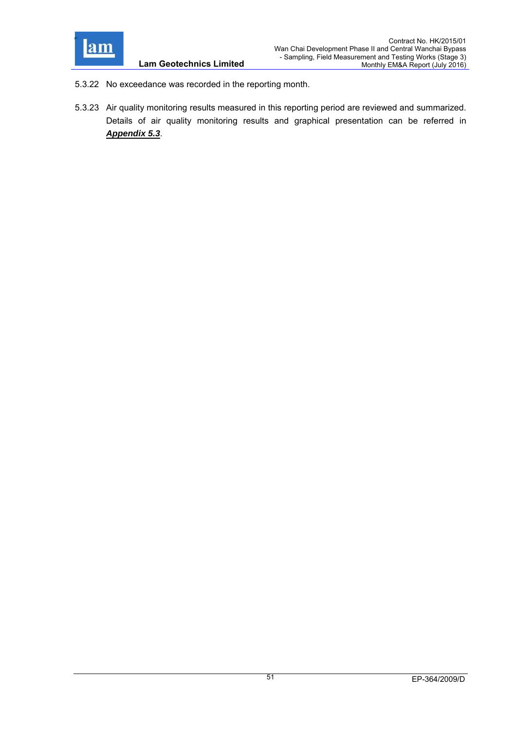

- **Lam Geotechnics Limited**
- 5.3.22 No exceedance was recorded in the reporting month.
- 5.3.23 Air quality monitoring results measured in this reporting period are reviewed and summarized. Details of air quality monitoring results and graphical presentation can be referred in *Appendix 5.3*.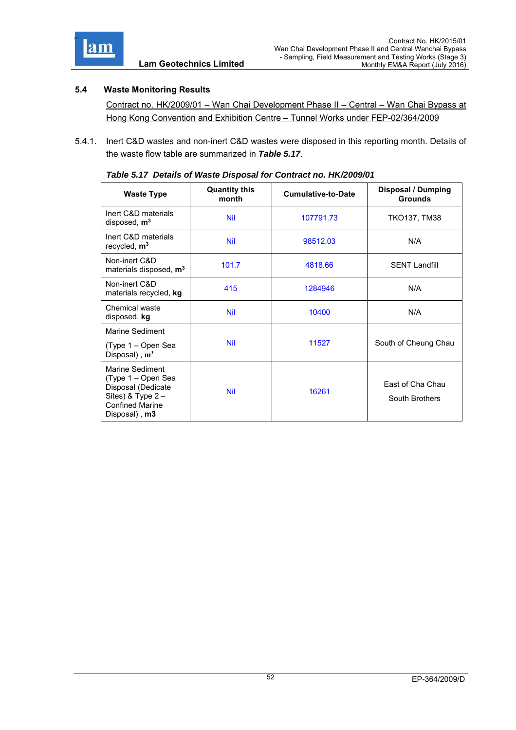

# **5.4 Waste Monitoring Results**

Contract no. HK/2009/01 – Wan Chai Development Phase II – Central – Wan Chai Bypass at Hong Kong Convention and Exhibition Centre – Tunnel Works under FEP-02/364/2009

5.4.1. Inert C&D wastes and non-inert C&D wastes were disposed in this reporting month. Details of the waste flow table are summarized in *Table 5.17*.

| <b>Waste Type</b>                                                                                                             | <b>Quantity this</b><br>month | <b>Cumulative-to-Date</b>        | <b>Disposal / Dumping</b><br><b>Grounds</b> |  |
|-------------------------------------------------------------------------------------------------------------------------------|-------------------------------|----------------------------------|---------------------------------------------|--|
| Inert C&D materials<br>disposed, m <sup>3</sup>                                                                               | <b>Nil</b>                    | 107791.73<br><b>TKO137, TM38</b> |                                             |  |
| Inert C&D materials<br>recycled, m <sup>3</sup>                                                                               | <b>Nil</b>                    | 98512.03                         | N/A                                         |  |
| Non-inert C&D<br>materials disposed, m <sup>3</sup>                                                                           | 101.7                         | 4818.66                          | <b>SENT Landfill</b>                        |  |
| Non-inert C&D<br>materials recycled, kg                                                                                       | 415                           | 1284946                          | N/A                                         |  |
| Chemical waste<br>disposed, kg                                                                                                | <b>Nil</b>                    | 10400                            | N/A                                         |  |
| Marine Sediment                                                                                                               |                               |                                  |                                             |  |
| (Type 1 – Open Sea<br>Disposal), $m^3$                                                                                        | <b>Nil</b>                    | 11527                            | South of Cheung Chau                        |  |
| Marine Sediment<br>(Type 1 – Open Sea<br>Disposal (Dedicate<br>Sites) & Type $2 -$<br><b>Confined Marine</b><br>Disposal), m3 | <b>Nil</b>                    | 16261                            | East of Cha Chau<br>South Brothers          |  |

| Table 5.17 Details of Waste Disposal for Contract no. HK/2009/01 |  |  |
|------------------------------------------------------------------|--|--|
|                                                                  |  |  |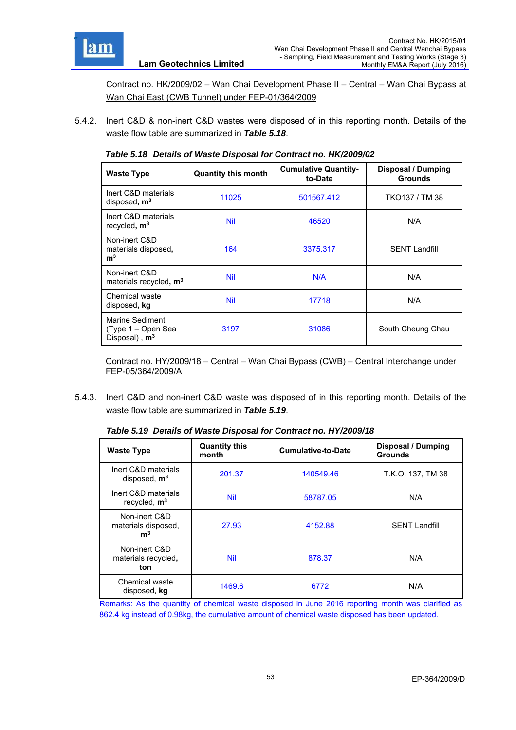

Contract no. HK/2009/02 – Wan Chai Development Phase II – Central – Wan Chai Bypass at Wan Chai East (CWB Tunnel) under FEP-01/364/2009

5.4.2. Inert C&D & non-inert C&D wastes were disposed of in this reporting month. Details of the waste flow table are summarized in *Table 5.18*.

| <b>Waste Type</b>                                                  | <b>Quantity this month</b> | <b>Cumulative Quantity-</b><br>to-Date | <b>Disposal / Dumping</b><br><b>Grounds</b> |
|--------------------------------------------------------------------|----------------------------|----------------------------------------|---------------------------------------------|
| Inert C&D materials<br>disposed, $m3$                              | 11025                      | 501567.412                             | TKO137 / TM 38                              |
| Inert C&D materials<br>recycled, $m3$                              | <b>Nil</b>                 | 46520                                  | N/A                                         |
| Non-inert C&D<br>materials disposed,<br>m <sup>3</sup>             | 164                        | 3375.317                               | <b>SENT Landfill</b>                        |
| Non-inert C&D<br>materials recycled, m <sup>3</sup>                | <b>Nil</b>                 | N/A                                    | N/A                                         |
| Chemical waste<br>disposed, kg                                     | <b>Nil</b>                 | 17718                                  | N/A                                         |
| Marine Sediment<br>(Type 1 – Open Sea<br>Disposal), m <sup>3</sup> | 3197                       | 31086                                  | South Cheung Chau                           |

*Table 5.18 Details of Waste Disposal for Contract no. HK/2009/02* 

Contract no. HY/2009/18 – Central – Wan Chai Bypass (CWB) – Central Interchange under FEP-05/364/2009/A

5.4.3. Inert C&D and non-inert C&D waste was disposed of in this reporting month. Details of the waste flow table are summarized in *Table 5.19*.

| <b>Waste Type</b>                                      | <b>Quantity this</b><br>month | <b>Cumulative-to-Date</b> | <b>Disposal / Dumping</b><br><b>Grounds</b> |  |
|--------------------------------------------------------|-------------------------------|---------------------------|---------------------------------------------|--|
| Inert C&D materials<br>disposed, $m3$                  | 201.37                        | 140549.46                 | T.K.O. 137, TM 38                           |  |
| Inert C&D materials<br>recycled, $m3$                  | <b>Nil</b>                    | 58787.05                  | N/A                                         |  |
| Non-inert C&D<br>materials disposed,<br>m <sup>3</sup> | 27.93                         | 4152.88                   | <b>SENT Landfill</b>                        |  |
| Non-inert C&D<br>materials recycled,<br>ton            | Nil                           | 878.37                    | N/A                                         |  |
| Chemical waste<br>disposed, kg                         | 1469.6                        | 6772                      | N/A                                         |  |

*Table 5.19 Details of Waste Disposal for Contract no. HY/2009/18* 

Remarks: As the quantity of chemical waste disposed in June 2016 reporting month was clarified as 862.4 kg instead of 0.98kg, the cumulative amount of chemical waste disposed has been updated.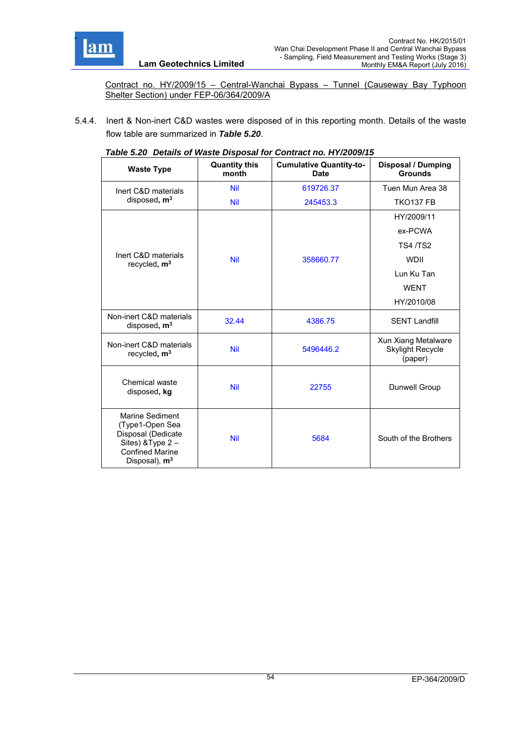

Contract no. HY/2009/15 – Central-Wanchai Bypass – Tunnel (Causeway Bay Typhoon Shelter Section) under FEP-06/364/2009/A

5.4.4. Inert & Non-inert C&D wastes were disposed of in this reporting month. Details of the waste flow table are summarized in *Table 5.20*.

| <b>Waste Type</b>                                                                                                          | <b>Quantity this</b><br>month | able 0.20 Details of Haste Disposal for Contract ho. IT I/2009/To<br><b>Cumulative Quantity-to-</b><br><b>Date</b> | <b>Disposal / Dumping</b><br><b>Grounds</b>               |
|----------------------------------------------------------------------------------------------------------------------------|-------------------------------|--------------------------------------------------------------------------------------------------------------------|-----------------------------------------------------------|
| Inert C&D materials                                                                                                        | <b>Nil</b>                    | 619726.37                                                                                                          | Tuen Mun Area 38                                          |
| disposed, m <sup>3</sup>                                                                                                   | <b>Nil</b>                    | 245453.3                                                                                                           | <b>TKO137 FB</b>                                          |
|                                                                                                                            |                               |                                                                                                                    | HY/2009/11                                                |
|                                                                                                                            |                               |                                                                                                                    | ex-PCWA                                                   |
|                                                                                                                            |                               |                                                                                                                    | <b>TS4/TS2</b>                                            |
| Inert C&D materials<br>recycled, $m3$                                                                                      | <b>Nil</b>                    | 358660.77                                                                                                          | <b>WDII</b>                                               |
|                                                                                                                            |                               |                                                                                                                    | Lun Ku Tan                                                |
|                                                                                                                            |                               |                                                                                                                    | <b>WENT</b>                                               |
|                                                                                                                            |                               |                                                                                                                    | HY/2010/08                                                |
| Non-inert C&D materials<br>disposed, $m3$                                                                                  | 32.44                         | 4386.75                                                                                                            | <b>SENT Landfill</b>                                      |
| Non-inert C&D materials<br>recycled, m <sup>3</sup>                                                                        | <b>Nil</b>                    | 5496446.2                                                                                                          | Xun Xiang Metalware<br><b>Skylight Recycle</b><br>(paper) |
| Chemical waste<br>disposed, kg                                                                                             | <b>Nil</b>                    | 22755                                                                                                              | Dunwell Group                                             |
| Marine Sediment<br>(Type1-Open Sea<br>Disposal (Dedicate<br>Sites) & Type 2-<br><b>Confined Marine</b><br>Disposal), $m^3$ | <b>Nil</b>                    | 5684                                                                                                               | South of the Brothers                                     |

| Table 5.20 Details of Waste Disposal for Contract no. HY/2009/15 |  |
|------------------------------------------------------------------|--|
|                                                                  |  |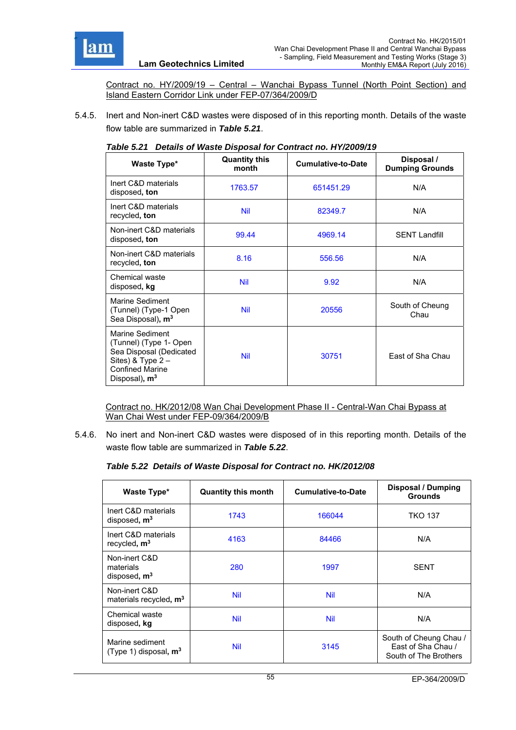

Contract no. HY/2009/19 – Central – Wanchai Bypass Tunnel (North Point Section) and Island Eastern Corridor Link under FEP-07/364/2009/D

5.4.5. Inert and Non-inert C&D wastes were disposed of in this reporting month. Details of the waste flow table are summarized in *Table 5.21*.

| Waste Type*                                                                                                                                        | <b>Quantity this</b><br>month | <b>Cumulative-to-Date</b> | Disposal /<br><b>Dumping Grounds</b> |
|----------------------------------------------------------------------------------------------------------------------------------------------------|-------------------------------|---------------------------|--------------------------------------|
| Inert C&D materials<br>disposed, ton                                                                                                               | 1763.57                       | 651451.29                 | N/A                                  |
| Inert C&D materials<br>recycled, ton                                                                                                               | <b>Nil</b>                    | 82349.7                   | N/A                                  |
| Non-inert C&D materials<br>disposed, ton                                                                                                           | 99.44                         | 4969.14                   | <b>SENT Landfill</b>                 |
| Non-inert C&D materials<br>recycled, ton                                                                                                           | 8.16                          | 556.56                    | N/A                                  |
| Chemical waste<br>disposed, kg                                                                                                                     | <b>Nil</b>                    | 9.92                      | N/A                                  |
| Marine Sediment<br>(Tunnel) (Type-1 Open<br>Sea Disposal), m <sup>3</sup>                                                                          | <b>Nil</b>                    | 20556                     | South of Cheung<br>Chau              |
| Marine Sediment<br>(Tunnel) (Type 1- Open<br>Sea Disposal (Dedicated<br>Sites) & Type $2 -$<br><b>Confined Marine</b><br>Disposal), m <sup>3</sup> | <b>Nil</b>                    | 30751                     | East of Sha Chau                     |

#### *Table 5.21 Details of Waste Disposal for Contract no. HY/2009/19*

Contract no. HK/2012/08 Wan Chai Development Phase II - Central-Wan Chai Bypass at Wan Chai West under FEP-09/364/2009/B

5.4.6. No inert and Non-inert C&D wastes were disposed of in this reporting month. Details of the waste flow table are summarized in *Table 5.22*.

#### *Table 5.22 Details of Waste Disposal for Contract no. HK/2012/08*

| Waste Type*                                         | <b>Quantity this month</b> | <b>Cumulative-to-Date</b> | <b>Disposal / Dumping</b><br><b>Grounds</b>                           |
|-----------------------------------------------------|----------------------------|---------------------------|-----------------------------------------------------------------------|
| Inert C&D materials<br>disposed, m <sup>3</sup>     | 1743                       | 166044                    | <b>TKO 137</b>                                                        |
| Inert C&D materials<br>recycled, $m3$               | 4163                       | 84466                     | N/A                                                                   |
| Non-inert C&D<br>materials<br>disposed, $m3$        | 280                        | 1997                      | <b>SENT</b>                                                           |
| Non-inert C&D<br>materials recycled, m <sup>3</sup> | Nil                        | <b>Nil</b>                | N/A                                                                   |
| Chemical waste<br>disposed, kg                      | <b>Nil</b>                 | Nil                       | N/A                                                                   |
| Marine sediment<br>(Type 1) disposal, $m3$          | <b>Nil</b>                 | 3145                      | South of Cheung Chau /<br>Fast of Sha Chau /<br>South of The Brothers |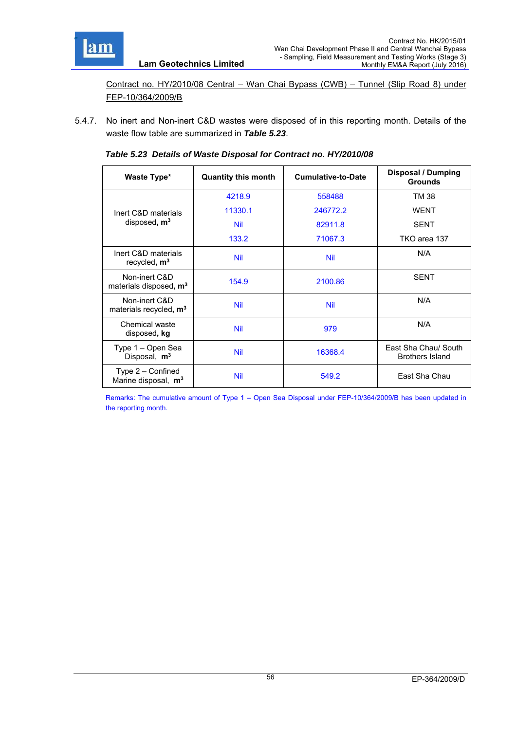

Contract no. HY/2010/08 Central – Wan Chai Bypass (CWB) – Tunnel (Slip Road 8) under FEP-10/364/2009/B

5.4.7. No inert and Non-inert C&D wastes were disposed of in this reporting month. Details of the waste flow table are summarized in *Table 5.23*.

| Table 5.23 Details of Waste Disposal for Contract no. HY/2010/08 |  |  |
|------------------------------------------------------------------|--|--|

| Waste Type*                                         | <b>Quantity this month</b> | <b>Cumulative-to-Date</b> | Disposal / Dumping<br><b>Grounds</b>           |
|-----------------------------------------------------|----------------------------|---------------------------|------------------------------------------------|
|                                                     | 4218.9                     | 558488                    | TM 38                                          |
| Inert C&D materials                                 | 11330.1                    | 246772.2                  | <b>WENT</b>                                    |
| disposed, m <sup>3</sup>                            | <b>Nil</b>                 | 82911.8                   | <b>SENT</b>                                    |
|                                                     | 133.2                      | 71067.3                   | TKO area 137                                   |
| Inert C&D materials<br>recycled, $m3$               | <b>Nil</b>                 | Nil                       | N/A                                            |
| Non-inert C&D<br>materials disposed, m <sup>3</sup> | 154.9                      | 2100.86                   | <b>SENT</b>                                    |
| Non-inert C&D<br>materials recycled, m <sup>3</sup> | <b>Nil</b>                 | Nil                       | N/A                                            |
| Chemical waste<br>disposed, kg                      | <b>Nil</b>                 | 979                       | N/A                                            |
| Type 1 – Open Sea<br>Disposal, m <sup>3</sup>       | <b>Nil</b>                 | 16368.4                   | East Sha Chau/ South<br><b>Brothers Island</b> |
| Type $2$ – Confined<br>Marine disposal, $m3$        | <b>Nil</b>                 | 549.2                     | East Sha Chau                                  |

Remarks: The cumulative amount of Type 1 – Open Sea Disposal under FEP-10/364/2009/B has been updated in the reporting month.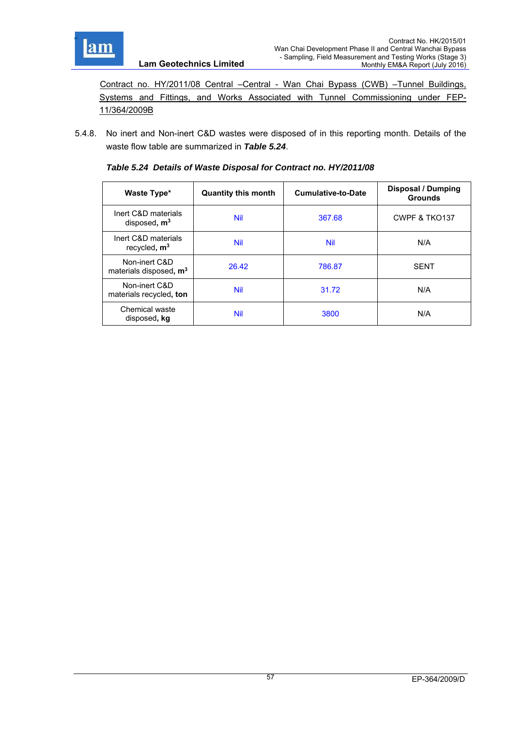

 Contract no. HY/2011/08 Central –Central - Wan Chai Bypass (CWB) –Tunnel Buildings, Systems and Fittings, and Works Associated with Tunnel Commissioning under FEP-11/364/2009B

5.4.8. No inert and Non-inert C&D wastes were disposed of in this reporting month. Details of the waste flow table are summarized in *Table 5.24*.

| Waste Type*                                         | <b>Quantity this month</b> | <b>Cumulative-to-Date</b> | <b>Disposal / Dumping</b><br><b>Grounds</b> |
|-----------------------------------------------------|----------------------------|---------------------------|---------------------------------------------|
| Inert C&D materials<br>disposed, $m3$               | Nil                        | 367.68                    | CWPF & TKO137                               |
| Inert C&D materials<br>recycled, $m3$               | <b>Nil</b>                 | Nil                       | N/A                                         |
| Non-inert C&D<br>materials disposed, m <sup>3</sup> | 26.42                      | 786.87                    | <b>SFNT</b>                                 |
| Non-inert C&D<br>materials recycled, ton            | <b>Nil</b>                 | 31.72                     | N/A                                         |
| Chemical waste<br>disposed, kg                      | <b>Nil</b>                 | 3800                      | N/A                                         |

*Table 5.24 Details of Waste Disposal for Contract no. HY/2011/08* 

**Lam Geotechnics Limited**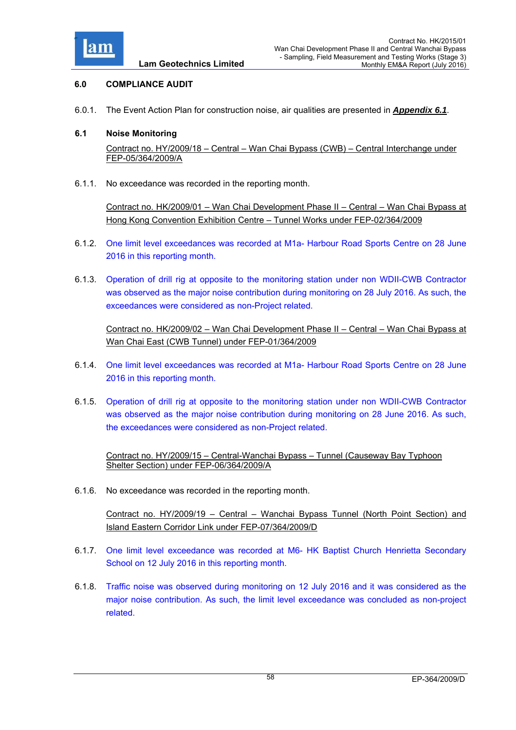

# **6.0 COMPLIANCE AUDIT**

6.0.1. The Event Action Plan for construction noise, air qualities are presented in *Appendix 6.1*.

### **6.1 Noise Monitoring**

Contract no. HY/2009/18 – Central – Wan Chai Bypass (CWB) – Central Interchange under FEP-05/364/2009/A

6.1.1. No exceedance was recorded in the reporting month.

Contract no. HK/2009/01 – Wan Chai Development Phase II – Central – Wan Chai Bypass at Hong Kong Convention Exhibition Centre – Tunnel Works under FEP-02/364/2009

- 6.1.2. One limit level exceedances was recorded at M1a- Harbour Road Sports Centre on 28 June 2016 in this reporting month.
- 6.1.3. Operation of drill rig at opposite to the monitoring station under non WDII-CWB Contractor was observed as the major noise contribution during monitoring on 28 July 2016. As such, the exceedances were considered as non-Project related.

Contract no. HK/2009/02 – Wan Chai Development Phase II – Central – Wan Chai Bypass at Wan Chai East (CWB Tunnel) under FEP-01/364/2009

- 6.1.4. One limit level exceedances was recorded at M1a- Harbour Road Sports Centre on 28 June 2016 in this reporting month.
- 6.1.5. Operation of drill rig at opposite to the monitoring station under non WDII-CWB Contractor was observed as the major noise contribution during monitoring on 28 June 2016. As such, the exceedances were considered as non-Project related.

Contract no. HY/2009/15 – Central-Wanchai Bypass – Tunnel (Causeway Bay Typhoon Shelter Section) under FEP-06/364/2009/A

6.1.6. No exceedance was recorded in the reporting month.

Contract no. HY/2009/19 – Central – Wanchai Bypass Tunnel (North Point Section) and Island Eastern Corridor Link under FEP-07/364/2009/D

- 6.1.7. One limit level exceedance was recorded at M6- HK Baptist Church Henrietta Secondary School on 12 July 2016 in this reporting month.
- 6.1.8. Traffic noise was observed during monitoring on 12 July 2016 and it was considered as the major noise contribution. As such, the limit level exceedance was concluded as non-project related.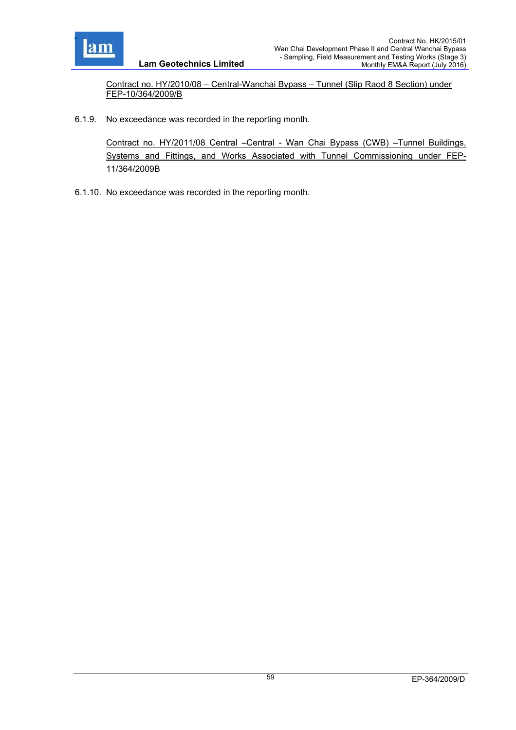

Contract no. HY/2010/08 – Central-Wanchai Bypass – Tunnel (Slip Raod 8 Section) under FEP-10/364/2009/B

6.1.9. No exceedance was recorded in the reporting month.

Contract no. HY/2011/08 Central –Central - Wan Chai Bypass (CWB) –Tunnel Buildings, Systems and Fittings, and Works Associated with Tunnel Commissioning under FEP-11/364/2009B

6.1.10. No exceedance was recorded in the reporting month.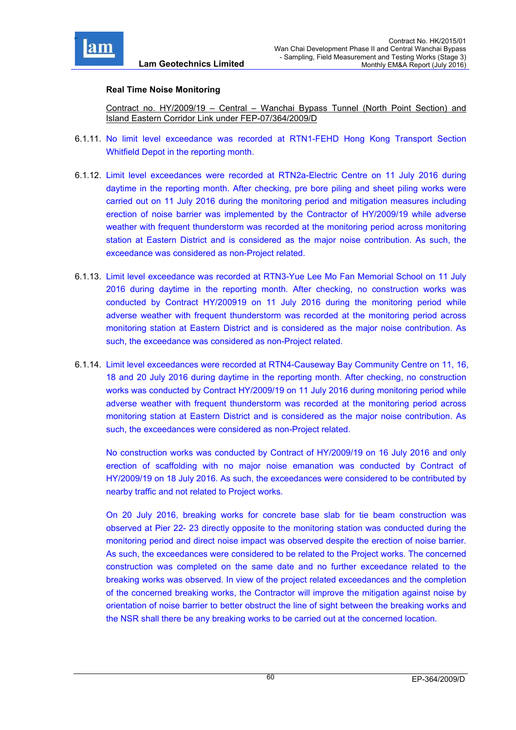

### **Real Time Noise Monitoring**

Contract no. HY/2009/19 – Central – Wanchai Bypass Tunnel (North Point Section) and Island Eastern Corridor Link under FEP-07/364/2009/D

- 6.1.11. No limit level exceedance was recorded at RTN1-FEHD Hong Kong Transport Section Whitfield Depot in the reporting month.
- 6.1.12. Limit level exceedances were recorded at RTN2a-Electric Centre on 11 July 2016 during daytime in the reporting month. After checking, pre bore piling and sheet piling works were carried out on 11 July 2016 during the monitoring period and mitigation measures including erection of noise barrier was implemented by the Contractor of HY/2009/19 while adverse weather with frequent thunderstorm was recorded at the monitoring period across monitoring station at Eastern District and is considered as the major noise contribution. As such, the exceedance was considered as non-Project related.
- 6.1.13. Limit level exceedance was recorded at RTN3-Yue Lee Mo Fan Memorial School on 11 July 2016 during daytime in the reporting month. After checking, no construction works was conducted by Contract HY/200919 on 11 July 2016 during the monitoring period while adverse weather with frequent thunderstorm was recorded at the monitoring period across monitoring station at Eastern District and is considered as the major noise contribution. As such, the exceedance was considered as non-Project related.
- 6.1.14. Limit level exceedances were recorded at RTN4-Causeway Bay Community Centre on 11, 16, 18 and 20 July 2016 during daytime in the reporting month. After checking, no construction works was conducted by Contract HY/2009/19 on 11 July 2016 during monitoring period while adverse weather with frequent thunderstorm was recorded at the monitoring period across monitoring station at Eastern District and is considered as the major noise contribution. As such, the exceedances were considered as non-Project related.

No construction works was conducted by Contract of HY/2009/19 on 16 July 2016 and only erection of scaffolding with no major noise emanation was conducted by Contract of HY/2009/19 on 18 July 2016. As such, the exceedances were considered to be contributed by nearby traffic and not related to Project works.

On 20 July 2016, breaking works for concrete base slab for tie beam construction was observed at Pier 22- 23 directly opposite to the monitoring station was conducted during the monitoring period and direct noise impact was observed despite the erection of noise barrier. As such, the exceedances were considered to be related to the Project works. The concerned construction was completed on the same date and no further exceedance related to the breaking works was observed. In view of the project related exceedances and the completion of the concerned breaking works, the Contractor will improve the mitigation against noise by orientation of noise barrier to better obstruct the line of sight between the breaking works and the NSR shall there be any breaking works to be carried out at the concerned location.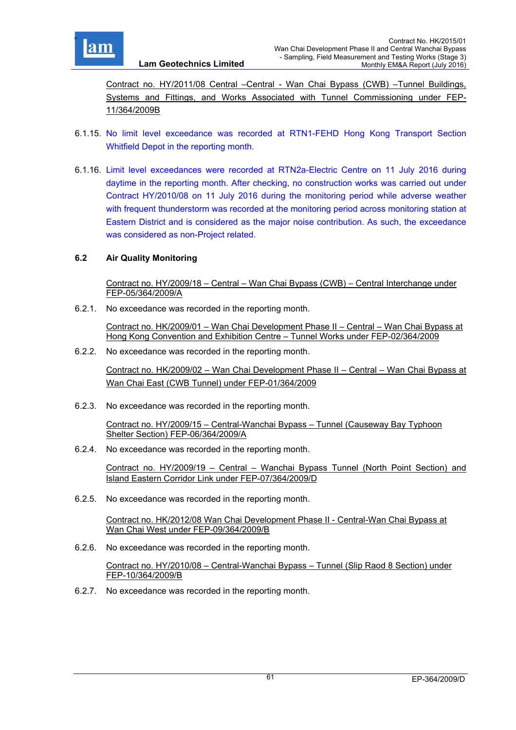

Contract no. HY/2011/08 Central –Central - Wan Chai Bypass (CWB) –Tunnel Buildings, Systems and Fittings, and Works Associated with Tunnel Commissioning under FEP-11/364/2009B

- 6.1.15. No limit level exceedance was recorded at RTN1-FEHD Hong Kong Transport Section Whitfield Depot in the reporting month.
- 6.1.16. Limit level exceedances were recorded at RTN2a-Electric Centre on 11 July 2016 during daytime in the reporting month. After checking, no construction works was carried out under Contract HY/2010/08 on 11 July 2016 during the monitoring period while adverse weather with frequent thunderstorm was recorded at the monitoring period across monitoring station at Eastern District and is considered as the major noise contribution. As such, the exceedance was considered as non-Project related.

### **6.2 Air Quality Monitoring**

Contract no. HY/2009/18 – Central – Wan Chai Bypass (CWB) – Central Interchange under FEP-05/364/2009/A

6.2.1. No exceedance was recorded in the reporting month.

**Lam Geotechnics Limited**

Contract no. HK/2009/01 – Wan Chai Development Phase II – Central – Wan Chai Bypass at Hong Kong Convention and Exhibition Centre – Tunnel Works under FEP-02/364/2009

6.2.2. No exceedance was recorded in the reporting month.

Contract no. HK/2009/02 – Wan Chai Development Phase II – Central – Wan Chai Bypass at Wan Chai East (CWB Tunnel) under FEP-01/364/2009

6.2.3. No exceedance was recorded in the reporting month.

Contract no. HY/2009/15 – Central-Wanchai Bypass – Tunnel (Causeway Bay Typhoon Shelter Section) FEP-06/364/2009/A

6.2.4. No exceedance was recorded in the reporting month.

Contract no. HY/2009/19 – Central – Wanchai Bypass Tunnel (North Point Section) and Island Eastern Corridor Link under FEP-07/364/2009/D

6.2.5. No exceedance was recorded in the reporting month.

Contract no. HK/2012/08 Wan Chai Development Phase II - Central-Wan Chai Bypass at Wan Chai West under FEP-09/364/2009/B

6.2.6. No exceedance was recorded in the reporting month.

Contract no. HY/2010/08 – Central-Wanchai Bypass – Tunnel (Slip Raod 8 Section) under FEP-10/364/2009/B

6.2.7. No exceedance was recorded in the reporting month.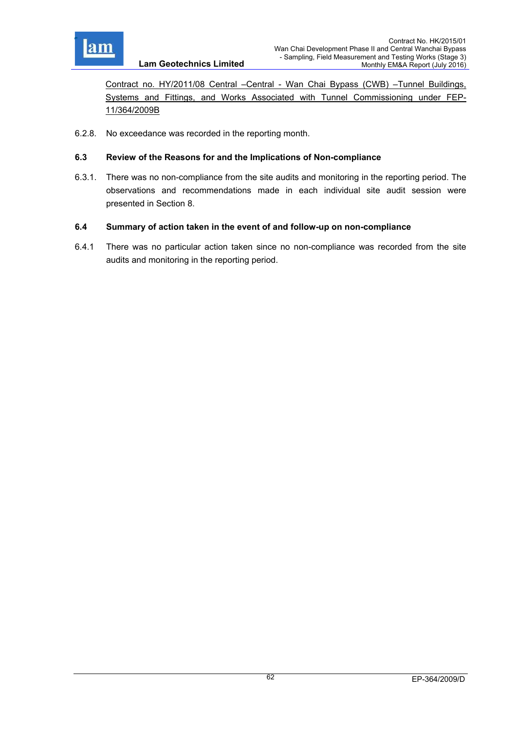

Contract no. HY/2011/08 Central –Central - Wan Chai Bypass (CWB) –Tunnel Buildings, Systems and Fittings, and Works Associated with Tunnel Commissioning under FEP-11/364/2009B

6.2.8. No exceedance was recorded in the reporting month.

### **6.3 Review of the Reasons for and the Implications of Non-compliance**

6.3.1. There was no non-compliance from the site audits and monitoring in the reporting period. The observations and recommendations made in each individual site audit session were presented in Section 8.

### **6.4 Summary of action taken in the event of and follow-up on non-compliance**

6.4.1 There was no particular action taken since no non-compliance was recorded from the site audits and monitoring in the reporting period.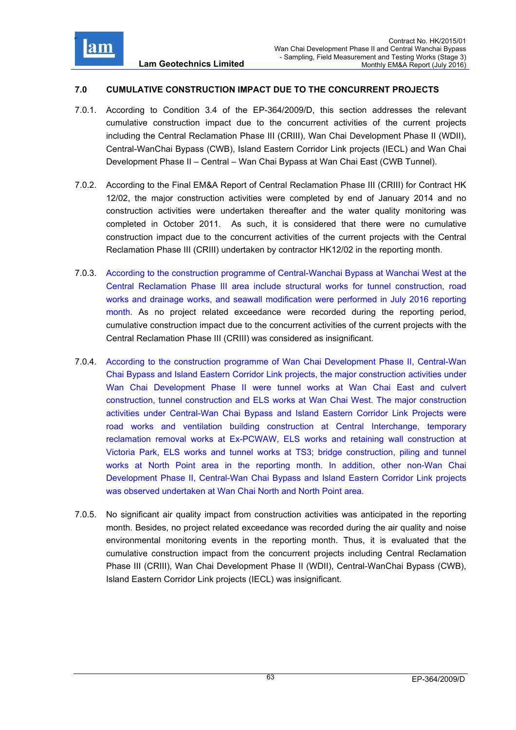

### **7.0 CUMULATIVE CONSTRUCTION IMPACT DUE TO THE CONCURRENT PROJECTS**

- 7.0.1. According to Condition 3.4 of the EP-364/2009/D, this section addresses the relevant cumulative construction impact due to the concurrent activities of the current projects including the Central Reclamation Phase III (CRIII), Wan Chai Development Phase II (WDII), Central-WanChai Bypass (CWB), Island Eastern Corridor Link projects (IECL) and Wan Chai Development Phase II – Central – Wan Chai Bypass at Wan Chai East (CWB Tunnel).
- 7.0.2. According to the Final EM&A Report of Central Reclamation Phase III (CRIII) for Contract HK 12/02, the major construction activities were completed by end of January 2014 and no construction activities were undertaken thereafter and the water quality monitoring was completed in October 2011. As such, it is considered that there were no cumulative construction impact due to the concurrent activities of the current projects with the Central Reclamation Phase III (CRIII) undertaken by contractor HK12/02 in the reporting month.
- 7.0.3. According to the construction programme of Central-Wanchai Bypass at Wanchai West at the Central Reclamation Phase III area include structural works for tunnel construction, road works and drainage works, and seawall modification were performed in July 2016 reporting month. As no project related exceedance were recorded during the reporting period, cumulative construction impact due to the concurrent activities of the current projects with the Central Reclamation Phase III (CRIII) was considered as insignificant.
- 7.0.4. According to the construction programme of Wan Chai Development Phase II, Central-Wan Chai Bypass and Island Eastern Corridor Link projects, the major construction activities under Wan Chai Development Phase II were tunnel works at Wan Chai East and culvert construction, tunnel construction and ELS works at Wan Chai West. The major construction activities under Central-Wan Chai Bypass and Island Eastern Corridor Link Projects were road works and ventilation building construction at Central Interchange, temporary reclamation removal works at Ex-PCWAW, ELS works and retaining wall construction at Victoria Park, ELS works and tunnel works at TS3; bridge construction, piling and tunnel works at North Point area in the reporting month. In addition, other non-Wan Chai Development Phase II, Central-Wan Chai Bypass and Island Eastern Corridor Link projects was observed undertaken at Wan Chai North and North Point area.
- 7.0.5. No significant air quality impact from construction activities was anticipated in the reporting month. Besides, no project related exceedance was recorded during the air quality and noise environmental monitoring events in the reporting month. Thus, it is evaluated that the cumulative construction impact from the concurrent projects including Central Reclamation Phase III (CRIII), Wan Chai Development Phase II (WDII), Central-WanChai Bypass (CWB), Island Eastern Corridor Link projects (IECL) was insignificant.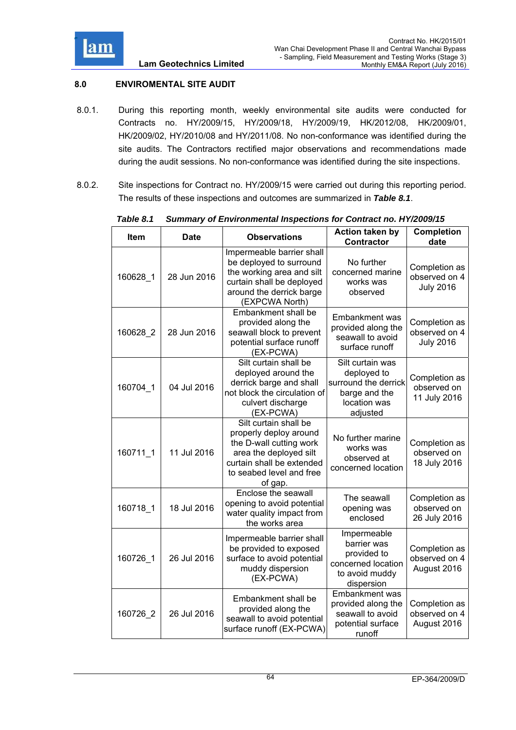

# **8.0 ENVIROMENTAL SITE AUDIT**

- 8.0.1. During this reporting month, weekly environmental site audits were conducted for Contracts no. HY/2009/15, HY/2009/18, HY/2009/19, HK/2012/08, HK/2009/01, HK/2009/02, HY/2010/08 and HY/2011/08. No non-conformance was identified during the site audits. The Contractors rectified major observations and recommendations made during the audit sessions. No non-conformance was identified during the site inspections.
- 8.0.2. Site inspections for Contract no. HY/2009/15 were carried out during this reporting period. The results of these inspections and outcomes are summarized in *Table 8.1*.

| Item     | <b>Date</b> | <b>Observations</b>                                                                                                                                                      | Action taken by<br><b>Contractor</b>                                                                 | <b>Completion</b><br>date                          |
|----------|-------------|--------------------------------------------------------------------------------------------------------------------------------------------------------------------------|------------------------------------------------------------------------------------------------------|----------------------------------------------------|
| 160628 1 | 28 Jun 2016 | Impermeable barrier shall<br>be deployed to surround<br>the working area and silt<br>curtain shall be deployed<br>around the derrick barge<br>(EXPCWA North)             | No further<br>concerned marine<br>works was<br>observed                                              | Completion as<br>observed on 4<br><b>July 2016</b> |
| 160628_2 | 28 Jun 2016 | Embankment shall be<br>provided along the<br>seawall block to prevent<br>potential surface runoff<br>(EX-PCWA)                                                           | <b>Embankment</b> was<br>provided along the<br>seawall to avoid<br>surface runoff                    | Completion as<br>observed on 4<br><b>July 2016</b> |
| 160704_1 | 04 Jul 2016 | Silt curtain shall be<br>deployed around the<br>derrick barge and shall<br>not block the circulation of<br>culvert discharge<br>(EX-PCWA)                                | Silt curtain was<br>deployed to<br>surround the derrick<br>barge and the<br>location was<br>adjusted | Completion as<br>observed on<br>11 July 2016       |
| 160711 1 | 11 Jul 2016 | Silt curtain shall be<br>properly deploy around<br>the D-wall cutting work<br>area the deployed silt<br>curtain shall be extended<br>to seabed level and free<br>of gap. | No further marine<br>works was<br>observed at<br>concerned location                                  | Completion as<br>observed on<br>18 July 2016       |
| 160718_1 | 18 Jul 2016 | Enclose the seawall<br>opening to avoid potential<br>water quality impact from<br>the works area                                                                         | The seawall<br>opening was<br>enclosed                                                               | Completion as<br>observed on<br>26 July 2016       |
| 160726 1 | 26 Jul 2016 | Impermeable barrier shall<br>be provided to exposed<br>surface to avoid potential<br>muddy dispersion<br>(EX-PCWA)                                                       | Impermeable<br>barrier was<br>provided to<br>concerned location<br>to avoid muddy<br>dispersion      | Completion as<br>observed on 4<br>August 2016      |
| 160726 2 | 26 Jul 2016 | Embankment shall be<br>provided along the<br>seawall to avoid potential<br>surface runoff (EX-PCWA)                                                                      | Embankment was<br>provided along the<br>seawall to avoid<br>potential surface<br>runoff              | Completion as<br>observed on 4<br>August 2016      |

### *Table 8.1 Summary of Environmental Inspections for Contract no. HY/2009/15*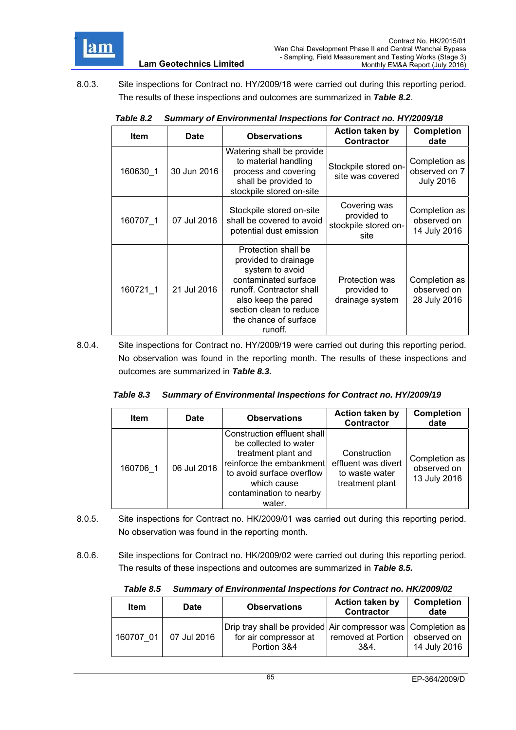

8.0.3. Site inspections for Contract no. HY/2009/18 were carried out during this reporting period. The results of these inspections and outcomes are summarized in *Table 8.2*.

**Lam Geotechnics Limited**

| <b>Item</b> | <b>Date</b> | <b>Observations</b>                                                                                                                                                                                      | <b>Action taken by</b><br><b>Contractor</b>                 | <b>Completion</b><br>date                          |
|-------------|-------------|----------------------------------------------------------------------------------------------------------------------------------------------------------------------------------------------------------|-------------------------------------------------------------|----------------------------------------------------|
| 160630 1    | 30 Jun 2016 | Watering shall be provide<br>to material handling<br>process and covering<br>shall be provided to<br>stockpile stored on-site                                                                            | Stockpile stored on-<br>site was covered                    | Completion as<br>observed on 7<br><b>July 2016</b> |
| 160707 1    | 07 Jul 2016 | Stockpile stored on-site<br>shall be covered to avoid<br>potential dust emission                                                                                                                         | Covering was<br>provided to<br>stockpile stored on-<br>site | Completion as<br>observed on<br>14 July 2016       |
| 160721 1    | 21 Jul 2016 | Protection shall be<br>provided to drainage<br>system to avoid<br>contaminated surface<br>runoff. Contractor shall<br>also keep the pared<br>section clean to reduce<br>the chance of surface<br>runoff. | Protection was<br>provided to<br>drainage system            | Completion as<br>observed on<br>28 July 2016       |

### *Table 8.2 Summary of Environmental Inspections for Contract no. HY/2009/18*

8.0.4. Site inspections for Contract no. HY/2009/19 were carried out during this reporting period. No observation was found in the reporting month. The results of these inspections and outcomes are summarized in *Table 8.3.*

|  | Table 8.3 Summary of Environmental Inspections for Contract no. HY/2009/19 |
|--|----------------------------------------------------------------------------|
|--|----------------------------------------------------------------------------|

| <b>Item</b> | <b>Date</b> | <b>Observations</b>                                                                                                                                                                      | <b>Action taken by</b><br><b>Contractor</b>                              | <b>Completion</b><br>date                    |
|-------------|-------------|------------------------------------------------------------------------------------------------------------------------------------------------------------------------------------------|--------------------------------------------------------------------------|----------------------------------------------|
| 160706 1    | 06 Jul 2016 | Construction effluent shall<br>be collected to water<br>treatment plant and<br>reinforce the embankment<br>to avoid surface overflow<br>which cause<br>contamination to nearby<br>water. | Construction<br>effluent was divert<br>to waste water<br>treatment plant | Completion as<br>observed on<br>13 July 2016 |

- 8.0.5. Site inspections for Contract no. HK/2009/01 was carried out during this reporting period. No observation was found in the reporting month.
- 8.0.6. Site inspections for Contract no. HK/2009/02 were carried out during this reporting period. The results of these inspections and outcomes are summarized in *Table 8.5.*

*Table 8.5 Summary of Environmental Inspections for Contract no. HK/2009/02* 

| <b>Item</b> | <b>Date</b> | <b>Observations</b>                                                                                  | <b>Action taken by</b><br><b>Contractor</b> | <b>Completion</b><br>date |
|-------------|-------------|------------------------------------------------------------------------------------------------------|---------------------------------------------|---------------------------|
| 160707 01   | 07 Jul 2016 | Drip tray shall be provided Air compressor was Completion as<br>for air compressor at<br>Portion 3&4 | removed at Portion Lobserved on<br>3&4.     | 14 July 2016              |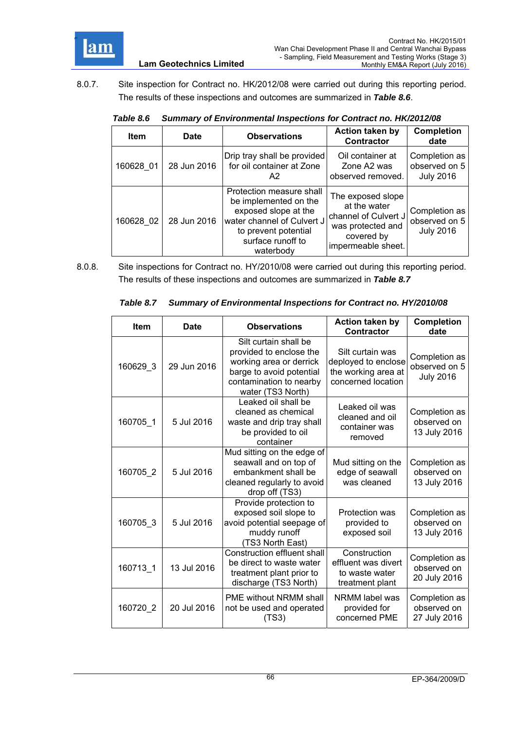

8.0.7. Site inspection for Contract no. HK/2012/08 were carried out during this reporting period. The results of these inspections and outcomes are summarized in *Table 8.6*.

|  | Table 8.6 Summary of Environmental Inspections for Contract no. HK/2012/08 |
|--|----------------------------------------------------------------------------|
|--|----------------------------------------------------------------------------|

| <b>Item</b> | <b>Date</b> | <b>Observations</b>                                                                                                                                               | <b>Action taken by</b><br><b>Contractor</b>                                                                        | <b>Completion</b><br>date                          |
|-------------|-------------|-------------------------------------------------------------------------------------------------------------------------------------------------------------------|--------------------------------------------------------------------------------------------------------------------|----------------------------------------------------|
| 160628 01   | 28 Jun 2016 | Drip tray shall be provided<br>for oil container at Zone<br>A <sub>2</sub>                                                                                        | Oil container at<br>Zone A2 was<br>observed removed.                                                               | Completion as<br>observed on 5<br><b>July 2016</b> |
| 160628 02   | 28 Jun 2016 | Protection measure shall<br>be implemented on the<br>exposed slope at the<br>water channel of Culvert J<br>to prevent potential<br>surface runoff to<br>waterbody | The exposed slope<br>at the water<br>channel of Culvert J<br>was protected and<br>covered by<br>impermeable sheet. | Completion as<br>observed on 5<br><b>July 2016</b> |

8.0.8. Site inspections for Contract no. HY/2010/08 were carried out during this reporting period. The results of these inspections and outcomes are summarized in *Table 8.7*

|  | Table 8.7 Summary of Environmental Inspections for Contract no. HY/2010/08 |  |  |
|--|----------------------------------------------------------------------------|--|--|
|  |                                                                            |  |  |

| <b>Item</b> | Date        | <b>Observations</b>                                                                                                                                     | <b>Action taken by</b><br><b>Contractor</b>                                          | <b>Completion</b><br>date                          |
|-------------|-------------|---------------------------------------------------------------------------------------------------------------------------------------------------------|--------------------------------------------------------------------------------------|----------------------------------------------------|
| 160629_3    | 29 Jun 2016 | Silt curtain shall be<br>provided to enclose the<br>working area or derrick<br>barge to avoid potential<br>contamination to nearby<br>water (TS3 North) | Silt curtain was<br>deployed to enclose<br>the working area at<br>concerned location | Completion as<br>observed on 5<br><b>July 2016</b> |
| 160705_1    | 5 Jul 2016  | Leaked oil shall be<br>cleaned as chemical<br>waste and drip tray shall<br>be provided to oil<br>container                                              | Leaked oil was<br>cleaned and oil<br>container was<br>removed                        | Completion as<br>observed on<br>13 July 2016       |
| 160705 2    | 5 Jul 2016  | Mud sitting on the edge of<br>seawall and on top of<br>embankment shall be<br>cleaned regularly to avoid<br>drop off (TS3)                              | Mud sitting on the<br>edge of seawall<br>was cleaned                                 | Completion as<br>observed on<br>13 July 2016       |
| 160705_3    | 5 Jul 2016  | Provide protection to<br>exposed soil slope to<br>avoid potential seepage of<br>muddy runoff<br>(TS3 North East)                                        | Protection was<br>provided to<br>exposed soil                                        | Completion as<br>observed on<br>13 July 2016       |
| 160713_1    | 13 Jul 2016 | Construction effluent shall<br>be direct to waste water<br>treatment plant prior to<br>discharge (TS3 North)                                            | Construction<br>effluent was divert<br>to waste water<br>treatment plant             | Completion as<br>observed on<br>20 July 2016       |
| 160720_2    | 20 Jul 2016 | <b>PME without NRMM shall</b><br>not be used and operated<br>(TS3)                                                                                      | NRMM label was<br>provided for<br>concerned PME                                      | Completion as<br>observed on<br>27 July 2016       |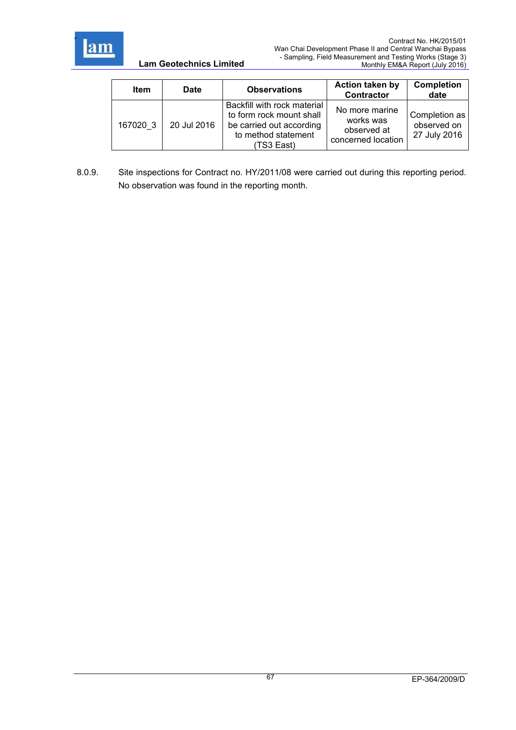

| <b>Item</b> | <b>Date</b> | <b>Observations</b>                                                                                                      | <b>Action taken by</b><br><b>Contractor</b>                      | <b>Completion</b><br>date                    |
|-------------|-------------|--------------------------------------------------------------------------------------------------------------------------|------------------------------------------------------------------|----------------------------------------------|
| 167020 3    | 20 Jul 2016 | Backfill with rock material<br>to form rock mount shall<br>be carried out according<br>to method statement<br>(TS3 East) | No more marine<br>works was<br>observed at<br>concerned location | Completion as<br>observed on<br>27 July 2016 |

8.0.9. Site inspections for Contract no. HY/2011/08 were carried out during this reporting period. No observation was found in the reporting month.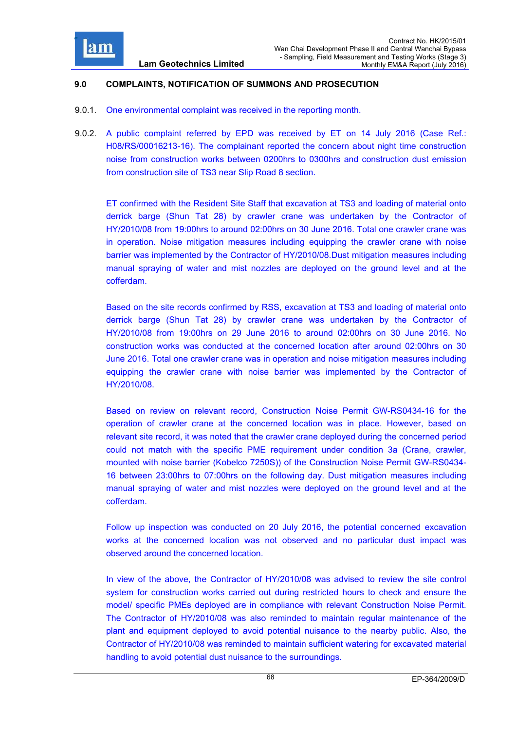

### **9.0 COMPLAINTS, NOTIFICATION OF SUMMONS AND PROSECUTION**

- 9.0.1. One environmental complaint was received in the reporting month.
- 9.0.2. A public complaint referred by EPD was received by ET on 14 July 2016 (Case Ref.: H08/RS/00016213-16). The complainant reported the concern about night time construction noise from construction works between 0200hrs to 0300hrs and construction dust emission from construction site of TS3 near Slip Road 8 section.

ET confirmed with the Resident Site Staff that excavation at TS3 and loading of material onto derrick barge (Shun Tat 28) by crawler crane was undertaken by the Contractor of HY/2010/08 from 19:00hrs to around 02:00hrs on 30 June 2016. Total one crawler crane was in operation. Noise mitigation measures including equipping the crawler crane with noise barrier was implemented by the Contractor of HY/2010/08.Dust mitigation measures including manual spraying of water and mist nozzles are deployed on the ground level and at the cofferdam.

Based on the site records confirmed by RSS, excavation at TS3 and loading of material onto derrick barge (Shun Tat 28) by crawler crane was undertaken by the Contractor of HY/2010/08 from 19:00hrs on 29 June 2016 to around 02:00hrs on 30 June 2016. No construction works was conducted at the concerned location after around 02:00hrs on 30 June 2016. Total one crawler crane was in operation and noise mitigation measures including equipping the crawler crane with noise barrier was implemented by the Contractor of HY/2010/08.

Based on review on relevant record, Construction Noise Permit GW-RS0434-16 for the operation of crawler crane at the concerned location was in place. However, based on relevant site record, it was noted that the crawler crane deployed during the concerned period could not match with the specific PME requirement under condition 3a (Crane, crawler, mounted with noise barrier (Kobelco 7250S)) of the Construction Noise Permit GW-RS0434- 16 between 23:00hrs to 07:00hrs on the following day. Dust mitigation measures including manual spraying of water and mist nozzles were deployed on the ground level and at the cofferdam.

Follow up inspection was conducted on 20 July 2016, the potential concerned excavation works at the concerned location was not observed and no particular dust impact was observed around the concerned location.

In view of the above, the Contractor of HY/2010/08 was advised to review the site control system for construction works carried out during restricted hours to check and ensure the model/ specific PMEs deployed are in compliance with relevant Construction Noise Permit. The Contractor of HY/2010/08 was also reminded to maintain regular maintenance of the plant and equipment deployed to avoid potential nuisance to the nearby public. Also, the Contractor of HY/2010/08 was reminded to maintain sufficient watering for excavated material handling to avoid potential dust nuisance to the surroundings.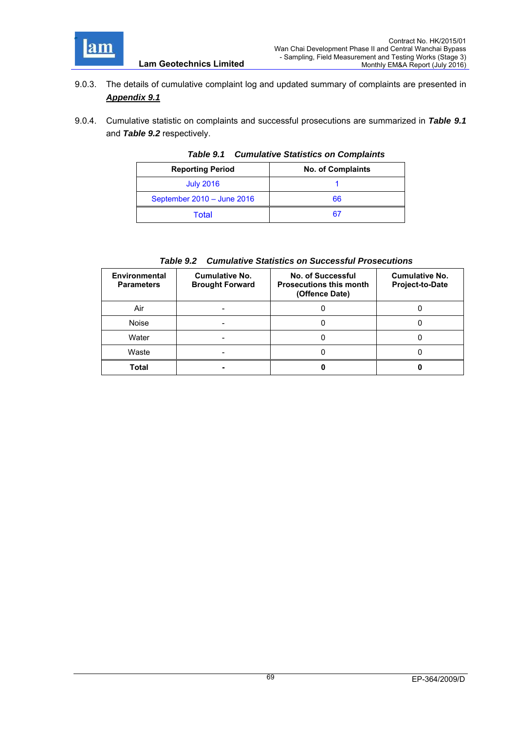

9.0.3. The details of cumulative complaint log and updated summary of complaints are presented in *Appendix 9.1*

**Lam Geotechnics Limited**

9.0.4. Cumulative statistic on complaints and successful prosecutions are summarized in *Table 9.1* and *Table 9.2* respectively.

| <b>Reporting Period</b>    | <b>No. of Complaints</b> |  |
|----------------------------|--------------------------|--|
| <b>July 2016</b>           |                          |  |
| September 2010 - June 2016 | 66                       |  |
| Total                      |                          |  |

### *Table 9.1 Cumulative Statistics on Complaints*

# *Table 9.2 Cumulative Statistics on Successful Prosecutions*

| <b>Environmental</b><br><b>Parameters</b> | Cumulative No.<br><b>Brought Forward</b> | No. of Successful<br><b>Prosecutions this month</b><br>(Offence Date) | <b>Cumulative No.</b><br><b>Project-to-Date</b> |
|-------------------------------------------|------------------------------------------|-----------------------------------------------------------------------|-------------------------------------------------|
| Air                                       |                                          |                                                                       |                                                 |
| <b>Noise</b>                              |                                          |                                                                       |                                                 |
| Water                                     |                                          |                                                                       |                                                 |
| Waste                                     |                                          |                                                                       |                                                 |
| Total                                     |                                          |                                                                       |                                                 |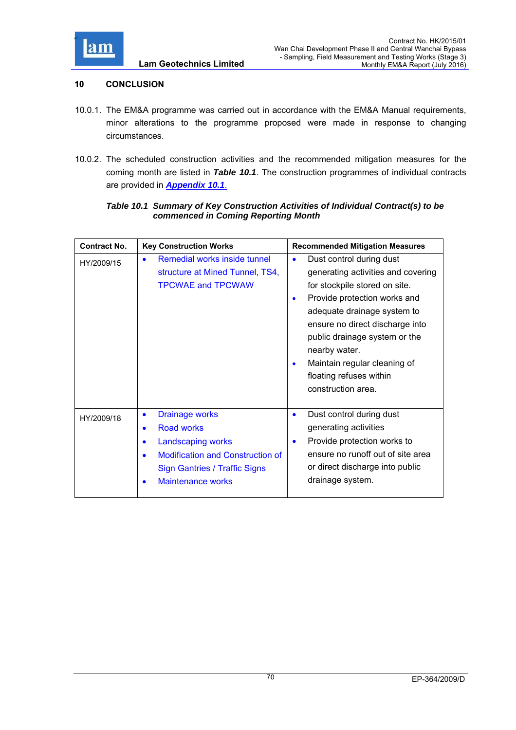

### **10 CONCLUSION**

- 10.0.1. The EM&A programme was carried out in accordance with the EM&A Manual requirements, minor alterations to the programme proposed were made in response to changing circumstances.
- 10.0.2. The scheduled construction activities and the recommended mitigation measures for the coming month are listed in *Table 10.1*. The construction programmes of individual contracts are provided in *Appendix 10.1*.

### *Table 10.1 Summary of Key Construction Activities of Individual Contract(s) to be commenced in Coming Reporting Month*

| <b>Contract No.</b> | <b>Key Construction Works</b>                                                                                                                                                                                                          | <b>Recommended Mitigation Measures</b>                                                                                                                                                                                                                                                                                                                                      |
|---------------------|----------------------------------------------------------------------------------------------------------------------------------------------------------------------------------------------------------------------------------------|-----------------------------------------------------------------------------------------------------------------------------------------------------------------------------------------------------------------------------------------------------------------------------------------------------------------------------------------------------------------------------|
| HY/2009/15          | Remedial works inside tunnel<br>$\bullet$<br>structure at Mined Tunnel, TS4,<br><b>TPCWAE and TPCWAW</b>                                                                                                                               | Dust control during dust<br>$\bullet$<br>generating activities and covering<br>for stockpile stored on site.<br>Provide protection works and<br>$\bullet$<br>adequate drainage system to<br>ensure no direct discharge into<br>public drainage system or the<br>nearby water.<br>Maintain regular cleaning of<br>$\bullet$<br>floating refuses within<br>construction area. |
| HY/2009/18          | <b>Drainage works</b><br>$\bullet$<br><b>Road works</b><br>$\bullet$<br><b>Landscaping works</b><br>$\bullet$<br><b>Modification and Construction of</b><br>٠<br><b>Sign Gantries / Traffic Signs</b><br><b>Maintenance works</b><br>٠ | Dust control during dust<br>$\bullet$<br>generating activities<br>Provide protection works to<br>$\bullet$<br>ensure no runoff out of site area<br>or direct discharge into public<br>drainage system.                                                                                                                                                                      |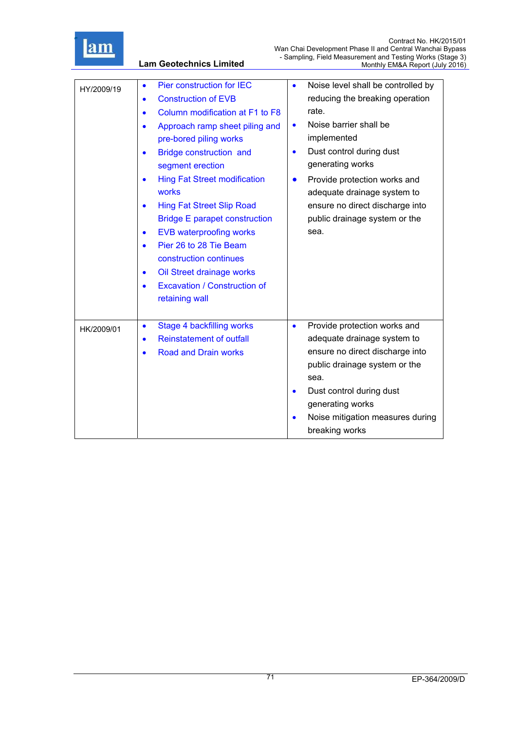

**Lam Geotechnics Limited**

| HY/2009/19 | Pier construction for IEC<br>$\bullet$<br><b>Construction of EVB</b><br>$\bullet$<br>Column modification at F1 to F8<br>$\bullet$<br>Approach ramp sheet piling and<br>$\bullet$<br>pre-bored piling works<br>Bridge construction and<br>$\bullet$<br>segment erection<br><b>Hing Fat Street modification</b><br>works<br><b>Hing Fat Street Slip Road</b><br>$\bullet$<br><b>Bridge E parapet construction</b><br><b>EVB waterproofing works</b><br>$\bullet$<br>Pier 26 to 28 Tie Beam<br>$\bullet$<br>construction continues<br>Oil Street drainage works<br>$\bullet$<br><b>Excavation / Construction of</b><br>$\bullet$<br>retaining wall | $\bullet$<br>$\bullet$<br>$\bullet$<br>$\bullet$ | Noise level shall be controlled by<br>reducing the breaking operation<br>rate.<br>Noise barrier shall be<br>implemented<br>Dust control during dust<br>generating works<br>Provide protection works and<br>adequate drainage system to<br>ensure no direct discharge into<br>public drainage system or the<br>sea. |
|------------|-------------------------------------------------------------------------------------------------------------------------------------------------------------------------------------------------------------------------------------------------------------------------------------------------------------------------------------------------------------------------------------------------------------------------------------------------------------------------------------------------------------------------------------------------------------------------------------------------------------------------------------------------|--------------------------------------------------|--------------------------------------------------------------------------------------------------------------------------------------------------------------------------------------------------------------------------------------------------------------------------------------------------------------------|
| HK/2009/01 | Stage 4 backfilling works<br>$\bullet$<br><b>Reinstatement of outfall</b><br>$\bullet$<br><b>Road and Drain works</b><br>$\bullet$                                                                                                                                                                                                                                                                                                                                                                                                                                                                                                              | $\bullet$<br>$\bullet$                           | Provide protection works and<br>adequate drainage system to<br>ensure no direct discharge into<br>public drainage system or the<br>sea.<br>Dust control during dust<br>generating works<br>Noise mitigation measures during<br>breaking works                                                                      |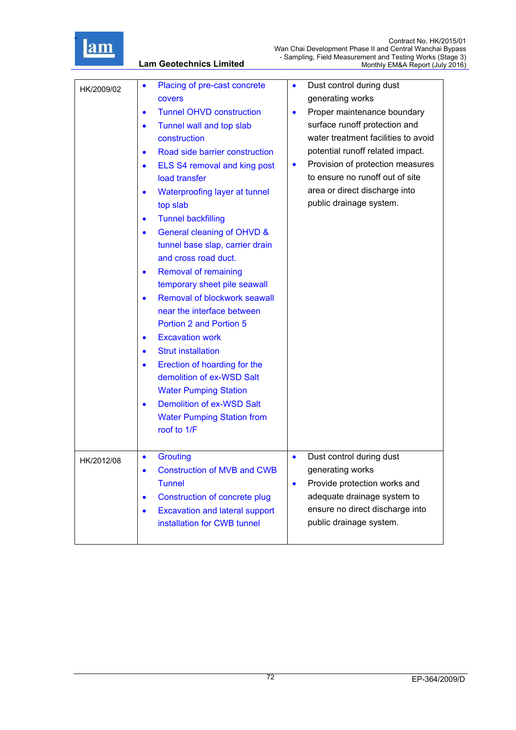

**Lam Geotechnics Limited**

| HK/2009/02 | Placing of pre-cast concrete<br>$\bullet$<br>covers<br><b>Tunnel OHVD construction</b><br>$\bullet$<br>Tunnel wall and top slab<br>$\bullet$<br>construction<br>Road side barrier construction<br>$\bullet$<br>ELS S4 removal and king post<br>$\bullet$<br>load transfer<br>Waterproofing layer at tunnel<br>top slab<br><b>Tunnel backfilling</b><br>$\bullet$<br>General cleaning of OHVD &<br>$\bullet$<br>tunnel base slap, carrier drain<br>and cross road duct.<br><b>Removal of remaining</b><br>$\bullet$<br>temporary sheet pile seawall<br>Removal of blockwork seawall<br>$\bullet$<br>near the interface between<br><b>Portion 2 and Portion 5</b><br><b>Excavation work</b><br><b>Strut installation</b><br>$\bullet$<br>Erection of hoarding for the<br>$\bullet$<br>demolition of ex-WSD Salt<br><b>Water Pumping Station</b><br><b>Demolition of ex-WSD Salt</b><br><b>Water Pumping Station from</b><br>roof to 1/F | Dust control during dust<br>$\bullet$<br>generating works<br>Proper maintenance boundary<br>$\bullet$<br>surface runoff protection and<br>water treatment facilities to avoid<br>potential runoff related impact.<br>Provision of protection measures<br>$\bullet$<br>to ensure no runoff out of site<br>area or direct discharge into<br>public drainage system. |
|------------|---------------------------------------------------------------------------------------------------------------------------------------------------------------------------------------------------------------------------------------------------------------------------------------------------------------------------------------------------------------------------------------------------------------------------------------------------------------------------------------------------------------------------------------------------------------------------------------------------------------------------------------------------------------------------------------------------------------------------------------------------------------------------------------------------------------------------------------------------------------------------------------------------------------------------------------|-------------------------------------------------------------------------------------------------------------------------------------------------------------------------------------------------------------------------------------------------------------------------------------------------------------------------------------------------------------------|
| HK/2012/08 | <b>Grouting</b><br>$\bullet$<br><b>Construction of MVB and CWB</b><br>$\bullet$<br><b>Tunnel</b><br><b>Construction of concrete plug</b><br>$\bullet$<br><b>Excavation and lateral support</b><br>installation for CWB tunnel                                                                                                                                                                                                                                                                                                                                                                                                                                                                                                                                                                                                                                                                                                         | Dust control during dust<br>$\bullet$<br>generating works<br>Provide protection works and<br>$\bullet$<br>adequate drainage system to<br>ensure no direct discharge into<br>public drainage system.                                                                                                                                                               |